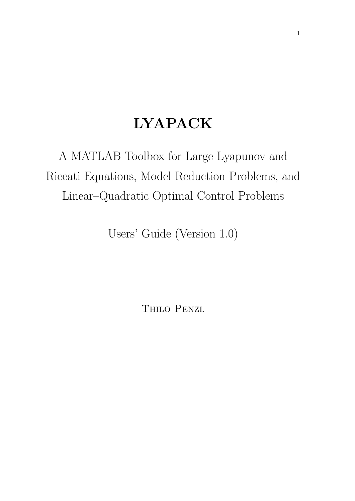# LYAPACK

A MATLAB Toolbox for Large Lyapunov and Riccati Equations, Model Reduction Problems, and Linear–Quadratic Optimal Control Problems

Users' Guide (Version 1.0)

Thilo Penzl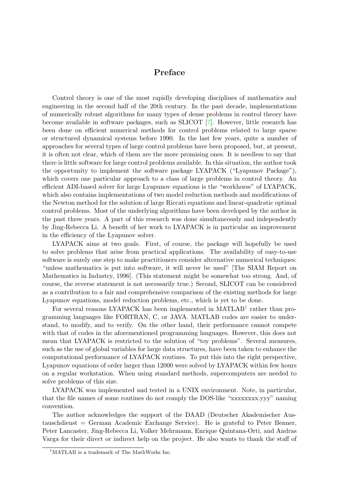## Preface

Control theory is one of the most rapidly developing disciplines of mathematics and engineering in the second half of the 20th century. In the past decade, implementations of numerically robust algorithms for many types of dense problems in control theory have become available in software packages, such as SLICOT [\[7\]](#page-77-0). However, little research has been done on efficient numerical methods for control problems related to large sparse or structured dynamical systems before 1990. In the last few years, quite a number of approaches for several types of large control problems have been proposed, but, at present, it is often not clear, which of them are the more promising ones. It is needless to say that there is little software for large control problems available. In this situation, the author took the opportunity to implement the software package LYAPACK ("Lyapunov Package"), which covers one particular approach to a class of large problems in control theory. An efficient ADI-based solver for large Lyapunov equations is the "workhorse" of LYAPACK, which also contains implementations of two model reduction methods and modifications of the Newton method for the solution of large Riccati equations and linear-quadratic optimal control problems. Most of the underlying algorithms have been developed by the author in the past three years. A part of this research was done simultaneously and independently by Jing-Rebecca Li. A benefit of her work to LYAPACK is in particular an improvement in the efficiency of the Lyapunov solver.

LYAPACK aims at two goals. First, of course, the package will hopefully be used to solve problems that arise from practical applications. The availability of easy-to-use software is surely one step to make practitioners consider alternative numerical techniques: "unless mathematics is put into software, it will never be used" [The SIAM Report on Mathematics in Industry, 1996]. (This statement might be somewhat too strong. And, of course, the reverse statement is not necessarily true.) Second, SLICOT can be considered as a contribution to a fair and comprehensive comparison of the existing methods for large Lyapunov equations, model reduction problems, etc., which is yet to be done.

For several reasons LYAPACK has been implemented in MATLAB<sup>[1](#page-1-0)</sup> rather than programming languages like FORTRAN, C, or JAVA. MATLAB codes are easier to understand, to modify, and to verify. On the other hand, their performance cannot compete with that of codes in the aforementioned programming languages. However, this does not mean that LYAPACK is restricted to the solution of "toy problems". Several measures, such as the use of global variables for large data structures, have been taken to enhance the computational performance of LYAPACK routines. To put this into the right perspective, Lyapunov equations of order larger than 12000 were solved by LYAPACK within few hours on a regular workstation. When using standard methods, supercomputers are needed to solve problems of this size.

LYAPACK was implemented and tested in a UNIX environment. Note, in particular, that the file names of some routines do not comply the DOS-like "xxxxxxxx.yyy" naming convention.

The author acknowledges the support of the DAAD (Deutscher Akademischer Austauschdienst = German Academic Exchange Service). He is grateful to Peter Benner, Peter Lancaster, Jing-Rebecca Li, Volker Mehrmann, Enrique Quintana-Orti, and Andras Varga for their direct or indirect help on the project. He also wants to thank the staff of

<span id="page-1-0"></span><sup>1</sup>MATLAB is a trademark of The MathWorks Inc.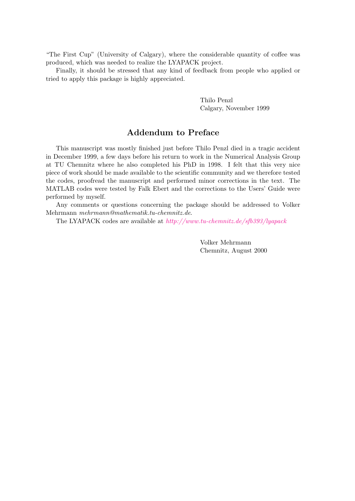"The First Cup" (University of Calgary), where the considerable quantity of coffee was produced, which was needed to realize the LYAPACK project.

Finally, it should be stressed that any kind of feedback from people who applied or tried to apply this package is highly appreciated.

> Thilo Penzl Calgary, November 1999

## Addendum to Preface

This manuscript was mostly finished just before Thilo Penzl died in a tragic accident in December 1999, a few days before his return to work in the Numerical Analysis Group at TU Chemnitz where he also completed his PhD in 1998. I felt that this very nice piece of work should be made available to the scientific community and we therefore tested the codes, proofread the manuscript and performed minor corrections in the text. The MATLAB codes were tested by Falk Ebert and the corrections to the Users' Guide were performed by myself.

Any comments or questions concerning the package should be addressed to Volker Mehrmann mehrmann@mathematik.tu-chemnitz.de.

The LYAPACK codes are available at <http://www.tu-chemnitz.de/sfb393/lyapack>

Volker Mehrmann Chemnitz, August 2000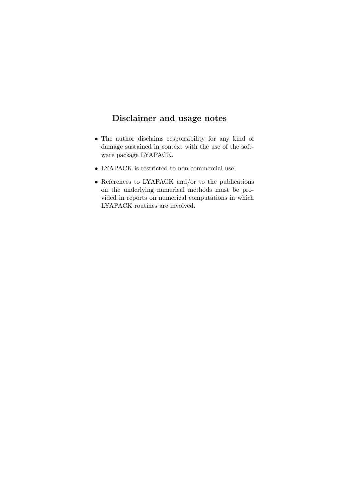## Disclaimer and usage notes

- The author disclaims responsibility for any kind of damage sustained in context with the use of the software package LYAPACK.
- LYAPACK is restricted to non-commercial use.
- References to LYAPACK and/or to the publications on the underlying numerical methods must be provided in reports on numerical computations in which LYAPACK routines are involved.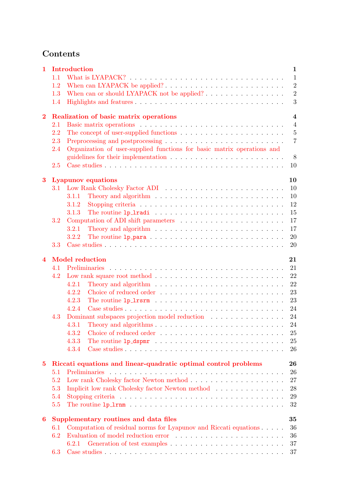## Contents

| $\mathbf{1}$     |                                                                       | Introduction<br>$\mathbf{1}$                                                                                  |  |  |  |  |  |  |
|------------------|-----------------------------------------------------------------------|---------------------------------------------------------------------------------------------------------------|--|--|--|--|--|--|
|                  | 1.1                                                                   | $\mathbf{1}$                                                                                                  |  |  |  |  |  |  |
|                  | 1.2                                                                   | $\overline{2}$                                                                                                |  |  |  |  |  |  |
|                  | 1.3                                                                   | $\overline{2}$<br>When can or should LYAPACK not be applied?                                                  |  |  |  |  |  |  |
|                  | 1.4                                                                   | 3                                                                                                             |  |  |  |  |  |  |
|                  |                                                                       | $\overline{4}$                                                                                                |  |  |  |  |  |  |
| $\mathbf{2}$     |                                                                       | Realization of basic matrix operations                                                                        |  |  |  |  |  |  |
|                  | 2.1                                                                   | $\overline{4}$                                                                                                |  |  |  |  |  |  |
|                  | 2.2                                                                   | $\overline{5}$                                                                                                |  |  |  |  |  |  |
|                  | 2.3                                                                   | $\overline{7}$                                                                                                |  |  |  |  |  |  |
|                  | 2.4                                                                   | Organization of user-supplied functions for basic matrix operations and                                       |  |  |  |  |  |  |
|                  |                                                                       | 8                                                                                                             |  |  |  |  |  |  |
|                  | 2.5                                                                   | 10                                                                                                            |  |  |  |  |  |  |
| $\bf{3}$         | 10<br><b>Lyapunov</b> equations                                       |                                                                                                               |  |  |  |  |  |  |
|                  |                                                                       | 3.1 Low Rank Cholesky Factor ADI<br>10                                                                        |  |  |  |  |  |  |
|                  |                                                                       | Theory and algorithm $\dots \dots \dots \dots \dots \dots \dots \dots \dots \dots$<br>10<br>3.1.1             |  |  |  |  |  |  |
|                  |                                                                       | 12<br>3.1.2                                                                                                   |  |  |  |  |  |  |
|                  |                                                                       | 15<br>3.1.3                                                                                                   |  |  |  |  |  |  |
|                  | 3.2                                                                   | 17                                                                                                            |  |  |  |  |  |  |
|                  |                                                                       | 17<br>Theory and algorithm $\ldots \ldots \ldots \ldots \ldots \ldots \ldots \ldots \ldots$<br>3.2.1          |  |  |  |  |  |  |
|                  |                                                                       | 20<br>3.2.2                                                                                                   |  |  |  |  |  |  |
|                  | 3.3                                                                   | 20                                                                                                            |  |  |  |  |  |  |
|                  |                                                                       |                                                                                                               |  |  |  |  |  |  |
| $\boldsymbol{4}$ |                                                                       | <b>Model reduction</b><br>21                                                                                  |  |  |  |  |  |  |
|                  | 4.1                                                                   | 21                                                                                                            |  |  |  |  |  |  |
|                  | 4.2                                                                   | 22                                                                                                            |  |  |  |  |  |  |
|                  |                                                                       | 22<br>Theory and algorithm $\ldots \ldots \ldots \ldots \ldots \ldots \ldots \ldots$<br>4.2.1                 |  |  |  |  |  |  |
|                  |                                                                       | 23<br>4.2.2                                                                                                   |  |  |  |  |  |  |
|                  |                                                                       | 23<br>The routine $lp_1rsrm_1 \ldots \ldots \ldots \ldots \ldots \ldots \ldots \ldots$<br>4.2.3               |  |  |  |  |  |  |
|                  |                                                                       | 24<br>4.2.4                                                                                                   |  |  |  |  |  |  |
|                  | 4.3                                                                   | 24<br>Dominant subspaces projection model reduction                                                           |  |  |  |  |  |  |
|                  |                                                                       | 24<br>4.3.1                                                                                                   |  |  |  |  |  |  |
|                  |                                                                       | 4.3.2<br>$25\,$                                                                                               |  |  |  |  |  |  |
|                  |                                                                       | $25\,$<br>4.3.3                                                                                               |  |  |  |  |  |  |
|                  |                                                                       | 4.3.4<br>26                                                                                                   |  |  |  |  |  |  |
| $\bf{5}$         | Riccati equations and linear-quadratic optimal control problems<br>26 |                                                                                                               |  |  |  |  |  |  |
|                  | 5.1                                                                   | 26                                                                                                            |  |  |  |  |  |  |
|                  | 5.2                                                                   | 27                                                                                                            |  |  |  |  |  |  |
|                  | 5.3                                                                   | Implicit low rank Cholesky factor Newton method<br>28                                                         |  |  |  |  |  |  |
|                  | 5.4                                                                   | 29<br>Stopping criteria $\ldots \ldots \ldots \ldots \ldots \ldots \ldots \ldots \ldots \ldots \ldots \ldots$ |  |  |  |  |  |  |
|                  | 5.5                                                                   | 32                                                                                                            |  |  |  |  |  |  |
|                  |                                                                       |                                                                                                               |  |  |  |  |  |  |
| 6                |                                                                       | Supplementary routines and data files<br>35                                                                   |  |  |  |  |  |  |
|                  | 6.1                                                                   | Computation of residual norms for Lyapunov and Riccati equations<br>36                                        |  |  |  |  |  |  |
|                  | 6.2                                                                   | 36                                                                                                            |  |  |  |  |  |  |
|                  |                                                                       | 6.2.1<br>37                                                                                                   |  |  |  |  |  |  |
|                  | 6.3                                                                   | 37                                                                                                            |  |  |  |  |  |  |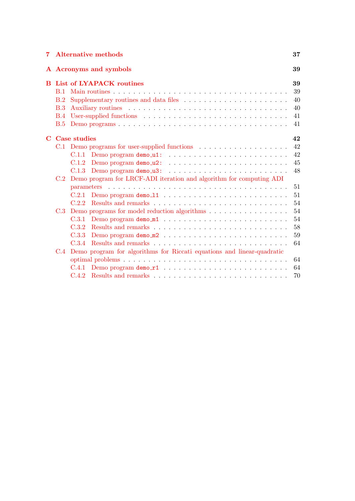|              | <b>7</b> Alternative methods                                            |                              |                                                                                         |    |  |  |
|--------------|-------------------------------------------------------------------------|------------------------------|-----------------------------------------------------------------------------------------|----|--|--|
|              |                                                                         | A Acronyms and symbols<br>39 |                                                                                         |    |  |  |
| <sub>B</sub> | List of LYAPACK routines                                                |                              |                                                                                         |    |  |  |
|              | <b>B.1</b>                                                              |                              |                                                                                         | 39 |  |  |
|              | B.2                                                                     |                              |                                                                                         | 40 |  |  |
|              | B.3                                                                     |                              |                                                                                         | 40 |  |  |
|              | <b>B.4</b>                                                              |                              |                                                                                         | 41 |  |  |
|              | B.5                                                                     |                              |                                                                                         | 41 |  |  |
| $\mathbf C$  | Case studies                                                            |                              |                                                                                         |    |  |  |
|              |                                                                         |                              |                                                                                         | 42 |  |  |
|              |                                                                         |                              | $C.1.1$ Demo program demo_u1: $\ldots \ldots \ldots \ldots \ldots \ldots \ldots \ldots$ | 42 |  |  |
|              |                                                                         |                              |                                                                                         | 45 |  |  |
|              |                                                                         |                              | $C.1.3$ Demo program demo_u3: $\ldots \ldots \ldots \ldots \ldots \ldots \ldots \ldots$ | 48 |  |  |
|              | C.2 Demo program for LRCF-ADI iteration and algorithm for computing ADI |                              |                                                                                         |    |  |  |
|              |                                                                         |                              |                                                                                         | 51 |  |  |
|              |                                                                         |                              |                                                                                         | 51 |  |  |
|              |                                                                         |                              |                                                                                         | 54 |  |  |
|              |                                                                         |                              | C.3 Demo programs for model reduction algorithms                                        | 54 |  |  |
|              |                                                                         |                              |                                                                                         | 54 |  |  |
|              |                                                                         | C.3.2                        |                                                                                         | 58 |  |  |
|              |                                                                         | C.3.3                        |                                                                                         | 59 |  |  |
|              |                                                                         | C.3.4                        |                                                                                         | 64 |  |  |
|              |                                                                         |                              | C.4 Demo program for algorithms for Riccati equations and linear-quadratic              |    |  |  |
|              |                                                                         |                              |                                                                                         | 64 |  |  |
|              |                                                                         |                              |                                                                                         | 64 |  |  |
|              |                                                                         |                              |                                                                                         | 70 |  |  |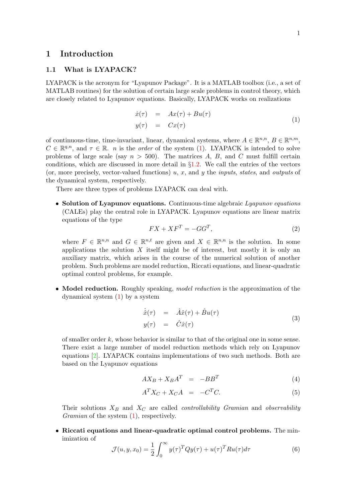## <span id="page-7-0"></span>1 Introduction

## <span id="page-7-1"></span>1.1 What is LYAPACK?

LYAPACK is the acronym for "Lyapunov Package". It is a MATLAB toolbox (i.e., a set of MATLAB routines) for the solution of certain large scale problems in control theory, which are closely related to Lyapunov equations. Basically, LYAPACK works on realizations

<span id="page-7-2"></span>
$$
\begin{array}{rcl}\n\dot{x}(\tau) & = & Ax(\tau) + Bu(\tau) \\
y(\tau) & = & Cx(\tau)\n\end{array} \tag{1}
$$

of continuous-time, time-invariant, linear, dynamical systems, where  $A \in \mathbb{R}^{n,n}$ ,  $B \in \mathbb{R}^{n,m}$ ,  $C \in \mathbb{R}^{q,n}$  $C \in \mathbb{R}^{q,n}$  $C \in \mathbb{R}^{q,n}$ , and  $\tau \in \mathbb{R}$ . *n* is the *order* of the system ([1](#page-7-2)). LYAPACK is intended to solve problems of large scale (say  $n > 500$ ). The matrices A, B, and C must fulfill certain conditions, which are discussed in more detail in  $\S1.2$ . We call the entries of the vectors (or, more precisely, vector-valued functions) u, x, and y the *inputs*, *states*, and *outputs* of the dynamical system, respectively.

There are three types of problems LYAPACK can deal with.

• Solution of Lyapunov equations. Continuous-time algebraic Lyapunov equations (CALEs) play the central role in LYAPACK. Lyapunov equations are linear matrix equations of the type

<span id="page-7-3"></span>
$$
FX + XF^T = -GG^T,\t\t(2)
$$

where  $F \in \mathbb{R}^{n,n}$  and  $G \in \mathbb{R}^{n,t}$  are given and  $X \in \mathbb{R}^{n,n}$  is the solution. In some applications the solution  $X$  itself might be of interest, but mostly it is only an auxiliary matrix, which arises in the course of the numerical solution of another problem. Such problems are model reduction, Riccati equations, and linear-quadratic optimal control problems, for example.

• Model reduction. Roughly speaking, *model reduction* is the approximation of the dynamical system [\(1](#page-7-2)) by a system

$$
\dot{\hat{x}}(\tau) = \hat{A}\hat{x}(\tau) + \hat{B}u(\tau) \ny(\tau) = \hat{C}\hat{x}(\tau)
$$
\n(3)

of smaller order  $k$ , whose behavior is similar to that of the original one in some sense. There exist a large number of model reduction methods which rely on Lyapunov equations [\[2\]](#page-77-1). LYAPACK contains implementations of two such methods. Both are based on the Lyapunov equations

$$
AX_B + X_B A^T = -BB^T \tag{4}
$$

$$
A^T X_C + X_C A = -C^T C. \tag{5}
$$

Their solutions  $X_B$  and  $X_C$  are called *controllability Gramian* and *observability* Gramian of the system  $(1)$ , respectively.

• Riccati equations and linear-quadratic optimal control problems. The minimization of

$$
\mathcal{J}(u, y, x_0) = \frac{1}{2} \int_0^\infty y(\tau)^T Q y(\tau) + u(\tau)^T R u(\tau) d\tau \tag{6}
$$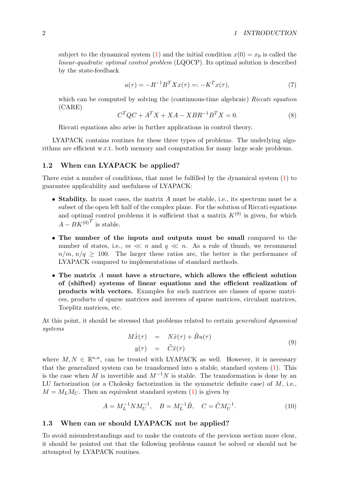subject to the dynamical system [\(1\)](#page-7-2) and the initial condition  $x(0) = x_0$  is called the linear-quadratic optimal control problem (LQOCP). Its optimal solution is described by the state-feedback

$$
u(\tau) = -R^{-1}B^T X x(\tau) =: -K^T x(\tau),
$$
\n(7)

which can be computed by solving the (continuous-time algebraic) Riccati equation (CARE)

<span id="page-8-4"></span>
$$
CTQC + ATX + XA - XBR-1BTX = 0.
$$
\n(8)

Riccati equations also arise in further applications in control theory.

LYAPACK contains routines for these three types of problems. The underlying algorithms are efficient w.r.t. both memory and computation for many large scale problems.

## <span id="page-8-0"></span>1.2 When can LYAPACK be applied?

There exist a number of conditions, that must be fulfilled by the dynamical system([1](#page-7-2)) to guarantee applicability and usefulness of LYAPACK:

- Stability. In most cases, the matrix A must be stable, i.e., its spectrum must be a subset of the open left half of the complex plane. For the solution of Riccati equations and optimal control problems it is sufficient that a matrix  $K^{(0)}$  is given, for which  $A - BK^{(0)}$ <sup>T</sup> is stable.
- The number of the inputs and outputs must be small compared to the number of states, i.e.,  $m \ll n$  and  $q \ll n$ . As a rule of thumb, we recommend  $n/m$ ,  $n/q \geq 100$ . The larger these ratios are, the better is the performance of LYAPACK compared to implementations of standard methods.
- The matrix A must have a structure, which allows the efficient solution of (shifted) systems of linear equations and the efficient realization of products with vectors. Examples for such matrices are classes of sparse matrices, products of sparse matrices and inverses of sparse matrices, circulant matrices, Toeplitz matrices, etc.

At this point, it should be stressed that problems related to certain generalized dynamical systems

<span id="page-8-2"></span>
$$
M\dot{\tilde{x}}(\tau) = N\tilde{x}(\tau) + \tilde{B}u(\tau) \ny(\tau) = \tilde{C}\tilde{x}(\tau)
$$
\n(9)

where  $M, N \in \mathbb{R}^{n,n}$ , can be treated with LYAPACK as well. However, it is necessary that the generalized system can be transformed into a stable, standard system([1](#page-7-2)). This is the case when M is invertible and  $M^{-1}N$  is stable. The transformation is done by an LU factorization (or a Cholesky factorization in the symmetric definite case) of  $M$ , i.e.,  $M = M_L M_U$  $M = M_L M_U$  $M = M_L M_U$ . Then an equivalent standard system ([1](#page-7-2)) is given by

<span id="page-8-3"></span>
$$
A = M_L^{-1} N M_U^{-1}, \quad B = M_L^{-1} \tilde{B}, \quad C = \tilde{C} M_U^{-1}.
$$
 (10)

## <span id="page-8-1"></span>1.3 When can or should LYAPACK not be applied?

To avoid misunderstandings and to make the contents of the previous section more clear, it should be pointed out that the following problems cannot be solved or should not be attempted by LYAPACK routines.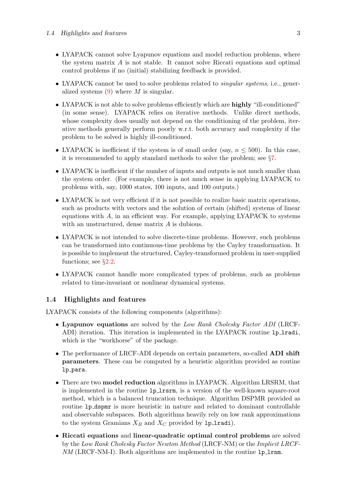- LYAPACK cannot solve Lyapunov equations and model reduction problems, where the system matrix A is not stable. It cannot solve Riccati equations and optimal control problems if no (initial) stabilizing feedback is provided.
- LYAPACK cannot be used to solve problems related to *singular systems*, i.e., generalizedsystems  $(9)$  $(9)$  $(9)$  where M is singular.
- LYAPACK is not able to solve problems efficiently which are **highly** "ill-conditioned" (in some sense). LYAPACK relies on iterative methods. Unlike direct methods, whose complexity does usually not depend on the conditioning of the problem, iterative methods generally perform poorly w.r.t. both accuracy and complexity if the problem to be solved is highly ill-conditioned.
- LYAPACK is inefficient if the system is of small order (say,  $n \leq 500$ ). In this case, it is recommended to apply standard methods to solve the problem; see §[7](#page-43-2).
- LYAPACK is inefficient if the number of inputs and outputs is not much smaller than the system order. (For example, there is not much sense in applying LYAPACK to problems with, say, 1000 states, 100 inputs, and 100 outputs.)
- LYAPACK is not very efficient if it is not possible to realize basic matrix operations, such as products with vectors and the solution of certain (shifted) systems of linear equations with  $A$ , in an efficient way. For example, applying LYAPACK to systems with an unstructured, dense matrix A is dubious.
- LYAPACK is not intended to solve discrete-time problems. However, such problems can be transformed into continuous-time problems by the Cayley transformation. It is possible to implement the structured, Cayley-transformed problem in user-supplied functions; see  $\S 2.2$ .
- LYAPACK cannot handle more complicated types of problems, such as problems related to time-invariant or nonlinear dynamical systems.

## <span id="page-9-0"></span>1.4 Highlights and features

LYAPACK consists of the following components (algorithms):

- Lyapunov equations are solved by the Low Rank Cholesky Factor ADI (LRCF-ADI) iteration. This iteration is implemented in the LYAPACK routine lp lradi, which is the "workhorse" of the package.
- The performance of LRCF-ADI depends on certain parameters, so-called **ADI** shift parameters. These can be computed by a heuristic algorithm provided as routine lp para.
- There are two model reduction algorithms in LYAPACK. Algorithm LRSRM, that is implemented in the routine lp lrsrm, is a version of the well-known square-root method, which is a balanced truncation technique. Algorithm DSPMR provided as routine  $lp\_dspm$  is more heuristic in nature and related to dominant controllable and observable subspaces. Both algorithms heavily rely on low rank approximations to the system Gramians  $X_B$  and  $X_C$  provided by 1p\_1radi).
- Riccati equations and linear-quadratic optimal control problems are solved by the Low Rank Cholesky Factor Newton Method (LRCF-NM) or the Implicit LRCF-NM (LRCF-NM-I). Both algorithms are implemented in the routine 1p\_1rnm.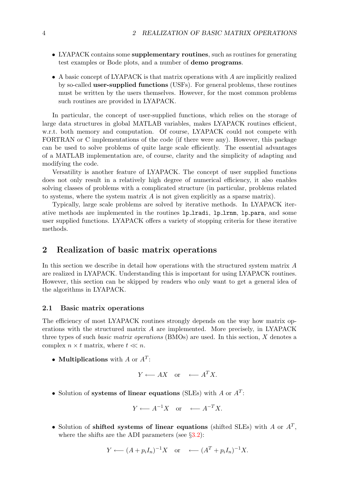- LYAPACK contains some **supplementary routines**, such as routines for generating test examples or Bode plots, and a number of demo programs.
- $\bullet$  A basic concept of LYAPACK is that matrix operations with A are implicitly realized by so-called user-supplied functions (USFs). For general problems, these routines must be written by the users themselves. However, for the most common problems such routines are provided in LYAPACK.

In particular, the concept of user-supplied functions, which relies on the storage of large data structures in global MATLAB variables, makes LYAPACK routines efficient, w.r.t. both memory and computation. Of course, LYAPACK could not compete with FORTRAN or C implementations of the code (if there were any). However, this package can be used to solve problems of quite large scale efficiently. The essential advantages of a MATLAB implementation are, of course, clarity and the simplicity of adapting and modifying the code.

Versatility is another feature of LYAPACK. The concept of user supplied functions does not only result in a relatively high degree of numerical efficiency, it also enables solving classes of problems with a complicated structure (in particular, problems related to systems, where the system matrix  $A$  is not given explicitly as a sparse matrix).

Typically, large scale problems are solved by iterative methods. In LYAPACK iterative methods are implemented in the routines lp lradi, lp lrnm, lp para, and some user supplied functions. LYAPACK offers a variety of stopping criteria for these iterative methods.

## <span id="page-10-0"></span>2 Realization of basic matrix operations

In this section we describe in detail how operations with the structured system matrix A are realized in LYAPACK. Understanding this is important for using LYAPACK routines. However, this section can be skipped by readers who only want to get a general idea of the algorithms in LYAPACK.

## <span id="page-10-1"></span>2.1 Basic matrix operations

The efficiency of most LYAPACK routines strongly depends on the way how matrix operations with the structured matrix A are implemented. More precisely, in LYAPACK three types of such basic matrix operations (BMOs) are used. In this section, X denotes a complex  $n \times t$  matrix, where  $t \ll n$ .

• Multiplications with A or  $A<sup>T</sup>$ :

$$
Y \longleftarrow AX \quad \text{or} \quad \longleftarrow A^T X.
$$

• Solution of systems of linear equations (SLEs) with  $A$  or  $A<sup>T</sup>$ :

$$
Y \longleftarrow A^{-1}X \quad \text{or} \quad \longleftarrow A^{-T}X.
$$

• Solution of shifted systems of linear equations (shifted SLEs) with A or  $A<sup>T</sup>$ , where the shifts are the ADI parameters (see  $\S 3.2$ ):

$$
Y \longleftarrow (A + p_i I_n)^{-1} X \quad \text{or} \quad \longleftarrow (A^T + p_i I_n)^{-1} X.
$$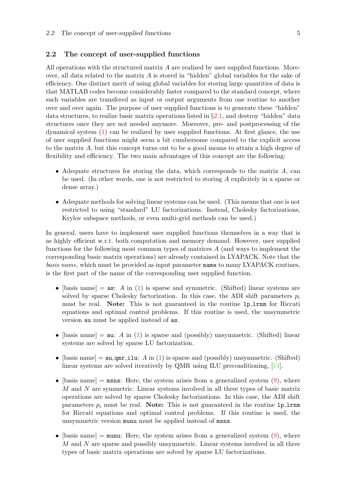## <span id="page-11-0"></span>2.2 The concept of user-supplied functions

All operations with the structured matrix  $A$  are realized by user supplied functions. Moreover, all data related to the matrix  $A$  is stored in "hidden" global variables for the sake of efficiency. One distinct merit of using global variables for storing large quantities of data is that MATLAB codes become considerably faster compared to the standard concept, where such variables are transfered as input or output arguments from one routine to another over and over again. The purpose of user supplied functions is to generate these "hidden" data structures, to realize basic matrix operations listed in §[2.1,](#page-10-1) and destroy "hidden" data structures once they are not needed anymore. Moreover, pre- and postprocessing of the dynamical system [\(1\)](#page-7-2) can be realized by user supplied functions. At first glance, the use of user supplied functions might seem a bit cumbersome compared to the explicit access to the matrix A, but this concept turns out to be a good means to attain a high degree of flexibility and efficiency. The two main advantages of this concept are the following:

- Adequate structures for storing the data, which corresponds to the matrix  $A$ , can be used. (In other words, one is not restricted to storing A explicitely in a sparse or dense array.)
- Adequate methods for solving linear systems can be used. (This means that one is not restricted to using "standard" LU factorizations. Instead, Cholesky factorizations, Krylov subspace methods, or even multi-grid methods can be used.)

In general, users have to implement user supplied functions themselves in a way that is as highly efficient w.r.t. both computation and memory demand. However, user supplied functions for the following most common types of matrices A (and ways to implement the corresponding basic matrix operations) are already contained in LYAPACK. Note that the basis name, which must be provided as input parameter name to many LYAPACK routines, is the first part of the name of the corresponding user supplied function.

- [basis name] =  $\text{as: } A \text{ in (1)}$  $\text{as: } A \text{ in (1)}$  $\text{as: } A \text{ in (1)}$  is sparse and symmetric. (Shifted) linear systems are solved by sparse Cholesky factorization. In this case, the ADI shift parameters  $p_i$ must be real. Note: This is not guaranteed in the routine 1p 1 rnm for Riccati equations and optimal control problems. If this routine is used, the unsymmetric version au must be applied instead of as.
- [basis name]  $=$  au: A in [\(1](#page-7-2)) is sparse and (possibly) unsymmetric. (Shifted) linear systems are solved by sparse LU factorization.
- •[basis name] =  $au_qmr_ilu: A$  in ([1](#page-7-2)) is sparse and (possibly) unsymmetric. (Shifted) linear systems are solved iteratively by QMR using ILU preconditioning,[[14\]](#page-77-2).
- •[basis name]  $=$  msns: Here, the system arises from a generalized system  $(9)$  $(9)$  $(9)$ , where M and N are symmetric. Linear systems involved in all three types of basic matrix operations are solved by sparse Cholesky factorizations. In this case, the ADI shift parameters  $p_i$  must be real. Note: This is not guaranteed in the routine 1p 1 rnm for Riccati equations and optimal control problems. If this routine is used, the unsymmetric version munu must be applied instead of msns.
- •[basis name]  $=$  munu: Here, the system arises from a generalized system  $(9)$  $(9)$  $(9)$ , where M and N are sparse and possibly unsymmetric. Linear systems involved in all three types of basic matrix operations are solved by sparse LU factorizations.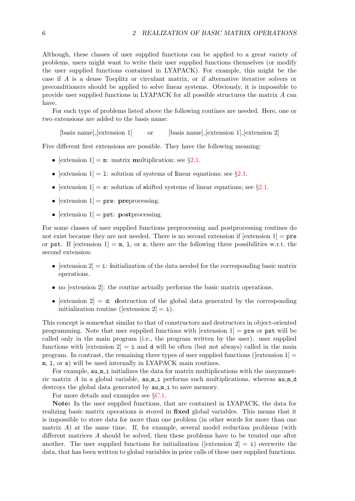Although, these classes of user supplied functions can be applied to a great variety of problems, users might want to write their user supplied functions themselves (or modify the user supplied functions contained in LYAPACK). For example, this might be the case if A is a dense Toeplitz or circulant matrix, or if alternative iterative solvers or preconditioners should be applied to solve linear systems. Obviously, it is impossible to provide user supplied functions in LYAPACK for all possible structures the matrix A can have.

For each type of problems listed above the following routines are needed. Here, one or two extensions are added to the basis name:

[basis name] [extension 1] or [basis name] [extension 1] [extension 2]

Five different first extensions are possible. They have the following meaning:

- [extension 1] = m: matrix multiplication; see  $\S 2.1$  $\S 2.1$ .
- [extension 1] = 1: solution of systems of linear equations; see  $\S 2.1$  $\S 2.1$ .
- [extension 1] = s: solution of shifted systems of linear equations; see  $\S 2.1$  $\S 2.1$ .
- [extension  $1$ ] = pre: preprocessing.
- [extension 1] = pst: postprocessing.

For some classes of user supplied functions preprocessing and postprocessing routines do not exist because they are not needed. There is no second extension if  $[extension 1] = **pre**$ or pst. If [extension 1] =  $m$ , 1, or s, there are the following three possibilities w.r.t. the second extension:

- [extension 2]  $=$  i: initialization of the data needed for the corresponding basic matrix operations.
- no [extension 2]: the routine actually performs the basic matrix operations.
- [extension 2] = d: destruction of the global data generated by the corresponding initialization routine ([extension  $2$ ] = i).

This concept is somewhat similar to that of constructors and destructors in object-oriented programming. Note that user supplied functions with  $[extension 1] = **pre**$  or  **will be** called only in the main program (i.e., the program written by the user). user supplied functions with [extension  $2$ ] = i and d will be often (but not always) called in the main program. In contrast, the remaining three types of user supplied functions ([extension  $1$ ] = m, l, or s) will be used internally in LYAPACK main routines.

For example,  $au\_m_i$  initializes the data for matrix multiplications with the unsymmetric matrix A in a global variable,  $a \mu \mu i$  performs such multiplications, whereas  $a \mu \mu d$ destroys the global data generated by  $a u_m$  i to save memory.

For more details and examples see §[C.1](#page-48-1).

Note: In the user supplied functions, that are contained in LYAPACK, the data for realizing basic matrix operations is stored in fixed global variables. This means that it is impossible to store data for more than one problem (in other words for more than one matrix  $A$ ) at the same time. If, for example, several model reduction problems (with different matrices A should be solved, then these problems have to be treated one after another. The user supplied functions for initialization (extension  $2 = i$ ) overwrite the data, that has been written to global variables in prior calls of these user supplied functions.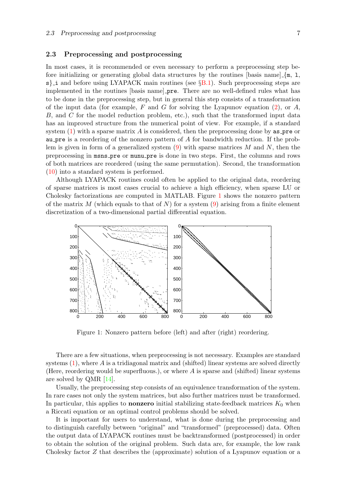## <span id="page-13-0"></span>2.3 Preprocessing and postprocessing

In most cases, it is recommended or even necessary to perform a preprocessing step before initializing or generating global data structures by the routines [basis name] $\{\mathbf{m}, 1,$  $s$ . i and before using LYAPACK main routines (see  $\S$ [B.1\)](#page-45-2). Such preprocessing steps are implemented in the routines [basis name] pre. There are no well-defined rules what has to be done in the preprocessing step, but in general this step consists of a transformation of the input data (for example, F and G for solving the Lyapunov equation  $(2)$ , or A, B, and C for the model reduction problem, etc.), such that the transformed input data has an improved structure from the numerical point of view. For example, if a standard system $(1)$  $(1)$  $(1)$  with a sparse matrix A is considered, then the preprocessing done by as pre or au pre is a reordering of the nonzero pattern of A for bandwidth reduction. If the problemis given in form of a generalized system  $(9)$  $(9)$  $(9)$  with sparse matrices M and N, then the preprocessing in msns pre or munu pre is done in two steps. First, the columns and rows of both matrices are reordered (using the same permutation). Second, the transformation [\(10](#page-8-3)) into a standard system is performed.

Although LYAPACK routines could often be applied to the original data, reordering of sparse matrices is most cases crucial to achieve a high efficiency, when sparse LU or Cholesky factorizations are computed in MATLAB. Figure [1](#page-13-1) shows the nonzero pattern of the matrix M (which equals to that of N) for a system  $(9)$  arising from a finite element discretization of a two-dimensional partial differential equation.



<span id="page-13-1"></span>Figure 1: Nonzero pattern before (left) and after (right) reordering.

There are a few situations, when preprocessing is not necessary. Examples are standard systems $(1)$  $(1)$  $(1)$ , where A is a tridiagonal matrix and (shifted) linear systems are solved directly (Here, reordering would be superfluous.), or where  $A$  is sparse and (shifted) linear systems are solved by QMR [\[14](#page-77-2)].

Usually, the preprocessing step consists of an equivalence transformation of the system. In rare cases not only the system matrices, but also further matrices must be transformed. In particular, this applies to **nonzero** initial stabilizing state-feedback matrices  $K_0$  when a Riccati equation or an optimal control problems should be solved.

It is important for users to understand, what is done during the preprocessing and to distinguish carefully between "original" and "transformed" (preprocessed) data. Often the output data of LYAPACK routines must be backtransformed (postprocessed) in order to obtain the solution of the original problem. Such data are, for example, the low rank Cholesky factor Z that describes the (approximate) solution of a Lyapunov equation or a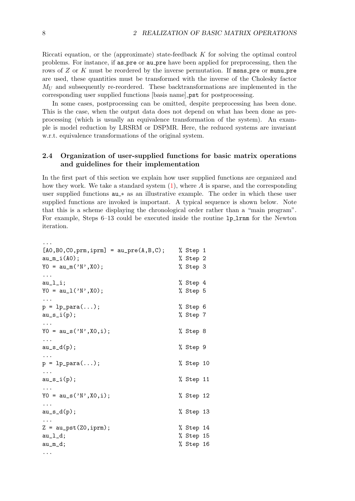Riccati equation, or the (approximate) state-feedback K for solving the optimal control problems. For instance, if as pre or au pre have been applied for preprocessing, then the rows of  $Z$  or  $K$  must be reordered by the inverse permutation. If msns\_pre or munu\_pre are used, these quantities must be transformed with the inverse of the Cholesky factor  $M_U$  and subsequently re-reordered. These backtransformations are implemented in the corresponding user supplied functions [basis name] pst for postprocessing.

In some cases, postprocessing can be omitted, despite preprocessing has been done. This is the case, when the output data does not depend on what has been done as preprocessing (which is usually an equivalence transformation of the system). An example is model reduction by LRSRM or DSPMR. Here, the reduced systems are invariant w.r.t. equivalence transformations of the original system.

## <span id="page-14-0"></span>2.4 Organization of user-supplied functions for basic matrix operations and guidelines for their implementation

In the first part of this section we explain how user supplied functions are organized and how they work. We take a standard system  $(1)$ , where A is sparse, and the corresponding user supplied functions  $au$  \* as an illustrative example. The order in which these user supplied functions are invoked is important. A typical sequence is shown below. Note that this is a scheme displaying the chronological order rather than a "main program". For example, Steps 6–13 could be executed inside the routine lp lrnm for the Newton iteration.

```
...
[AO, BO, CO, prm, iprm] = au_pre(A, B, C); % Step 1
au_m_i(A0); % Step 2
YO = au_m('N',X0); % Step 3
...
au<sub>_</sub>l_i; % Step 4
YO = au_1('N',X0); % Step 5
...
p = lp\_para(...); % Step 6
au_s_i(p); % Step 7...
Y0 = au_s('N',X0,i); % Step 8
...
au_s_d(p); \% Step 9
...
p = lp\_para(...); % Step 10
...
au_s_i(p); % Step 11...
YO = au_s('N',X0,i); % Step 12
...
au_s_d(p); % Step 13...
Z = \text{au}_\text{post}(Z0, \text{iprm}); \% Step 14
au<sub>_1</sub>_d; % Step 15
au_m_d; % Step 16
...
```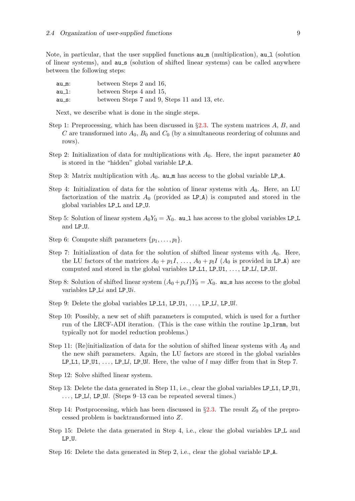Note, in particular, that the user supplied functions  $au_m$  (multiplication),  $au_l$  (solution of linear systems), and au s (solution of shifted linear systems) can be called anywhere between the following steps:

| au_m: | between Steps 2 and 16,                      |
|-------|----------------------------------------------|
| au_l: | between Steps 4 and 15,                      |
| au_s: | between Steps 7 and 9, Steps 11 and 13, etc. |

Next, we describe what is done in the single steps.

- Step 1: Preprocessing, which has been discussed in  $\S 2.3$ . The system matrices A, B, and C are transformed into  $A_0$ ,  $B_0$  and  $C_0$  (by a simultaneous reordering of columns and rows).
- Step 2: Initialization of data for multiplications with  $A_0$ . Here, the input parameter A0 is stored in the "hidden" global variable LP A.
- Step 3: Matrix multiplication with  $A_0$ . au m has access to the global variable LP\_A.
- Step 4: Initialization of data for the solution of linear systems with  $A_0$ . Here, an LU factorization of the matrix  $A_0$  (provided as LP $\hat{A}$ ) is computed and stored in the global variables LP L and LP U.
- Step 5: Solution of linear system  $A_0Y_0 = X_0$ . au 1 has access to the global variables LP L and LP U.
- Step 6: Compute shift parameters  $\{p_1, \ldots, p_l\}.$
- Step 7: Initialization of data for the solution of shifted linear systems with  $A_0$ . Here, the LU factors of the matrices  $A_0 + p_1I, \ldots, A_0 + p_lI$  ( $A_0$  is provided in LP\_A) are computed and stored in the global variables  $LP\_L1$ ,  $LP\_U1$ , ...,  $LP\_Ll$ ,  $LP\_Ul$ .
- Step 8: Solution of shifted linear system  $(A_0 + p_iI)Y_0 = X_0$ . au s has access to the global variables  $LP\_Li$  and  $LP\_Ui$ .
- Step 9: Delete the global variables LP $\bot$ 1, LP $\bot$ U1, ..., LP $\bot$ l, LP $\bot$ Ul.
- Step 10: Possibly, a new set of shift parameters is computed, which is used for a further run of the LRCF-ADI iteration. (This is the case within the routine lp lrnm, but typically not for model reduction problems.)
- Step 11: (Re)initialization of data for the solution of shifted linear systems with  $A_0$  and the new shift parameters. Again, the LU factors are stored in the global variables LP L1, LP U1, ..., LP Ll, LP Ul. Here, the value of l may differ from that in Step 7.
- Step 12: Solve shifted linear system.
- Step 13: Delete the data generated in Step 11, i.e., clear the global variables LP\_L1, LP\_U1, ..., LP\_Ll, LP\_Ul. (Steps 9–13 can be repeated several times.)
- Step 14: Postprocessing, which has been discussed in  $\S 2.3$ . The result  $Z_0$  of the preprocessed problem is backtransformed into Z.
- Step 15: Delete the data generated in Step 4, i.e., clear the global variables LP<sub>L</sub> and LP U.
- Step 16: Delete the data generated in Step 2, i.e., clear the global variable LP A.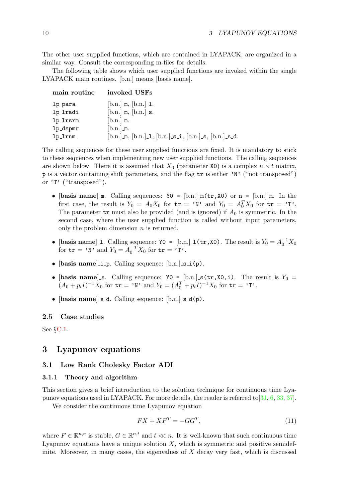The other user supplied functions, which are contained in LYAPACK, are organized in a similar way. Consult the corresponding m-files for details.

The following table shows which user supplied functions are invoked within the single LYAPACK main routines. [b.n.] means [basis name].

| main routine | invoked USFs                                                    |
|--------------|-----------------------------------------------------------------|
| lp_para      | $[b.n.]$ m, $[b.n.]$ 1.                                         |
| lp_lradi     | $[b.n.]$ m, $[b.n.]$ s.                                         |
| lp_lrsrm     | $[b.n.]$ m.                                                     |
| 1p_dspmr     | $[b.n.]$ m.                                                     |
| lp_lrnm      | $[b.n.]$ m, $[b.n.]$ 1, $[b.n.]$ s i, $[b.n.]$ s, $[b.n.]$ s d. |

The calling sequences for these user supplied functions are fixed. It is mandatory to stick to these sequences when implementing new user supplied functions. The calling sequences are shown below. There it is assumed that  $X_0$  (parameter X0) is a complex  $n \times t$  matrix, p is a vector containing shift parameters, and the flag tr is either 'N' ("not transposed") or 'T' ("transposed").

- [basis name] m. Calling sequences:  $Y0 = [b.n.]$  m(tr, X0) or n = [b.n.] m. In the first case, the result is  $Y_0 = A_0 X_0$  for  $\mathbf{tr} = 'N'$  and  $Y_0 = A_0^T X_0$  for  $\mathbf{tr} = 'T'$ . The parameter  $tr$  must also be provided (and is ignored) if  $A_0$  is symmetric. In the second case, where the user supplied function is called without input parameters, only the problem dimension  $n$  is returned.
- [basis name] 1. Calling sequence:  $\text{Y0} = [\text{b.n.}] \cdot \text{I(tr,X0)}$ . The result is  $Y_0 = A_0^{-1} X_0$ for  $\mathbf{tr} = 'W'$  and  $Y_0 = A_0^{-T} X_0$  for  $\mathbf{tr} = 'T'$ .
- $[basis name] \i p. Calling sequence: [b.n.] s_i(p).$
- [basis name]s. Calling sequence:  $\gamma_0 = [\text{b.n.}]\text{ s(tr,X0,i)}$ . The result is  $Y_0 =$  $(A_0 + p_i I)^{-1} X_0$  for  $\mathbf{tr} = \mathbf{v} \mathbf{N} \cdot \text{and } Y_0 = (A_0^T + p_i I)^{-1} X_0$  for  $\mathbf{tr} = \mathbf{v} \mathbf{T} \cdot \mathbf{N}$ .
- [basis name]  $s_d$ . Calling sequence:  $[b_n]$   $s_d(p)$ .

## <span id="page-16-0"></span>2.5 Case studies

See §[C.1](#page-48-1).

## <span id="page-16-1"></span>3 Lyapunov equations

## <span id="page-16-2"></span>3.1 Low Rank Cholesky Factor ADI

#### <span id="page-16-3"></span>3.1.1 Theory and algorithm

This section gives a brief introduction to the solution technique for continuous time Lyapunov equations used in LYAPACK. For more details, the reader is referred to[[31,](#page-78-0) [6,](#page-77-3) [33](#page-78-1), [37](#page-79-0)].

We consider the continuous time Lyapunov equation

<span id="page-16-4"></span>
$$
FX + XF^T = -GG^T,\tag{11}
$$

where  $F \in \mathbb{R}^{n,n}$  is stable,  $G \in \mathbb{R}^{n,t}$  and  $t \ll n$ . It is well-known that such continuous time Lyapunov equations have a unique solution  $X$ , which is symmetric and positive semidefinite. Moreover, in many cases, the eigenvalues of  $X$  decay very fast, which is discussed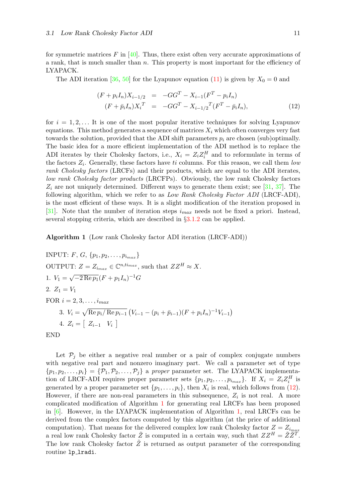forsymmetric matrices F in  $[40]$  $[40]$  $[40]$ . Thus, there exist often very accurate approximations of a rank, that is much smaller than  $n$ . This property is most important for the efficiency of LYAPACK.

TheADI iteration [[36,](#page-79-2) [50](#page-79-3)] for the Lyapunov equation ([11](#page-16-4)) is given by  $X_0 = 0$  and

<span id="page-17-0"></span>
$$
(F + p_i I_n) X_{i-1/2} = -GG^T - X_{i-1}(F^T - p_i I_n)
$$
  
\n
$$
(F + \bar{p}_i I_n) X_i^T = -GG^T - X_{i-1/2}^T (F^T - \bar{p}_i I_n),
$$
\n(12)

for  $i = 1, 2, \ldots$  It is one of the most popular iterative techniques for solving Lyapunov equations. This method generates a sequence of matrices  $X_i$  which often converges very fast towards the solution, provided that the ADI shift parameters  $p_i$  are chosen (sub)optimally. The basic idea for a more efficient implementation of the ADI method is to replace the ADI iterates by their Cholesky factors, i.e.,  $X_i = Z_i Z_i^H$  and to reformulate in terms of the factors  $Z_i$ . Generally, these factors have ti columns. For this reason, we call them low rank Cholesky factors (LRCFs) and their products, which are equal to the ADI iterates, low rank Cholesky factor products (LRCFPs). Obviously, the low rank Cholesky factors  $Z_i$  are not uniquely determined. Different ways to generate them exist; see [\[31](#page-78-0), [37](#page-79-0)]. The following algorithm, which we refer to as Low Rank Cholesky Factor ADI (LRCF-ADI), is the most efficient of these ways. It is a slight modification of the iteration proposed in [[31\]](#page-78-0). Note that the number of iteration steps  $i_{max}$  needs not be fixed a priori. Instead, several stopping criteria, which are described in §[3.1.2](#page-18-0) can be applied.

<span id="page-17-1"></span>Algorithm 1 (Low rank Cholesky factor ADI iteration (LRCF-ADI))

INPUT: 
$$
F, G, \{p_1, p_2, \ldots, p_{i_{max}}\}
$$

\nOUTPUT:  $Z = Z_{i_{max}} \in \mathbb{C}^{n, t_{i_{max}}}$ , such that  $ZZ^H \approx X$ .

\n1.  $V_1 = \sqrt{-2 \operatorname{Re} p_1} (F + p_1 I_n)^{-1} G$ 

\n2.  $Z_1 = V_1$ 

\nFOR  $i = 2, 3, \ldots, i_{max}$ 

\n3.  $V_i = \sqrt{\operatorname{Re} p_i / \operatorname{Re} p_{i-1}} (V_{i-1} - (p_i + \bar{p}_{i-1})(F + p_i I_n)^{-1} V_{i-1})$ 

\n4.  $Z_i = \begin{bmatrix} Z_{i-1} & V_i \end{bmatrix}$ 

\nEND

Let  $P_j$  be either a negative real number or a pair of complex conjugate numbers with negative real part and nonzero imaginary part. We call a parameter set of type  $\{p_1, p_2, \ldots, p_i\} = \{\mathcal{P}_1, \mathcal{P}_2, \ldots, \mathcal{P}_i\}$  a proper parameter set. The LYAPACK implementation of LRCF-ADI requires proper parameter sets  $\{p_1, p_2, \ldots, p_{i_{max}}\}$ . If  $X_i = Z_i Z_i^H$  is generated by a proper parameter set  $\{p_1, \ldots, p_i\}$ , then  $X_i$  is real, which follows from [\(12](#page-17-0)). However, if there are non-real parameters in this subsequence,  $Z_i$  is not real. A more complicated modification of Algorithm [1](#page-17-1) for generating real LRCFs has been proposed in $[6]$  $[6]$  $[6]$ . However, in the LYAPACK implementation of Algorithm [1,](#page-17-1) real LRCFs can be derived from the complex factors computed by this algorithm (at the price of additional computation). That means for the delivered complex low rank Cholesky factor  $Z = Z_{i_{max}}$ a real low rank Cholesky factor  $\tilde{Z}$  is computed in a certain way, such that  $ZZ^H = \tilde{Z}\tilde{Z}^T$ . The low rank Cholesky factor  $\tilde{Z}$  is returned as output parameter of the corresponding routine lp lradi.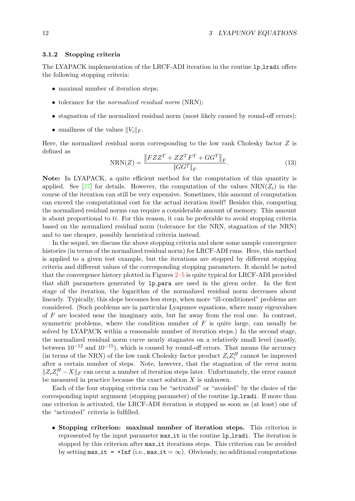#### <span id="page-18-0"></span>3.1.2 Stopping criteria

The LYAPACK implementation of the LRCF-ADI iteration in the routine 1p\_1radi offers the following stopping criteria:

- maximal number of iteration steps:
- tolerance for the *normalized residual norm* (NRN);
- stagnation of the normalized residual norm (most likely caused by round-off errors);
- smallness of the values  $||V_i||_F$ .

Here, the normalized residual norm corresponding to the low rank Cholesky factor  $Z$  is defined as

$$
NRN(Z) = \frac{\|FZZ^T + ZZ^T F^T + GG^T\|_F}{\|GG^T\|_F}.
$$
\n(13)

Note: In LYAPACK, a quite efficient method for the computation of this quantity is applied. See [\[37](#page-79-0)] for details. However, the computation of the values  $\text{NRN}(Z_i)$  in the course of the iteration can still be very expensive. Sometimes, this amount of computation can exceed the computational cost for the actual iteration itself! Besides this, computing the normalized residual norms can require a considerable amount of memory. This amount is about proportional to ti. For this reason, it can be preferable to avoid stopping criteria based on the normalized residual norm (tolerance for the NRN, stagnation of the NRN) and to use cheaper, possibly heuristical criteria instead.

In the sequel, we discuss the above stopping criteria and show some sample convergence histories (in terms of the normalized residual norm) for LRCF-ADI runs. Here, this method is applied to a given test example, but the iterations are stopped by different stopping criteria and different values of the corresponding stopping parameters. It should be noted that the convergence history plotted in Figures [2–](#page-19-0)[5](#page-21-1) is quite typical for LRCF-ADI provided that shift parameters generated by lp para are used in the given order. In the first stage of the iteration, the logarithm of the normalized residual norm decreases about linearly. Typically, this slope becomes less steep, when more "ill-conditioned" problems are considered. (Such problems are in particular Lyapunov equations, where many eigenvalues of F are located near the imaginary axis, but far away from the real one. In contrast, symmetric problems, where the condition number of  $F$  is quite large, can usually be solved by LYAPACK within a reasonable number of iteration steps.) In the second stage, the normalized residual norm curve nearly stagnates on a relatively small level (mostly, between  $10^{-12}$  and  $10^{-15}$ ), which is caused by round-off errors. That means the accuracy (in terms of the NRN) of the low rank Cholesky factor product  $Z_i Z_i^H$  cannot be improved after a certain number of steps. Note, however, that the stagnation of the error norm  $||Z_iZ_i^H - X||_F$  can occur a number of iteration steps later. Unfortunately, the error cannot be measured in practice because the exact solution  $X$  is unknown.

Each of the four stopping criteria can be "activated" or "avoided" by the choice of the corresponding input argument (stopping parameter) of the routine lp lradi. If more than one criterion is activated, the LRCF-ADI iteration is stopped as soon as (at least) one of the "activated" criteria is fulfilled.

• Stopping criterion: maximal number of iteration steps. This criterion is represented by the input parameter max it in the routine lp lradi. The iteration is stopped by this criterion after max it iterations steps. This criterion can be avoided by setting  $max_i$  it = +Inf (i.e.,  $max_i$  it =  $\infty$ ). Obviously, no additional computations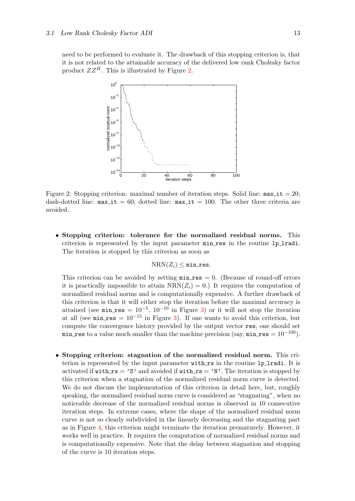need to be performed to evaluate it. The drawback of this stopping criterion is, that it is not related to the attainable accuracy of the delivered low rank Cholesky factor product  $ZZ^H$ . This is illustrated by Figure [2.](#page-19-0)



<span id="page-19-0"></span>Figure 2: Stopping criterion: maximal number of iteration steps. Solid line:  $max_i$  it = 20; dash-dotted line:  $max_i = 60$ ; dotted line:  $max_i = 100$ . The other three criteria are avoided.

• Stopping criterion: tolerance for the normalized residual norms. This criterion is represented by the input parameter  $min\_res$  in the routine lp\_lradi. The iteration is stopped by this criterion as soon as

$$
\text{NRN}(Z_i) \leq \texttt{min-res}.
$$

This criterion can be avoided by setting  $min\_res = 0$ . (Because of round-off errors it is practically impossible to attain  $NRN(Z_i) = 0$ . It requires the computation of normalized residual norms and is computationally expensive. A further drawback of this criterion is that it will either stop the iteration before the maximal accuracy is attained (see min\_res =  $10^{-5}$ ,  $10^{-10}$  in Figure [3](#page-20-0)) or it will not stop the iteration at all (see min res =  $10^{-15}$  in Figure [3\)](#page-20-0). If one wants to avoid this criterion, but compute the convergence history provided by the output vector res, one should set min res to a value much smaller than the machine precision (say, min res =  $10^{-100}$ ).

• Stopping criterion: stagnation of the normalized residual norm. This criterion is represented by the input parameter with rs in the routine 1p-1radi. It is activated if with  $rs = 'S'$  and avoided if with  $rs = 'N'$ . The iteration is stopped by this criterion when a stagnation of the normalized residual norm curve is detected. We do not discuss the implementation of this criterion in detail here, but, roughly speaking, the normalized residual norm curve is considered as "stagnating", when no noticeable decrease of the normalized residual norms is observed in 10 consecutive iteration steps. In extreme cases, where the shape of the normalized residual norm curve is not so clearly subdivided in the linearly decreasing and the stagnating part as in Figure [4,](#page-20-1) this criterion might terminate the iteration prematurely. However, it works well in practice. It requires the computation of normalized residual norms and is computationally expensive. Note that the delay between stagnation and stopping of the curve is 10 iteration steps.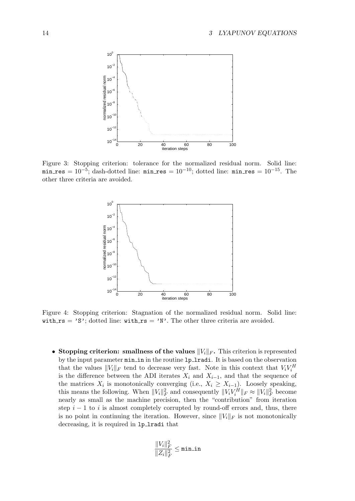

<span id="page-20-0"></span>Figure 3: Stopping criterion: tolerance for the normalized residual norm. Solid line: min res =  $10^{-5}$ ; dash-dotted line: min res =  $10^{-10}$ ; dotted line: min res =  $10^{-15}$ . The other three criteria are avoided.



<span id="page-20-1"></span>Figure 4: Stopping criterion: Stagnation of the normalized residual norm. Solid line: with  $rs = 'S'$ ; dotted line: with  $rs = 'N'$ . The other three criteria are avoided.

• Stopping criterion: smallness of the values  $||V_i||_F$ . This criterion is represented by the input parameter  $min_in$  in the routine 1p\_1radi. It is based on the observation that the values  $||V_i||_F$  tend to decrease very fast. Note in this context that  $V_i V_i^H$ is the difference between the ADI iterates  $X_i$  and  $X_{i-1}$ , and that the sequence of the matrices  $X_i$  is monotonically converging (i.e.,  $X_i \geq X_{i-1}$ ). Loosely speaking, this means the following. When  $||V_i||_F^2$  and consequently  $||V_iV_i^H||_F \approx ||V_i||_F^2$  become nearly as small as the machine precision, then the "contribution" from iteration step  $i - 1$  to i is almost completely corrupted by round-off errors and, thus, there is no point in continuing the iteration. However, since  $||V_i||_F$  is not monotonically decreasing, it is required in lp lradi that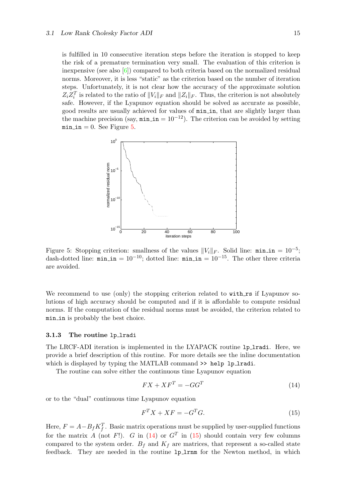is fulfilled in 10 consecutive iteration steps before the iteration is stopped to keep the risk of a premature termination very small. The evaluation of this criterion is inexpensive(see also  $[6]$  $[6]$  $[6]$ ) compared to both criteria based on the normalized residual norms. Moreover, it is less "static" as the criterion based on the number of iteration steps. Unfortunately, it is not clear how the accuracy of the approximate solution  $Z_i Z_i^T$  is related to the ratio of  $||V_i||_F$  and  $||Z_i||_F$ . Thus, the criterion is not absolutely safe. However, if the Lyapunov equation should be solved as accurate as possible, good results are usually achieved for values of min in, that are slightly larger than the machine precision (say,  $\min \pi = 10^{-12}$ ). The criterion can be avoided by setting min\_in = 0. See Figure [5.](#page-21-1)



<span id="page-21-1"></span>Figure 5: Stopping criterion: smallness of the values  $||V_i||_F$ . Solid line: min\_in = 10<sup>-5</sup>; dash-dotted line:  $\min_{\mathbf{m}} \mathbf{m} = 10^{-10}$ ; dotted line:  $\min_{\mathbf{m}} \mathbf{m} = 10^{-15}$ . The other three criteria are avoided.

We recommend to use (only) the stopping criterion related to with rs if Lyapunov solutions of high accuracy should be computed and if it is affordable to compute residual norms. If the computation of the residual norms must be avoided, the criterion related to min in is probably the best choice.

#### <span id="page-21-0"></span>3.1.3 The routine lp lradi

The LRCF-ADI iteration is implemented in the LYAPACK routine lp lradi. Here, we provide a brief description of this routine. For more details see the inline documentation which is displayed by typing the MATLAB command  $\gg$  help lp\_lradi.

The routine can solve either the continuous time Lyapunov equation

<span id="page-21-2"></span>
$$
FX + XF^T = -GG^T \tag{14}
$$

or to the "dual" continuous time Lyapunov equation

<span id="page-21-3"></span>
$$
F^T X + X F = -G^T G. \tag{15}
$$

Here,  $F = A - B_f K_f^T$ . Basic matrix operations must be supplied by user-supplied functions for the matrix A (not F!). G in [\(14](#page-21-2))or  $G<sup>T</sup>$  in ([15\)](#page-21-3) should contain very few columns compared to the system order.  $B_f$  and  $K_f$  are matrices, that represent a so-called state feedback. They are needed in the routine lp lrnm for the Newton method, in which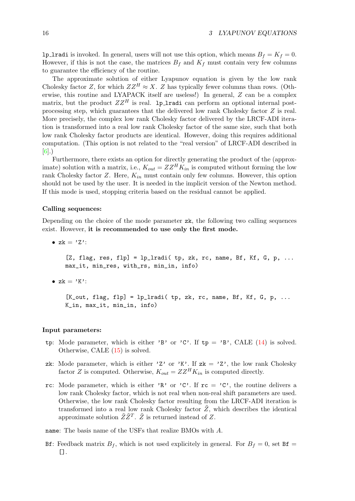**lp lradi** is invoked. In general, users will not use this option, which means  $B_f = K_f = 0$ . However, if this is not the case, the matrices  $B_f$  and  $K_f$  must contain very few columns to guarantee the efficiency of the routine.

The approximate solution of either Lyapunov equation is given by the low rank Cholesky factor Z, for which  $ZZ^H \approx X$ . Z has typically fewer columns than rows. (Otherwise, this routine and LYAPACK itself are useless!) In general, Z can be a complex matrix, but the product  $ZZ^H$  is real. 1p 1 radi can perform an optional internal postprocessing step, which guarantees that the delivered low rank Cholesky factor Z is real. More precisely, the complex low rank Cholesky factor delivered by the LRCF-ADI iteration is transformed into a real low rank Cholesky factor of the same size, such that both low rank Cholesky factor products are identical. However, doing this requires additional computation. (This option is not related to the "real version" of LRCF-ADI described in [[6](#page-77-3)].)

Furthermore, there exists an option for directly generating the product of the (approximate) solution with a matrix, i.e.,  $K_{out} = ZZ^H K_{in}$  is computed without forming the low rank Cholesky factor Z. Here,  $K_{in}$  must contain only few columns. However, this option should not be used by the user. It is needed in the implicit version of the Newton method. If this mode is used, stopping criteria based on the residual cannot be applied.

#### Calling sequences:

Depending on the choice of the mode parameter zk, the following two calling sequences exist. However, it is recommended to use only the first mode.

•  $zk = 'Z':$ [Z, flag, res, flp] =  $lp$  lradi( tp, zk, rc, name, Bf, Kf, G, p, ... max\_it, min\_res, with\_rs, min\_in, info)

•  $zk = 'K':$ 

 $[K_$ out, flag, flp] = lp\_lradi( tp, zk, rc, name, Bf, Kf, G, p, ... K\_in, max\_it, min\_in, info)

#### Input parameters:

- tp:Mode parameter, which is either 'B' or 'C'. If tp = 'B', CALE ([14\)](#page-21-2) is solved. Otherwise, CALE([15\)](#page-21-3) is solved.
- zk: Mode parameter, which is either 'Z' or 'K'. If  $zk = 'Z'$ , the low rank Cholesky factor Z is computed. Otherwise,  $K_{out} = ZZ^H K_{in}$  is computed directly.
- rc: Mode parameter, which is either 'R' or 'C'. If  $rc = 'C'$ , the routine delivers a low rank Cholesky factor, which is not real when non-real shift parameters are used. Otherwise, the low rank Cholesky factor resulting from the LRCF-ADI iteration is transformed into a real low rank Cholesky factor  $Z$ , which describes the identical approximate solution  $\tilde{Z}\tilde{Z}^T$ .  $\tilde{Z}$  is returned instead of Z.

name: The basis name of the USFs that realize BMOs with A.

Bf: Feedback matrix  $B_f$ , which is not used explicitely in general. For  $B_f = 0$ , set Bf =  $[$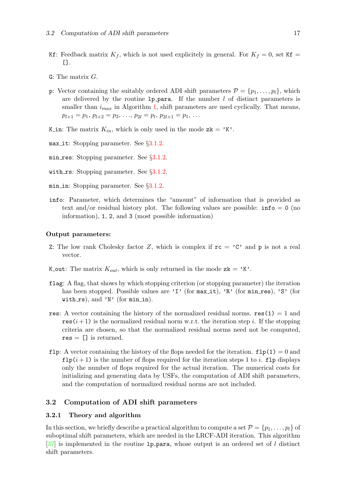- Kf: Feedback matrix  $K_f$ , which is not used explicitely in general. For  $K_f = 0$ , set Kf =  $\Box$ .
- G: The matrix G.
- p: Vector containing the suitably ordered ADI shift parameters  $\mathcal{P} = \{p_1, \ldots, p_l\}$ , which are delivered by the routine  $1p\_para$ . If the number  $l$  of distinct parameters is smaller than  $i_{max}$  in Algorithm [1](#page-17-1), shift parameters are used cyclically. That means,  $p_{l+1} = p_1, p_{l+2} = p_2, \ldots, p_{2l} = p_l, p_{2l+1} = p_1, \ldots$
- K in: The matrix  $K_{in}$ , which is only used in the mode  $z\mathbf{k} = 'K'.$
- max it: Stopping parameter. See  $\S 3.1.2$  $\S 3.1.2$ .
- min res: Stopping parameter. See §[3.1.2.](#page-18-0)
- with  $rs:$  Stopping parameter. See  $\S 3.1.2$ .
- min in: Stopping parameter. See §[3.1.2](#page-18-0).
- info: Parameter, which determines the "amount" of information that is provided as text and/or residual history plot. The following values are possible:  $info = 0$  (no information), 1, 2, and 3 (most possible information)

#### Output parameters:

- Z: The low rank Cholesky factor Z, which is complex if  $rc = 'C'$  and p is not a real vector.
- K\_out: The matrix  $K_{out}$ , which is only returned in the mode  $z\mathbf{k} = 'K'$ .
- flag: A flag, that shows by which stopping criterion (or stopping parameter) the iteration has been stopped. Possible values are 'I' (for  $max_i$  it), 'R' (for  $min\_res$ ), 'S' (for with  $rs$ ), and 'N' (for  $min_in$ ).
- res: A vector containing the history of the normalized residual norms. res(1) = 1 and res  $(i+1)$  is the normalized residual norm w.r.t. the iteration step i. If the stopping criteria are chosen, so that the normalized residual norms need not be computed,  $res = []$  is returned.
- flp: A vector containing the history of the flops needed for the iteration.  $f1p(1) = 0$  and  $f1p(i+1)$  is the number of flops required for the iteration steps 1 to i. flp displays only the number of flops required for the actual iteration. The numerical costs for initializing and generating data by USFs, the computation of ADI shift parameters, and the computation of normalized residual norms are not included.

#### <span id="page-23-0"></span>3.2 Computation of ADI shift parameters

#### <span id="page-23-1"></span>3.2.1 Theory and algorithm

In this section, we briefly describe a practical algorithm to compute a set  $\mathcal{P} = \{p_1, \ldots, p_l\}$  of suboptimal shift parameters, which are needed in the LRCF-ADI iteration. This algorithm  $[37]$  $[37]$  is implemented in the routine 1p para, whose output is an ordered set of l distinct shift parameters.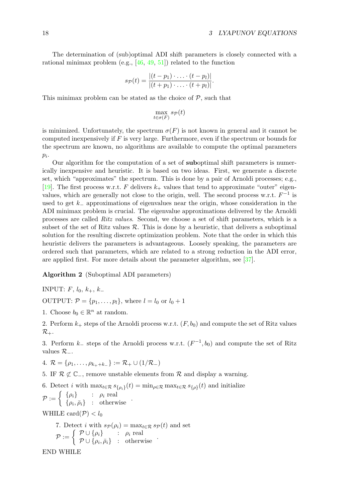The determination of (sub)optimal ADI shift parameters is closely connected with a rational minimax problem (e.g., [\[46](#page-79-4), [49,](#page-79-5) [51](#page-79-6)]) related to the function

$$
s_{\mathcal{P}}(t) = \frac{|(t-p_1)\cdot \ldots \cdot (t-p_l)|}{|(t+p_1)\cdot \ldots \cdot (t+p_l)|}.
$$

This minimax problem can be stated as the choice of  $P$ , such that

$$
\max_{t \in \sigma(F)} s_{\mathcal{P}}(t)
$$

is minimized. Unfortunately, the spectrum  $\sigma(F)$  is not known in general and it cannot be computed inexpensively if  $F$  is very large. Furthermore, even if the spectrum or bounds for the spectrum are known, no algorithms are available to compute the optimal parameters  $p_i$ .

Our algorithm for the computation of a set of suboptimal shift parameters is numerically inexpensive and heuristic. It is based on two ideas. First, we generate a discrete set, which "approximates" the spectrum. This is done by a pair of Arnoldi processes; e.g., [[19\]](#page-78-2). The first process w.r.t. F delivers  $k_{+}$  values that tend to approximate "outer" eigenvalues, which are generally not close to the origin, well. The second process w.r.t.  $F^{-1}$  is used to get k− approximations of eigenvalues near the origin, whose consideration in the ADI minimax problem is crucial. The eigenvalue approximations delivered by the Arnoldi processes are called Ritz values. Second, we choose a set of shift parameters, which is a subset of the set of Ritz values  $\mathcal{R}$ . This is done by a heuristic, that delivers a suboptimal solution for the resulting discrete optimization problem. Note that the order in which this heuristic delivers the parameters is advantageous. Loosely speaking, the parameters are ordered such that parameters, which are related to a strong reduction in the ADI error, are applied first. For more details about the parameter algorithm, see [\[37](#page-79-0)].

<span id="page-24-0"></span>Algorithm 2 (Suboptimal ADI parameters)

INPUT:  $F, l_0, k_+, k_-$ 

OUTPUT:  $P = \{p_1, \ldots, p_l\}$ , where  $l = l_0$  or  $l_0 + 1$ 

1. Choose  $b_0 \in \mathbb{R}^n$  at random.

2. Perform  $k_{+}$  steps of the Arnoldi process w.r.t.  $(F, b_0)$  and compute the set of Ritz values  $\mathcal{R}_+.$ 

3. Perform  $k_$  steps of the Arnoldi process w.r.t.  $(F^{-1}, b_0)$  and compute the set of Ritz values  $\mathcal{R}_-$ .

4.  $\mathcal{R} = \{\rho_1, \ldots, \rho_{k_{+}+k_{-}}\} := \mathcal{R}_{+} \cup (1/\mathcal{R}_{-})$ 

5. IF  $\mathcal{R} \not\subset \mathbb{C}$ , remove unstable elements from  $\mathcal{R}$  and display a warning.

6. Detect *i* with  $\max_{t \in \mathcal{R}} s_{\{\rho_i\}}(t) = \min_{\rho \in \mathcal{R}} \max_{t \in \mathcal{R}} s_{\{\rho\}}(t)$  and initialize

 $\mathcal{P} := \begin{cases} {\n \{\rho_i\}} & \colon \rho_i \text{ real} \\ {\n \text{for all } \nu_i \text{ odd}} \end{cases}$  $\{\rho_i, \bar{\rho}_i\}$  : otherwise  $\cdot$ 

WHILE card $(\mathcal{P}) < l_0$ 

7. Detect *i* with 
$$
s_{\mathcal{P}}(\rho_i) = \max_{t \in \mathcal{R}} s_{\mathcal{P}}(t)
$$
 and set  
\n
$$
\mathcal{P} := \begin{cases}\n\mathcal{P} \cup \{\rho_i\} & : \rho_i \text{ real} \\
\mathcal{P} \cup \{\rho_i, \bar{\rho}_i\} & : \text{ otherwise}\n\end{cases}
$$

END WHILE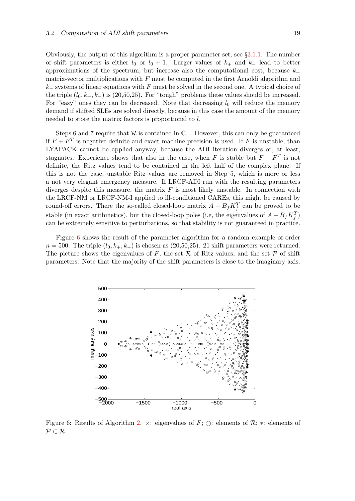Obviously, the output of this algorithm is a proper parameter set; see §[3.1.1.](#page-16-3) The number of shift parameters is either  $l_0$  or  $l_0 + 1$ . Larger values of  $k_+$  and  $k_-$  lead to better approximations of the spectrum, but increase also the computational cost, because  $k_{+}$ matrix-vector multiplications with  $F$  must be computed in the first Arnoldi algorithm and  $k_$  systems of linear equations with F must be solved in the second one. A typical choice of the triple  $(l_0, k_+, k_-)$  is  $(20, 50, 25)$ . For "tough" problems these values should be increased. For "easy" ones they can be decreased. Note that decreasing  $l_0$  will reduce the memory demand if shifted SLEs are solved directly, because in this case the amount of the memory needed to store the matrix factors is proportional to l.

Steps 6 and 7 require that  $\mathcal R$  is contained in  $\mathbb C_-\$ . However, this can only be guaranteed if  $F + F<sup>T</sup>$  is negative definite and exact machine precision is used. If F is unstable, than LYAPACK cannot be applied anyway, because the ADI iteration diverges or, at least, stagnates. Experience shows that also in the case, when F is stable but  $F + F^T$  is not definite, the Ritz values tend to be contained in the left half of the complex plane. If this is not the case, unstable Ritz values are removed in Step 5, which is more or less a not very elegant emergency measure. If LRCF-ADI run with the resulting parameters diverges despite this measure, the matrix  $F$  is most likely unstable. In connection with the LRCF-NM or LRCF-NM-I applied to ill-conditioned CAREs, this might be caused by round-off errors. There the so-called closed-loop matrix  $A - B_f K_f^T$  can be proved to be stable (in exact arithmetics), but the closed-loop poles (i.e, the eigenvalues of  $A - B_f K_f^T$ ) can be extremely sensitive to perturbations, so that stability is not guaranteed in practice.

Figure [6](#page-25-0) shows the result of the parameter algorithm for a random example of order  $n = 500$ . The triple  $(l_0, k_+, k_-)$  is chosen as (20,50,25). 21 shift parameters were returned. The picture shows the eigenvalues of F, the set  $R$  of Ritz values, and the set  $P$  of shift parameters. Note that the majority of the shift parameters is close to the imaginary axis.



<span id="page-25-0"></span>Figure 6: Results of Algorithm [2.](#page-24-0)  $\times$ : eigenvalues of F;  $\bigcirc$ : elements of R;  $\ast$ : elements of  $P \subset \mathcal{R}$ .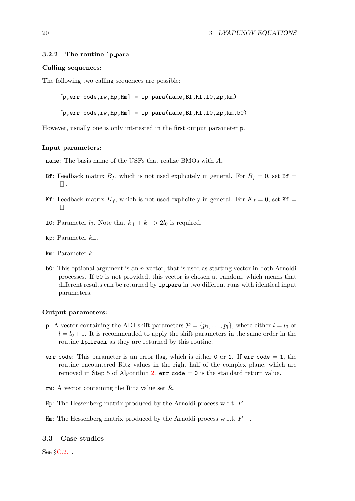#### <span id="page-26-0"></span>3.2.2 The routine lp para

#### Calling sequences:

The following two calling sequences are possible:

 $[p,err\_code,rw,Hp,Hm] = lp\_para(name,Bf,Kf,10,kp,km)$ 

 $[p,err\_code,rw,Hp,Hm] = lp\_para(name,Bf,Kf,10,kp,km,b0)$ 

However, usually one is only interested in the first output parameter p.

#### Input parameters:

name: The basis name of the USFs that realize BMOs with A.

- Bf: Feedback matrix  $B_f$ , which is not used explicitely in general. For  $B_f = 0$ , set Bf = [].
- Kf: Feedback matrix  $K_f$ , which is not used explicitely in general. For  $K_f = 0$ , set Kf = [].
- 10: Parameter  $l_0$ . Note that  $k_+ + k_- > 2l_0$  is required.
- kp: Parameter  $k_{+}$ .
- km: Parameter  $k_$ .
- b0: This optional argument is an n-vector, that is used as starting vector in both Arnoldi processes. If b0 is not provided, this vector is chosen at random, which means that different results can be returned by 1p para in two different runs with identical input parameters.

#### Output parameters:

- p: A vector containing the ADI shift parameters  $\mathcal{P} = \{p_1, \ldots, p_l\}$ , where either  $l = l_0$  or  $l = l_0 + 1$ . It is recommended to apply the shift parameters in the same order in the routine  $1p$  lradi as they are returned by this routine.
- err code: This parameter is an error flag, which is either 0 or 1. If  $err_{code} = 1$ , the routine encountered Ritz values in the right half of the complex plane, which are removed in Step 5 of Algorithm [2.](#page-24-0)  $err\text{-}code = 0$  is the standard return value.
- rw: A vector containing the Ritz value set  $\mathcal{R}$ .
- Hp: The Hessenberg matrix produced by the Arnoldi process w.r.t. F.
- $\texttt{Hm}:$  The Hessenberg matrix produced by the Arnoldi process w.r.t.  $F^{-1}$ .

#### <span id="page-26-1"></span>3.3 Case studies

See §[C.2.1.](#page-57-1)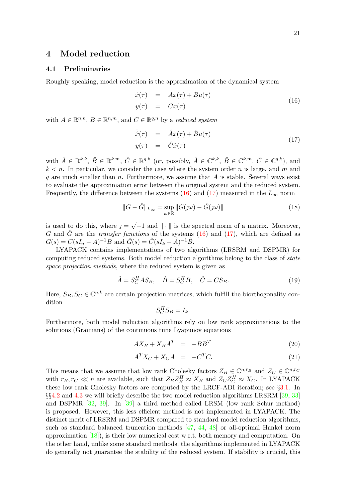## <span id="page-27-0"></span>4 Model reduction

## <span id="page-27-1"></span>4.1 Preliminaries

Roughly speaking, model reduction is the approximation of the dynamical system

<span id="page-27-2"></span>
$$
\begin{array}{rcl}\n\dot{x}(\tau) & = & Ax(\tau) + Bu(\tau) \\
y(\tau) & = & Cx(\tau)\n\end{array} \tag{16}
$$

with  $A \in \mathbb{R}^{n,n}$ ,  $B \in \mathbb{R}^{n,m}$ , and  $C \in \mathbb{R}^{q,n}$  by a reduced system

<span id="page-27-3"></span>
$$
\dot{\hat{x}}(\tau) = \hat{A}\hat{x}(\tau) + \hat{B}u(\tau) \n y(\tau) = \hat{C}\hat{x}(\tau)
$$
\n(17)

with  $\hat{A} \in \mathbb{R}^{k,k}$ ,  $\hat{B} \in \mathbb{R}^{k,m}$ ,  $\hat{C} \in \mathbb{R}^{q,k}$  (or, possibly,  $\hat{A} \in \mathbb{C}^{k,k}$ ,  $\hat{B} \in \mathbb{C}^{k,m}$ ,  $\hat{C} \in \mathbb{C}^{q,k}$ ), and  $k < n$ . In particular, we consider the case where the system order n is large, and m and q are much smaller than  $n$ . Furthermore, we assume that  $A$  is stable. Several ways exist to evaluate the approximation error between the original system and the reduced system. Frequently,the difference between the systems ([16\)](#page-27-2) and ([17\)](#page-27-3) measured in the  $L_{\infty}$  norm

<span id="page-27-4"></span>
$$
||G - \hat{G}||_{L_{\infty}} = \sup_{\omega \in \mathbb{R}} ||G(\jmath\omega) - \hat{G}(\jmath\omega)|| \tag{18}
$$

is used to do this, where  $j =$  $\overline{-1}$  and  $\|\cdot\|$  is the spectral norm of a matrix. Moreover, G and  $\hat{G}$  are the *transfer functions* of the systems [\(16\)](#page-27-2) and [\(17](#page-27-3)), which are defined as  $G(s) = C(sI_n - A)^{-1}B$  and  $\hat{G}(s) = \hat{C}(sI_k - \hat{A})^{-1}\hat{B}$ .

LYAPACK contains implementations of two algorithms (LRSRM and DSPMR) for computing reduced systems. Both model reduction algorithms belong to the class of state space projection methods, where the reduced system is given as

$$
\hat{A} = S_C^H A S_B, \quad \hat{B} = S_C^H B, \quad \hat{C} = C S_B. \tag{19}
$$

Here,  $S_B, S_C \in \mathbb{C}^{n,k}$  are certain projection matrices, which fulfill the biorthogonality condition

$$
S_C^H S_B = I_k.
$$

Furthermore, both model reduction algorithms rely on low rank approximations to the solutions (Gramians) of the continuous time Lyapunov equations

$$
AX_B + X_B A^T = -BB^T \tag{20}
$$

$$
A^T X_C + X_C A = -C^T C. \tag{21}
$$

This means that we assume that low rank Cholesky factors  $Z_B \in \mathbb{C}^{n,r_B}$  and  $Z_C \in \mathbb{C}^{n,r_C}$ with  $r_B, r_C \ll n$  are available, such that  $Z_B Z_B^H \approx X_B$  and  $Z_C Z_C^H \approx X_C$ . In LYAPACK these low rank Cholesky factors are computed by the LRCF-ADI iteration; see §[3.1.](#page-16-2) In §§[4.2](#page-28-0) and [4.3](#page-30-1) we will briefly describe the two model reduction algorithms LRSRM [\[39](#page-79-7), [33\]](#page-78-1) and DSPMR[[32,](#page-78-3) [39\]](#page-79-7). In [\[39](#page-79-7)] a third method called LRSM (low rank Schur method) is proposed. However, this less efficient method is not implemented in LYAPACK. The distinct merit of LRSRM and DSPMR compared to standard model reduction algorithms, such as standard balanced truncation methods[[47](#page-79-8), [44](#page-79-9), [48](#page-79-10)] or all-optimal Hankel norm approximation  $[18]$ , is their low numerical cost w.r.t. both memory and computation. On the other hand, unlike some standard methods, the algorithms implemented in LYAPACK do generally not guarantee the stability of the reduced system. If stability is crucial, this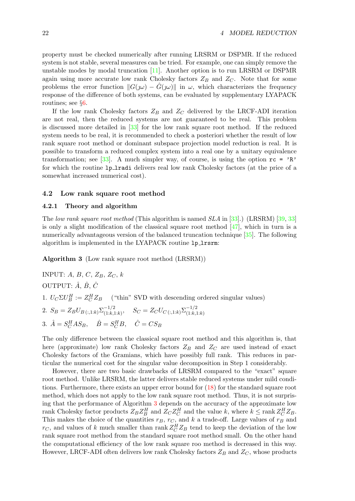property must be checked numerically after running LRSRM or DSPMR. If the reduced system is not stable, several measures can be tried. For example, one can simply remove the unstable modes by modal truncation[[11\]](#page-77-4). Another option is to run LRSRM or DSPMR again using more accurate low rank Cholesky factors  $Z_B$  and  $Z_C$ . Note that for some problems the error function  $||G(\omega) - G(\omega)||$  in  $\omega$ , which characterizes the frequency response of the difference of both systems, can be evaluated by supplementary LYAPACK routines; see §[6.](#page-41-0)

If the low rank Cholesky factors  $Z_B$  and  $Z_C$  delivered by the LRCF-ADI iteration are not real, then the reduced systems are not guaranteed to be real. This problem is discussed more detailed in[[33\]](#page-78-1) for the low rank square root method. If the reduced system needs to be real, it is recommended to check a posteriori whether the result of low rank square root method or dominant subspace projection model reduction is real. It is possible to transform a reduced complex system into a real one by a unitary equivalence transformation;see [[33](#page-78-1)]. A much simpler way, of course, is using the option  $rc = \nvert R$ <sup>2</sup> for which the routine 1p\_1radi delivers real low rank Cholesky factors (at the price of a somewhat increased numerical cost).

#### <span id="page-28-0"></span>4.2 Low rank square root method

#### <span id="page-28-1"></span>4.2.1 Theory and algorithm

Thelow rank square root method (This algorithm is named  $SLA$  in [[33\]](#page-78-1).) (LRSRM) [[39,](#page-79-7) 33] isonly a slight modification of the classical square root method  $[47]$  $[47]$  $[47]$ , which in turn is a numerically advantageous version of the balanced truncation technique[[35\]](#page-79-11). The following algorithm is implemented in the LYAPACK routine 1p\_1rsrm:

<span id="page-28-2"></span>Algorithm 3 (Low rank square root method (LRSRM))

INPUT: A, B, C,  $Z_B$ ,  $Z_C$ , k OUTPUT:  $\hat{A}$ ,  $\hat{B}$ ,  $\hat{C}$ 1.  $U_C \Sigma U_B^H := Z_C^H Z_B$  ("thin" SVD with descending ordered singular values) 2.  $S_B = Z_B U_{B\,(:,1:k)} \Sigma^{-1/2}_{(1:k,:1:k)}$  $\sum_{(1:k,1:k)}^{-1/2}$ ,  $S_C = Z_C U_{C(i,1:k)} \sum_{(1:k,1)}^{-1/2}$  $(1:k,1:k)$ 3.  $\hat{A} = S_C^H A S_B$ ,  $\hat{B} = S_C^H B$ ,  $\hat{C} = C S_B$ 

The only difference between the classical square root method and this algorithm is, that here (approximate) low rank Cholesky factors  $Z_B$  and  $Z_C$  are used instead of exact Cholesky factors of the Gramians, which have possibly full rank. This reduces in particular the numerical cost for the singular value decomposition in Step 1 considerably.

However, there are two basic drawbacks of LRSRM compared to the "exact" square root method. Unlike LRSRM, the latter delivers stable reduced systems under mild conditions. Furthermore, there exists an upper error bound for([18](#page-27-4)) for the standard square root method, which does not apply to the low rank square root method. Thus, it is not surprising that the performance of Algorithm [3](#page-28-2) depends on the accuracy of the approximate low rank Cholesky factor products  $Z_B Z_B^H$  and  $Z_C Z_C^H$  and the value k, where  $k \le \text{rank } Z_C^H Z_B$ . This makes the choice of the quantities  $r_B$ ,  $r_C$ , and k a trade-off. Large values of  $r_B$  and  $r_C$ , and values of k much smaller than rank  $Z_C^H Z_B$  tend to keep the deviation of the low rank square root method from the standard square root method small. On the other hand the computational efficiency of the low rank square roo method is decreased in this way. However, LRCF-ADI often delivers low rank Cholesky factors  $Z_B$  and  $Z_C$ , whose products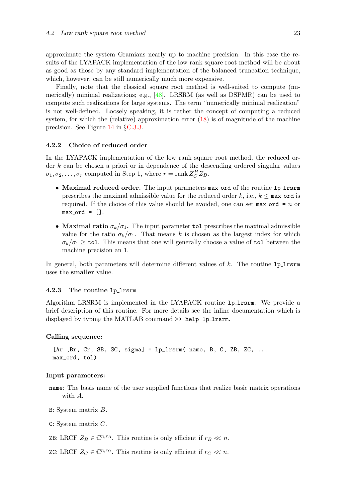approximate the system Gramians nearly up to machine precision. In this case the results of the LYAPACK implementation of the low rank square root method will be about as good as those by any standard implementation of the balanced truncation technique, which, however, can be still numerically much more expensive.

Finally, note that the classical square root method is well-suited to compute (numerically) minimal realizations; e.g.,[[48\]](#page-79-10). LRSRM (as well as DSPMR) can be used to compute such realizations for large systems. The term "numerically minimal realization" is not well-defined. Loosely speaking, it is rather the concept of computing a reduced system,for which the (relative) approximation error  $(18)$  $(18)$  is of magnitude of the machine precision. See Figure [14](#page-70-3) in §[C.3.3](#page-65-0).

#### <span id="page-29-0"></span>4.2.2 Choice of reduced order

In the LYAPACK implementation of the low rank square root method, the reduced order k can be chosen a priori or in dependence of the descending ordered singular values  $\sigma_1, \sigma_2, \ldots, \sigma_r$  computed in Step 1, where  $r = \text{rank } Z_C^H Z_B$ .

- Maximal reduced order. The input parameters max\_ord of the routine 1p\_1rsrm prescribes the maximal admissible value for the reduced order k, i.e.,  $k \leq$  max ord is required. If the choice of this value should be avoided, one can set  $max_{\text{ord}} = n$  or  $max_{\text{ord}} = []$ .
- Maximal ratio  $\sigma_k/\sigma_1$ . The input parameter tol prescribes the maximal admissible value for the ratio  $\sigma_k/\sigma_1$ . That means k is chosen as the largest index for which  $\sigma_k/\sigma_1 \geq \texttt{tol}$ . This means that one will generally choose a value of  $\texttt{tol}$  between the machine precision an 1.

In general, both parameters will determine different values of  $k$ . The routine lp lrsrm uses the smaller value.

#### <span id="page-29-1"></span>4.2.3 The routine lp lrsrm

Algorithm LRSRM is implemented in the LYAPACK routine lp lrsrm. We provide a brief description of this routine. For more details see the inline documentation which is displayed by typing the MATLAB command >> help lp\_lrsrm.

#### Calling sequence:

 $[Ar, Br, Cr, SB, SC, sigma] = lp_1r, man, B, C, ZB, ZC, ...$ max\_ord, tol)

#### Input parameters:

- name: The basis name of the user supplied functions that realize basic matrix operations with A.
- B: System matrix B.
- C: System matrix C.

ZB: LRCF  $Z_B \in \mathbb{C}^{n,r_B}$ . This routine is only efficient if  $r_B \ll n$ .

ZC: LRCF  $Z_C \in \mathbb{C}^{n,r_C}$ . This routine is only efficient if  $r_C \ll n$ .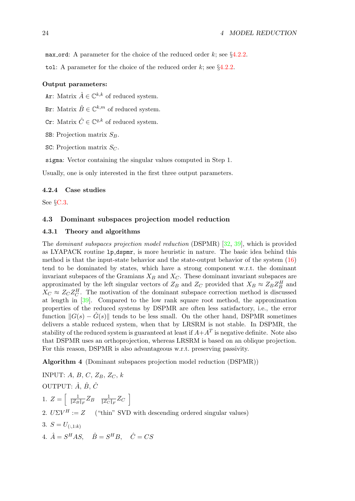max ord: A parameter for the choice of the reduced order k; see  $\S 4.2.2$ .

tol: A parameter for the choice of the reduced order k; see  $\S 4.2.2$  $\S 4.2.2$ .

## Output parameters:

Ar: Matrix  $\hat{A} \in \mathbb{C}^{k,k}$  of reduced system.

Br: Matrix  $\hat{B} \in \mathbb{C}^{k,m}$  of reduced system.

Cr: Matrix  $\hat{C} \in \mathbb{C}^{q,k}$  of reduced system.

SB: Projection matrix  $S_B$ .

SC: Projection matrix  $S_C$ .

sigma: Vector containing the singular values computed in Step 1.

Usually, one is only interested in the first three output parameters.

#### <span id="page-30-0"></span>4.2.4 Case studies

See §[C.3](#page-60-1).

## <span id="page-30-1"></span>4.3 Dominant subspaces projection model reduction

## <span id="page-30-2"></span>4.3.1 Theory and algorithms

The dominant subspaces projection model reduction (DSPMR) [\[32](#page-78-3), [39\]](#page-79-7), which is provided as LYAPACK routine lp dspmr, is more heuristic in nature. The basic idea behind this method is that the input-state behavior and the state-output behavior of the system [\(16](#page-27-2)) tend to be dominated by states, which have a strong component w.r.t. the dominant invariant subspaces of the Gramians  $X_B$  and  $X_C$ . These dominant invariant subspaces are approximated by the left singular vectors of  $Z_B$  and  $Z_C$  provided that  $X_B \approx Z_B Z_B^H$  and  $X_C \approx Z_C Z_C^H$ . The motivation of the dominant subspace correction method is discussed at length in [\[39\]](#page-79-7). Compared to the low rank square root method, the approximation properties of the reduced systems by DSPMR are often less satisfactory, i.e., the error function  $||G(s) - \hat{G}(s)||$  tends to be less small. On the other hand, DSPMR sometimes delivers a stable reduced system, when that by LRSRM is not stable. In DSPMR, the stability of the reduced system is guaranteed at least if  $A + A^T$  is negative definite. Note also that DSPMR uses an orthoprojection, whereas LRSRM is based on an oblique projection. For this reason, DSPMR is also advantageous w.r.t. preserving passivity.

Algorithm 4 (Dominant subspaces projection model reduction (DSPMR))

INPUT: A, B, C,  $Z_B$ ,  $Z_C$ , k OUTPUT:  $\hat{A}$ ,  $\hat{B}$ ,  $\hat{C}$ 1.  $Z = \begin{bmatrix} \frac{1}{\|Z_B\|_F} Z_B & \frac{1}{\|Z_C\|_F} Z_C \end{bmatrix}$ 2.  $U\Sigma V^H := Z$  ("thin" SVD with descending ordered singular values) 3.  $S = U_{(-1:k)}$ 4.  $\hat{A} = S^H A S$ ,  $\hat{B} = S^H B$ ,  $\hat{C} = C S$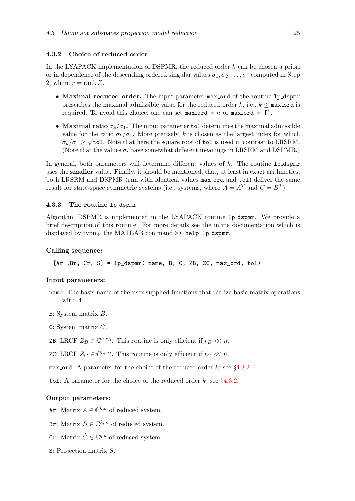#### <span id="page-31-0"></span>4.3.2 Choice of reduced order

In the LYAPACK implementation of DSPMR, the reduced order k can be chosen a priori or in dependence of the descending ordered singular values  $\sigma_1, \sigma_2, \ldots, \sigma_r$  computed in Step 2, where  $r = \text{rank } Z$ .

- Maximal reduced order. The input parameter max ord of the routine 1p\_dspmr prescribes the maximal admissible value for the reduced order k, i.e.,  $k \leq$  max ord is required. To avoid this choice, one can set max ord =  $n$  or max ord =  $[]$ .
- Maximal ratio  $\sigma_k/\sigma_1$ . The input parameter tol determines the maximal admissible value for the ratio  $\sigma_k/\sigma_1$ . More precisely, k is chosen as the largest index for which  $\sigma_k/\sigma_1 \geq \sqrt{\texttt{tol}}$ . Note that here the square root of  $\texttt{tol}$  is used in contrast to LRSRM. (Note that the values  $\sigma_i$  have somewhat different meanings in LRSRM and DSPMR.)

In general, both parameters will determine different values of  $k$ . The routine 1p\_dspmr uses the smaller value. Finally, it should be mentioned, that, at least in exact arithmetics, both LRSRM and DSPMR (run with identical values max ord and tol) deliver the same result for state-space symmetric systems (i.e., systems, where  $A = A<sup>T</sup>$  and  $C = B<sup>T</sup>$ ).

### <span id="page-31-1"></span>4.3.3 The routine lp dspmr

Algorithm DSPMR is implemented in the LYAPACK routine lp dspmr. We provide a brief description of this routine. For more details see the inline documentation which is displayed by typing the MATLAB command >> help lp\_dspmr.

### Calling sequence:

 $[Ar, Br, Cr, S] = 1p_dspmr( name, B, C, ZB, ZC, max_{1}ord, tol)$ 

#### Input parameters:

- name: The basis name of the user supplied functions that realize basic matrix operations with A.
- B: System matrix B.

C: System matrix C.

ZB: LRCF  $Z_B \in \mathbb{C}^{n,r_B}$ . This routine is only efficient if  $r_B \ll n$ .

ZC: LRCF  $Z_C \in \mathbb{C}^{n,r_C}$ . This routine is only efficient if  $r_C \ll n$ .

max ord: A parameter for the choice of the reduced order k; see  $\S 4.3.2$ .

tol: A parameter for the choice of the reduced order  $k$ ; see §[4.3.2](#page-31-0).

## Output parameters:

- Ar: Matrix  $\hat{A} \in \mathbb{C}^{k,k}$  of reduced system.
- Br: Matrix  $\hat{B} \in \mathbb{C}^{k,m}$  of reduced system.
- Cr: Matrix  $\hat{C} \in \mathbb{C}^{q,k}$  of reduced system.
- S: Projection matrix S.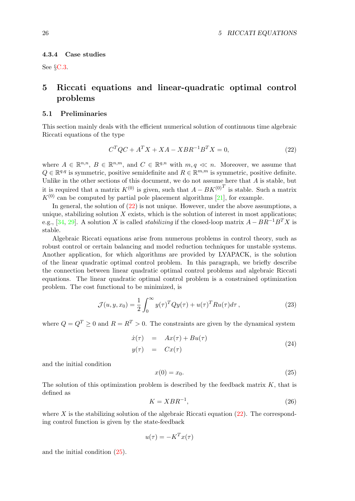#### <span id="page-32-0"></span>4.3.4 Case studies

See §[C.3](#page-60-1).

## <span id="page-32-1"></span>5 Riccati equations and linear-quadratic optimal control problems

## <span id="page-32-2"></span>5.1 Preliminaries

This section mainly deals with the efficient numerical solution of continuous time algebraic Riccati equations of the type

<span id="page-32-3"></span>
$$
CTQC + ATX + XA - XBR-1BTX = 0,
$$
\n(22)

where  $A \in \mathbb{R}^{n,n}$ ,  $B \in \mathbb{R}^{n,m}$ , and  $C \in \mathbb{R}^{q,n}$  with  $m,q \ll n$ . Moreover, we assume that  $Q \in \mathbb{R}^{q,q}$  is symmetric, positive semidefinite and  $R \in \mathbb{R}^{m,m}$  is symmetric, positive definite. Unlike in the other sections of this document, we do not assume here that  $A$  is stable, but it is required that a matrix  $K^{(0)}$  is given, such that  $A - BK^{(0)^T}$  is stable. Such a matrix  $K^{(0)}$ can be computed by partial pole placement algorithms [[21](#page-78-5)], for example.

In general, the solution of([22\)](#page-32-3) is not unique. However, under the above assumptions, a unique, stabilizing solution  $X$  exists, which is the solution of interest in most applications; e.g.,[[34,](#page-79-12) [29\]](#page-78-6). A solution X is called *stabilizing* if the closed-loop matrix  $A - BR^{-1}B^TX$  is stable.

Algebraic Riccati equations arise from numerous problems in control theory, such as robust control or certain balancing and model reduction techniques for unstable systems. Another application, for which algorithms are provided by LYAPACK, is the solution of the linear quadratic optimal control problem. In this paragraph, we briefly describe the connection between linear quadratic optimal control problems and algebraic Riccati equations. The linear quadratic optimal control problem is a constrained optimization problem. The cost functional to be minimized, is

<span id="page-32-5"></span>
$$
\mathcal{J}(u, y, x_0) = \frac{1}{2} \int_0^\infty y(\tau)^T Q y(\tau) + u(\tau)^T R u(\tau) d\tau,
$$
\n(23)

where  $Q = Q^T > 0$  and  $R = R^T > 0$ . The constraints are given by the dynamical system

<span id="page-32-6"></span>
$$
\begin{array}{rcl}\n\dot{x}(\tau) & = & Ax(\tau) + Bu(\tau) \\
y(\tau) & = & Cx(\tau)\n\end{array} \tag{24}
$$

and the initial condition

<span id="page-32-4"></span>
$$
x(0) = x_0. \tag{25}
$$

The solution of this optimization problem is described by the feedback matrix  $K$ , that is defined as

<span id="page-32-7"></span>
$$
K = XBR^{-1},\tag{26}
$$

where X is the stabilizing solution of the algebraic Riccati equation  $(22)$ . The corresponding control function is given by the state-feedback

$$
u(\tau) = -K^T x(\tau)
$$

and the initial condition([25](#page-32-4)).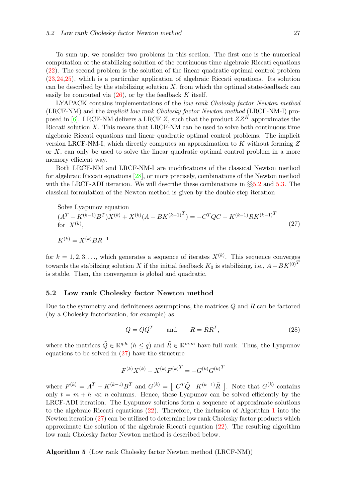To sum up, we consider two problems in this section. The first one is the numerical computation of the stabilizing solution of the continuous time algebraic Riccati equations [\(22](#page-32-3)). The second problem is the solution of the linear quadratic optimal control problem [\(23](#page-32-5)[,24](#page-32-6)[,25\)](#page-32-4), which is a particular application of algebraic Riccati equations. Its solution can be described by the stabilizing solution  $X$ , from which the optimal state-feedback can easily be computed via  $(26)$ , or by the feedback K itself.

LYAPACK contains implementations of the low rank Cholesky factor Newton method (LRCF-NM) and the implicit low rank Cholesky factor Newton method (LRCF-NM-I) pro-posed in [\[6\]](#page-77-3). LRCF-NM delivers a LRCF Z, such that the product  $ZZ^{\hat{H}}$  approximates the Riccati solution  $X$ . This means that LRCF-NM can be used to solve both continuous time algebraic Riccati equations and linear quadratic optimal control problems. The implicit version LRCF-NM-I, which directly computes an approximation to  $K$  without forming  $Z$ or X, can only be used to solve the linear quadratic optimal control problem in a more memory efficient way.

Both LRCF-NM and LRCF-NM-I are modifications of the classical Newton method for algebraic Riccati equations [\[28](#page-78-7)], or more precisely, combinations of the Newton method with the LRCF-ADI iteration. We will describe these combinations in  $\S5.2$  $\S5.2$  and [5.3.](#page-34-0) The classical formulation of the Newton method is given by the double step iteration

<span id="page-33-1"></span>Solve Lyapunov equation  
\n
$$
(AT - K(k-1)BT)X(k) + X(k)(A - BK(k-1)T) = -CTQC - K(k-1)RK(k-1)T
$$
\nfor X<sup>(k)</sup>,  
\n
$$
K(k) = X(k)BR-1
$$
\n(27)

for  $k = 1, 2, 3, \ldots$ , which generates a sequence of iterates  $X^{(k)}$ . This sequence converges towards the stabilizing solution X if the initial feedback  $K_0$  is stabilizing, i.e.,  $A-BK^{(0)T}$ is stable. Then, the convergence is global and quadratic.

#### <span id="page-33-0"></span>5.2 Low rank Cholesky factor Newton method

Due to the symmetry and definiteness assumptions, the matrices  $Q$  and  $R$  can be factored (by a Cholesky factorization, for example) as

$$
Q = \tilde{Q}\tilde{Q}^T \quad \text{and} \quad R = \tilde{R}\tilde{R}^T,\tag{28}
$$

where the matrices  $\tilde{Q} \in \mathbb{R}^{q,h}$   $(h \leq q)$  and  $\tilde{R} \in \mathbb{R}^{m,m}$  have full rank. Thus, the Lyapunov equationsto be solved in  $(27)$  $(27)$  have the structure

$$
F^{(k)}X^{(k)} + X^{(k)}F^{(k)T} = -G^{(k)}G^{(k)T}
$$

where  $F^{(k)} = A^T - K^{(k-1)}B^T$  and  $G^{(k)} = \begin{bmatrix} C^T \tilde{Q} & K^{(k-1)} \tilde{R} \end{bmatrix}$ . Note that  $G^{(k)}$  contains only  $t = m + h \ll n$  columns. Hence, these Lyapunov can be solved efficiently by the LRCF-ADI iteration. The Lyapunov solutions form a sequence of approximate solutions to the algebraic Riccati equations([22\)](#page-32-3). Therefore, the inclusion of Algorithm [1](#page-17-1) into the Newton iteration [\(27](#page-33-1)) can be utilized to determine low rank Cholesky factor products which approximate the solution of the algebraic Riccati equation([22\)](#page-32-3). The resulting algorithm low rank Cholesky factor Newton method is described below.

<span id="page-33-2"></span>Algorithm 5 (Low rank Cholesky factor Newton method (LRCF-NM))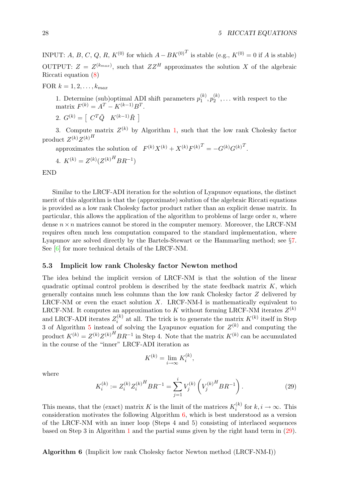INPUT: A, B, C, Q, R,  $K^{(0)}$  for which  $A - BK^{(0)^T}$  is stable (e.g.,  $K^{(0)} = 0$  if A is stable) OUTPUT:  $Z = Z^{(k_{max})}$ , such that  $ZZ^H$  approximates the solution X of the algebraic Riccati equation([8](#page-8-4))

FOR  $k = 1, 2, \ldots, k_{max}$ 

1. Determine (sub)optimal ADI shift parameters  $p_1^{(k)}$  $\mathfrak{h}_1^{(k)}, \mathfrak{p}_2^{(k)}$  $\binom{k}{2}$ ,... with respect to the matrix  $F^{(k)} = A^T - K^{(k-1)}B^T$ .

2.  $G^{(k)} = \begin{bmatrix} C^T \tilde{Q} & K^{(k-1)} \tilde{R} \end{bmatrix}$ 

3. Compute matrix  $Z^{(k)}$  by Algorithm [1,](#page-17-1) such that the low rank Cholesky factor product  $Z^{(k)}Z^{(k)H}$ 

approximates the solution of  $F^{(k)}X^{(k)} + X^{(k)}F^{(k)T} = -G^{(k)}G^{(k)T}$ .

4. 
$$
K^{(k)} = Z^{(k)} (Z^{(k)}^H B R^{-1})
$$

END

Similar to the LRCF-ADI iteration for the solution of Lyapunov equations, the distinct merit of this algorithm is that the (approximate) solution of the algebraic Riccati equations is provided as a low rank Cholesky factor product rather than an explicit dense matrix. In particular, this allows the application of the algorithm to problems of large order  $n$ , where dense  $n \times n$  matrices cannot be stored in the computer memory. Moreover, the LRCF-NM requires often much less computation compared to the standard implementation, where Lyapunov are solved directly by the Bartels-Stewart or the Hammarling method; see §[7.](#page-43-2) See [\[6\]](#page-77-3) for more technical details of the LRCF-NM.

## <span id="page-34-0"></span>5.3 Implicit low rank Cholesky factor Newton method

The idea behind the implicit version of LRCF-NM is that the solution of the linear quadratic optimal control problem is described by the state feedback matrix  $K$ , which generally contains much less columns than the low rank Cholesky factor Z delivered by LRCF-NM or even the exact solution  $X$ . LRCF-NM-I is mathematically equivalent to LRCF-NM. It computes an approximation to K without forming LRCF-NM iterates  $Z^{(k)}$ and LRCF-ADI iterates  $Z_i^{(k)}$  $i^{(k)}$  at all. The trick is to generate the matrix  $K^{(k)}$  itself in Step 3 of Algorithm [5](#page-33-2) instead of solving the Lyapunov equation for  $Z^{(k)}$  and computing the product  $K^{(k)} = Z^{(k)}Z^{(k)H}BR^{-1}$  in Step 4. Note that the matrix  $K^{(k)}$  can be accumulated in the course of the "inner" LRCF-ADI iteration as

$$
K^{(k)} = \lim_{i \to \infty} K_i^{(k)},
$$

where

<span id="page-34-2"></span>
$$
K_i^{(k)} := Z_i^{(k)} Z_i^{(k)H} BR^{-1} = \sum_{j=1}^i V_j^{(k)} \left( V_j^{(k)H} BR^{-1} \right). \tag{29}
$$

This means, that the (exact) matrix K is the limit of the matrices  $K_i^{(k)}$  $i^{(k)}$  for  $k, i \to \infty$ . This consideration motivates the following Algorithm [6,](#page-34-1) which is best understood as a version of the LRCF-NM with an inner loop (Steps 4 and 5) consisting of interlaced sequences based on Step 3 in Algorithm [1](#page-17-1) and the partial sums given by the right hand term in [\(29](#page-34-2)).

<span id="page-34-1"></span>Algorithm 6 (Implicit low rank Cholesky factor Newton method (LRCF-NM-I))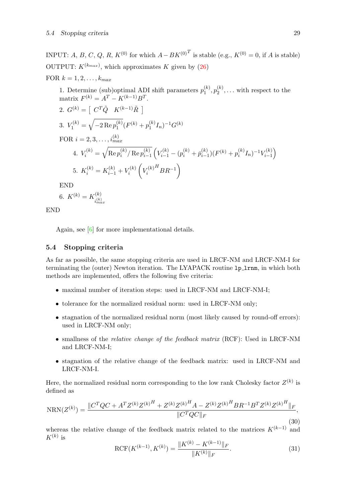INPUT: A, B, C, Q, R,  $K^{(0)}$  for which  $A-BK^{(0)T}$  is stable (e.g.,  $K^{(0)}=0$ , if A is stable) OUTPUT:  $K^{(k_{max})}$ , which approximates K given by [\(26](#page-32-7))

FOR  $k = 1, 2, \ldots, k_{max}$ 

1. Determine (sub)optimal ADI shift parameters  $p_1^{(k)}$  $\mathfrak{p}_1^{(k)}, \mathfrak{p}_2^{(k)}$  $\mathcal{L}_2^{(k)},\ldots$  with respect to the matrix  $F^{(k)} = A^T - K^{(k-1)}B^T$ .

2. 
$$
G^{(k)} = [C^T \tilde{Q} K^{(k-1)} \tilde{R}]
$$
  
\n3.  $V_1^{(k)} = \sqrt{-2 \operatorname{Re} p_1^{(k)}} (F^{(k)} + p_1^{(k)} I_n)^{-1} G^{(k)}$   
\nFOR  $i = 2, 3, ..., i_{max}^{(k)}$   
\n4.  $V_i^{(k)} = \sqrt{\operatorname{Re} p_i^{(k)}/ \operatorname{Re} p_{i-1}^{(k)}} (V_{i-1}^{(k)} - (p_i^{(k)} + p_{i-1}^{(k)})(F^{(k)} + p_i^{(k)} I_n)^{-1} V_{i-1}^{(k)})$   
\n5.  $K_i^{(k)} = K_{i-1}^{(k)} + V_i^{(k)} (V_i^{(k)H} BR^{-1})$ 

END

6. 
$$
K^{(k)} = K_{i_{max}^{(k)}}
$$

END

Again, see [\[6\]](#page-77-3) for more implementational details.

#### <span id="page-35-0"></span>5.4 Stopping criteria

As far as possible, the same stopping criteria are used in LRCF-NM and LRCF-NM-I for terminating the (outer) Newton iteration. The LYAPACK routine 1p<sub>-1rnm</sub>, in which both methods are implemented, offers the following five criteria:

- maximal number of iteration steps: used in LRCF-NM and LRCF-NM-I;
- tolerance for the normalized residual norm: used in LRCF-NM only;
- stagnation of the normalized residual norm (most likely caused by round-off errors): used in LRCF-NM only;
- smallness of the *relative change of the feedback matrix* (RCF): Used in LRCF-NM and LRCF-NM-I;
- stagnation of the relative change of the feedback matrix: used in LRCF-NM and LRCF-NM-I.

Here, the normalized residual norm corresponding to the low rank Cholesky factor  $Z^{(k)}$  is defined as

$$
NRN(Z^{(k)}) = \frac{\|C^TQC + A^TZ^{(k)}Z^{(k)H} + Z^{(k)}Z^{(k)H}A - Z^{(k)}Z^{(k)H}BR^{-1}B^TZ^{(k)}Z^{(k)H}\|_F}{\|C^TQC\|_F},
$$
\n(30)

whereas the relative change of the feedback matrix related to the matrices  $K^{(k-1)}$  and  $K^{(k)}$  is

$$
\text{RCF}(K^{(k-1)}, K^{(k)}) = \frac{\|K^{(k)} - K^{(k-1)}\|_F}{\|K^{(k)}\|_F}.\tag{31}
$$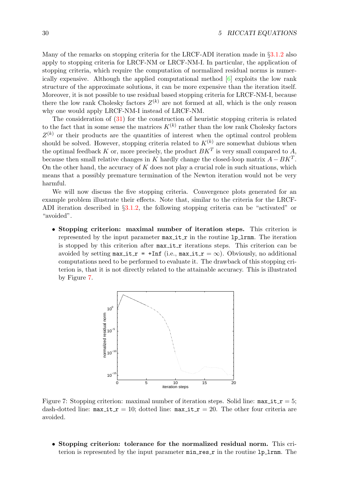Many of the remarks on stopping criteria for the LRCF-ADI iteration made in §[3.1.2](#page-18-0) also apply to stopping criteria for LRCF-NM or LRCF-NM-I. In particular, the application of stopping criteria, which require the computation of normalized residual norms is numerically expensive. Although the applied computational method [\[6\]](#page-77-0) exploits the low rank structure of the approximate solutions, it can be more expensive than the iteration itself. Moreover, it is not possible to use residual based stopping criteria for LRCF-NM-I, because there the low rank Cholesky factors  $Z^{(k)}$  are not formed at all, which is the only reason why one would apply LRCF-NM-I instead of LRCF-NM.

The consideration of([31\)](#page-35-0) for the construction of heuristic stopping criteria is related to the fact that in some sense the matrices  $K^{(k)}$  rather than the low rank Cholesky factors  $Z^{(k)}$  or their products are the quantities of interest when the optimal control problem should be solved. However, stopping criteria related to  $K^{(k)}$  are somewhat dubious when the optimal feedback K or, more precisely, the product  $BK^T$  is very small compared to A, because then small relative changes in K hardly change the closed-loop matrix  $A - BK^T$ . On the other hand, the accuracy of  $K$  does not play a crucial role in such situations, which means that a possibly premature termination of the Newton iteration would not be very harmful.

We will now discuss the five stopping criteria. Convergence plots generated for an example problem illustrate their effects. Note that, similar to the criteria for the LRCF-ADI iteration described in §[3.1.2](#page-18-0), the following stopping criteria can be "activated" or "avoided".

• Stopping criterion: maximal number of iteration steps. This criterion is represented by the input parameter  $max_i$  it  $r$  in the routine 1p 1 rm. The iteration is stopped by this criterion after  $max\_it_r$  iterations steps. This criterion can be avoided by setting  $max\_it_r = +Inf$  (i.e.,  $max\_it_r = \infty$ ). Obviously, no additional computations need to be performed to evaluate it. The drawback of this stopping criterion is, that it is not directly related to the attainable accuracy. This is illustrated by Figure [7](#page-36-0).



<span id="page-36-0"></span>Figure 7: Stopping criterion: maximal number of iteration steps. Solid line:  $max_i$  it  $r = 5$ ; dash-dotted line:  $max_i \textbf{t} \cdot \textbf{r} = 10$ ; dotted line:  $max_i \textbf{t} \cdot \textbf{r} = 20$ . The other four criteria are avoided.

• Stopping criterion: tolerance for the normalized residual norm. This criterion is represented by the input parameter  $min\_res\_r$  in the routine  $lp\_lrnm$ . The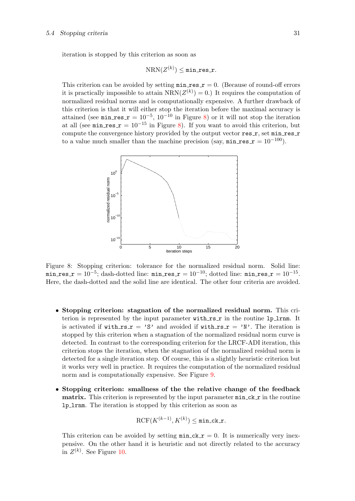iteration is stopped by this criterion as soon as

$$
\text{NRN}(Z^{(k)}) \leq \texttt{min\_res\_r}.
$$

This criterion can be avoided by setting  $min\_res_r = 0$ . (Because of round-off errors it is practically impossible to attain  $NRN(Z^{(k)}) = 0$ .) It requires the computation of normalized residual norms and is computationally expensive. A further drawback of this criterion is that it will either stop the iteration before the maximal accuracy is attained (see min res  $r = 10^{-5}$ ,  $10^{-10}$  in Figure [8\)](#page-37-0) or it will not stop the iteration at all (see min res  $r = 10^{-15}$  in Figure [8\)](#page-37-0). If you want to avoid this criterion, but compute the convergence history provided by the output vector  $res_r$ , set  $min_r$ es r to a value much smaller than the machine precision (say,  $min\_res_r = 10^{-100}$ ).



<span id="page-37-0"></span>Figure 8: Stopping criterion: tolerance for the normalized residual norm. Solid line:  $\texttt{min\_res\_r} = 10^{-5}; \text{dash-dotted line: } \texttt{min\_res\_r} = 10^{-10}; \text{dotted line: } \texttt{min\_res\_r} = 10^{-15}.$ Here, the dash-dotted and the solid line are identical. The other four criteria are avoided.

- Stopping criterion: stagnation of the normalized residual norm. This criterion is represented by the input parameter with  $rs$  r in the routine 1p 1 rnm. It is activated if with  $rs = 'S'$  and avoided if with  $rs = 'N'$ . The iteration is stopped by this criterion when a stagnation of the normalized residual norm curve is detected. In contrast to the corresponding criterion for the LRCF-ADI iteration, this criterion stops the iteration, when the stagnation of the normalized residual norm is detected for a single iteration step. Of course, this is a slightly heuristic criterion but it works very well in practice. It requires the computation of the normalized residual norm and is computationally expensive. See Figure [9](#page-38-0).
- Stopping criterion: smallness of the the relative change of the feedback **matrix.** This criterion is represented by the input parameter  $min_{\mathbf{c}} \mathbf{c} \cdot \mathbf{r}$  in the routine lp lrnm. The iteration is stopped by this criterion as soon as

$$
\mathrm{RCF}(K^{(k-1)},K^{(k)}) \leq \texttt{min\_ck\_r}.
$$

This criterion can be avoided by setting  $min_c k \rightharpoondown = 0$ . It is numerically very inexpensive. On the other hand it is heuristic and not directly related to the accuracy in  $Z^{(k)}$ . See Figure [10](#page-39-0).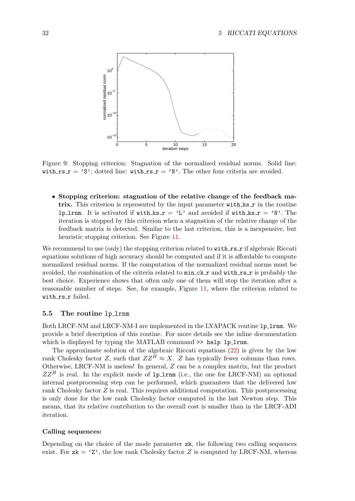

<span id="page-38-0"></span>Figure 9: Stopping criterion: Stagnation of the normalized residual norms. Solid line: with  $rs_r = 'S'$ ; dotted line: with  $rs_r = 'N'$ . The other four criteria are avoided.

• Stopping criterion: stagnation of the relative change of the feedback matrix. This criterion is represented by the input parameter with  $\text{ks}\,$  in the routine 1p 1rnm. It is activated if with  $ks_r = 'L'$  and avoided if with  $ks_r = 'N'$ . The iteration is stopped by this criterion when a stagnation of the relative change of the feedback matrix is detected. Similar to the last criterion, this is a inexpensive, but heuristic stopping criterion. See Figure [11](#page-40-0).

We recommend to use (only) the stopping criterion related to with  $\texttt{rs} \cdot \texttt{r}$  if algebraic Riccati equations solutions of high accuracy should be computed and if it is affordable to compute normalized residual norms. If the computation of the normalized residual norms must be avoided, the combination of the criteria related to  $min_c k$  and with rs r is probably the best choice. Experience shows that often only one of them will stop the iteration after a reasonable number of steps. See, for example, Figure [11,](#page-40-0) where the criterion related to with\_rs\_r failed.

#### 5.5 The routine lp lrnm

Both LRCF-NM and LRCF-NM-I are implemented in the LYAPACK routine lp lrnm. We provide a brief description of this routine. For more details see the inline documentation which is displayed by typing the MATLAB command  $\gg$  help lp\_lrnm.

The approximate solution of the algebraic Riccati equations([22](#page-32-0)) is given by the low rank Cholesky factor Z, such that  $ZZ^H \approx X$ . Z has typically fewer columns than rows. Otherwise, LRCF-NM is useless! In general, Z can be a complex matrix, but the product  $ZZ^H$  is real. In the explicit mode of  $1p\_1rmm$  (i.e., the one for LRCF-NM) an optional internal postprocessing step can be performed, which guarantees that the delivered low rank Cholesky factor Z is real. This requires additional computation. This postprocessing is only done for the low rank Cholesky factor computed in the last Newton step. This means, that its relative contribution to the overall cost is smaller than in the LRCF-ADI iteration.

#### Calling sequences:

Depending on the choice of the mode parameter zk, the following two calling sequences exist. For  $z\mathbf{k} = \gamma z^2$ , the low rank Cholesky factor Z is computed by LRCF-NM, whereas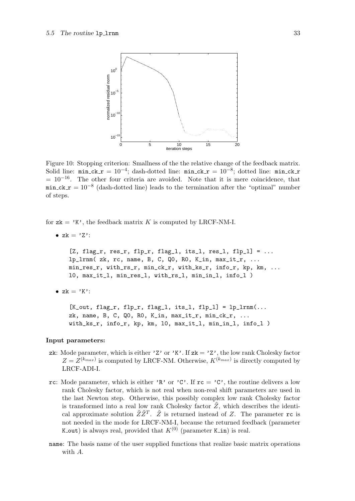

<span id="page-39-0"></span>Figure 10: Stopping criterion: Smallness of the the relative change of the feedback matrix. Solid line:  $min_c k$   $r = 10^{-4}$ ; dash-dotted line:  $min_c k$   $r = 10^{-8}$ ; dotted line:  $min_c k$  r  $= 10^{-16}$ . The other four criteria are avoided. Note that it is mere coincidence, that  $min_c k_r = 10^{-8}$  (dash-dotted line) leads to the termination after the "optimal" number of steps.

for  $z\mathbf{k} = 'K'$ , the feedback matrix K is computed by LRCF-NM-I.

• 
$$
zk = 'Z'
$$
:

 $[2, flag_r, res_r, flp_r, flag_l, its_l, res_l, flp_l] = ...$ lp\_lrnm( zk, rc, name, B, C, Q0, R0, K\_in, max\_it\_r, ... min\_res\_r, with\_rs\_r, min\_ck\_r, with\_ks\_r, info\_r, kp, km, ... l0, max\_it\_l, min\_res\_l, with\_rs\_l, min\_in\_l, info\_l )

•  $zk = 'K':$ 

 $[K_out, flag_r, flp_r, flag_l, its_l, flp_l] = lp_1 r m(...$ zk, name, B, C, Q0, R0, K\_in, max\_it\_r, min\_ck\_r, ... with\_ks\_r, info\_r, kp, km, l0, max\_it\_l, min\_in\_l, info\_l )

#### Input parameters:

- zk: Mode parameter, which is either 'Z' or 'K'. If  $z\mathbf{k} = 'Z'$ , the low rank Cholesky factor  $Z = Z^{(k_{max})}$  is computed by LRCF-NM. Otherwise,  $K^{(k_{max})}$  is directly computed by LRCF-ADI-I.
- rc: Mode parameter, which is either 'R' or 'C'. If  $rc = 'C'$ , the routine delivers a low rank Cholesky factor, which is not real when non-real shift parameters are used in the last Newton step. Otherwise, this possibly complex low rank Cholesky factor is transformed into a real low rank Cholesky factor  $\tilde{Z}$ , which describes the identical approximate solution  $\tilde{Z}\tilde{Z}^T$ .  $\tilde{Z}$  is returned instead of Z. The parameter rc is not needed in the mode for LRCF-NM-I, because the returned feedback (parameter K out) is always real, provided that  $K^{(0)}$  (parameter K in) is real.
- name: The basis name of the user supplied functions that realize basic matrix operations with A.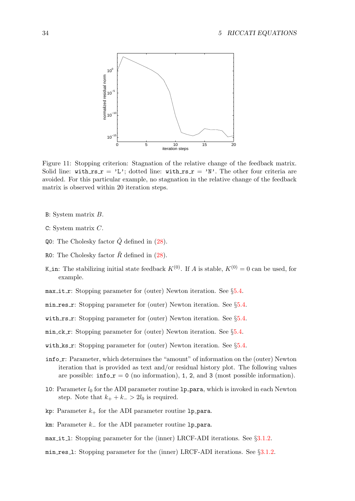

<span id="page-40-0"></span>Figure 11: Stopping criterion: Stagnation of the relative change of the feedback matrix. Solid line: with  $rs_r = 'L'$ ; dotted line: with  $rs_r = 'N'$ . The other four criteria are avoided. For this particular example, no stagnation in the relative change of the feedback matrix is observed within 20 iteration steps.

- B: System matrix B.
- C: System matrix C.
- $Q0$ :The Cholesky factor  $\ddot{Q}$  defined in ([28\)](#page-33-0).
- R0:The Cholesky factor  $\tilde{R}$  defined in ([28\)](#page-33-0).
- K in: The stabilizing initial state feedback  $K^{(0)}$ . If A is stable,  $K^{(0)} = 0$  can be used, for example.
- max it r: Stopping parameter for (outer) Newton iteration. See  $\S 5.4$ .
- min res  $\mathbf{r}$ : Stopping parameter for (outer) Newton iteration. See §[5.4](#page-35-1).
- with  $rs$  r: Stopping parameter for (outer) Newton iteration. See §[5.4](#page-35-1).
- min ck r: Stopping parameter for (outer) Newton iteration. See §[5.4.](#page-35-1)
- with ks  $r$ : Stopping parameter for (outer) Newton iteration. See §[5.4](#page-35-1).
- inform: Parameter, which determines the "amount" of information on the (outer) Newton iteration that is provided as text and/or residual history plot. The following values are possible:  $\text{info\_r} = 0$  (no information), 1, 2, and 3 (most possible information).
- 10: Parameter  $l_0$  for the ADI parameter routine  $1p$ -para, which is invoked in each Newton step. Note that  $k_{+} + k_{-} > 2l_0$  is required.
- kp: Parameter  $k_{+}$  for the ADI parameter routine 1p para.
- km: Parameter  $k_$  for the ADI parameter routine lp\_para.
- max it 1: Stopping parameter for the (inner) LRCF-ADI iterations. See §[3.1.2.](#page-18-0)
- min res l: Stopping parameter for the (inner) LRCF-ADI iterations. See §[3.1.2](#page-18-0).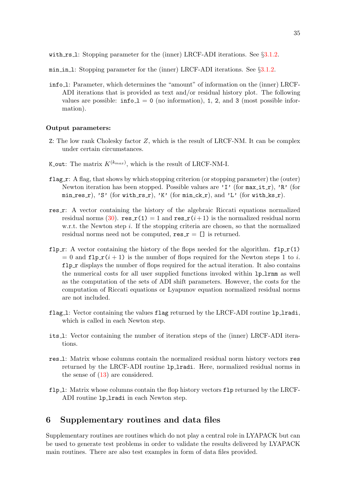- $min_in_1$ : Stopping parameter for the (inner) LRCF-ADI iterations. See  $\S 3.1.2$ .
- info l: Parameter, which determines the "amount" of information on the (inner) LRCF-ADI iterations that is provided as text and/or residual history plot. The following values are possible:  $\text{info\_1} = 0$  (no information), 1, 2, and 3 (most possible information).

#### Output parameters:

- Z: The low rank Cholesky factor  $Z$ , which is the result of LRCF-NM. It can be complex under certain circumstances.
- K\_out: The matrix  $K^{(k_{max})}$ , which is the result of LRCF-NM-I.
- $flag_r: A flag, that shows by which stopping criterion (or stopping parameter) the (outer)$ Newton iteration has been stopped. Possible values are 'I' (for  $max_i$  it r), 'R' (for  $min\_res_r$ , 'S' (for with  $rs_r$ ), 'K' (for  $min_c k_r$ ), and 'L' (for with  $ks_r$ ).
- res r: A vector containing the history of the algebraic Riccati equations normalized residualnorms ([30\)](#page-35-2).  $res \textbf{r}(1) = 1$  and  $res \textbf{r}(i+1)$  is the normalized residual norm w.r.t. the Newton step  $i$ . If the stopping criteria are chosen, so that the normalized residual norms need not be computed,  $res_r = []$  is returned.
- flp  $\mathbf{r}: A$  vector containing the history of the flops needed for the algorithm. flp  $\mathbf{r}(1)$  $= 0$  and  $f1p_r(i + 1)$  is the number of flops required for the Newton steps 1 to i.  $f1p_r$  displays the number of flops required for the actual iteration. It also contains the numerical costs for all user supplied functions invoked within lp lrnm as well as the computation of the sets of ADI shift parameters. However, the costs for the computation of Riccati equations or Lyapunov equation normalized residual norms are not included.
- flag<sub>1</sub>: Vector containing the values flag returned by the LRCF-ADI routine 1p<sub>1</sub>radi, which is called in each Newton step.
- its l: Vector containing the number of iteration steps of the (inner) LRCF-ADI iterations.
- res l: Matrix whose columns contain the normalized residual norm history vectors res returned by the LRCF-ADI routine 1p\_1radi. Here, normalized residual norms in the sense of([13\)](#page-18-1) are considered.
- flp 1: Matrix whose columns contain the flop history vectors flp returned by the LRCF-ADI routine 1p\_1radi in each Newton step.

## 6 Supplementary routines and data files

Supplementary routines are routines which do not play a central role in LYAPACK but can be used to generate test problems in order to validate the results delivered by LYAPACK main routines. There are also test examples in form of data files provided.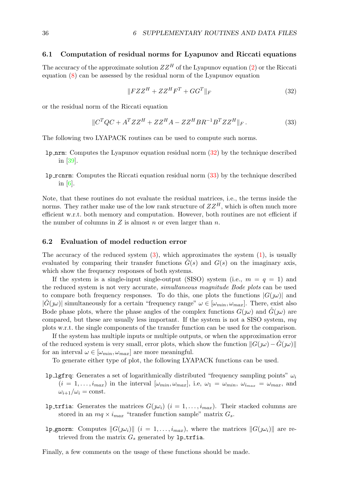#### 6.1 Computation of residual norms for Lyapunov and Riccati equations

Theaccuracy of the approximate solution  $ZZ^H$  of the Lyapunov equation ([2](#page-7-0)) or the Riccati equation([8](#page-8-0)) can be assessed by the residual norm of the Lyapunov equation

<span id="page-42-0"></span>
$$
||FZZ^{H} + ZZ^{H}F^{T} + GG^{T}||_{F}
$$
\n
$$
(32)
$$

or the residual norm of the Riccati equation

<span id="page-42-1"></span>
$$
\|C^TQC + A^TZZ^H + ZZ^HA - ZZ^HBR^{-1}B^TZZ^H\|_F.
$$
\n(33)

The following two LYAPACK routines can be used to compute such norms.

- lp nrm: Computes the Lyapunov equation residual norm([32\)](#page-42-0) by the technique described in[[39\]](#page-79-0).
- **lp\_rcnrm:** Computes the Riccati equation residual norm  $(33)$  by the technique described in[[6](#page-77-0)].

Note, that these routines do not evaluate the residual matrices, i.e., the terms inside the norms. They rather make use of the low rank structure of  $ZZ^H$ , which is often much more efficient w.r.t. both memory and computation. However, both routines are not efficient if the number of columns in  $Z$  is almost  $n$  or even larger than  $n$ .

#### 6.2 Evaluation of model reduction error

Theaccuracy of the reduced system  $(3)$  $(3)$  $(3)$ , which approximates the system  $(1)$  $(1)$  $(1)$ , is usually evaluated by comparing their transfer functions  $\tilde{G}(s)$  and  $G(s)$  on the imaginary axis, which show the frequency responses of both systems.

If the system is a single-input single-output (SISO) system (i.e.,  $m = q = 1$ ) and the reduced system is not very accurate, simultaneous magnitude Bode plots can be used to compare both frequency responses. To do this, one plots the functions  $|G(\omega)|$  and  $|\hat{G}(\omega)|$  simultaneously for a certain "frequency range"  $\omega \in [\omega_{min}, \omega_{max}]$ . There, exist also Bode phase plots, where the phase angles of the complex functions  $G(\omega)$  and  $\hat{G}(\omega)$  are compared, but these are usually less important. If the system is not a SISO system,  $mq$ plots w.r.t. the single components of the transfer function can be used for the comparison.

If the system has multiple inputs or multiple outputs, or when the approximation error of the reduced system is very small, error plots, which show the function  $||G(\omega) - \hat{G}(\omega)||$ for an interval  $\omega \in [\omega_{min}, \omega_{max}]$  are more meaningful.

To generate either type of plot, the following LYAPACK functions can be used.

- **lp lgfrq:** Generates a set of logarithmically distributed "frequency sampling points"  $\omega_i$  $(i = 1, \ldots, i_{max})$  in the interval  $[\omega_{min}, \omega_{max}]$ , i.e,  $\omega_1 = \omega_{min}, \omega_{i_{max}} = \omega_{max}$ , and  $\omega_{i+1}/\omega_i = \text{const.}$
- **lp trfia:** Generates the matrices  $G(\mathbf{w}_i)$  ( $i = 1, \ldots, i_{max}$ ). Their stacked columns are stored in an  $mq \times i_{max}$  "transfer function sample" matrix  $G_s$ .
- **lp gnorm:** Computes  $||G(\mu_i)||$   $(i = 1, ..., i_{max})$ , where the matrices  $||G(\mu_i)||$  are retrieved from the matrix  $G_s$  generated by 1p\_trfia.

Finally, a few comments on the usage of these functions should be made.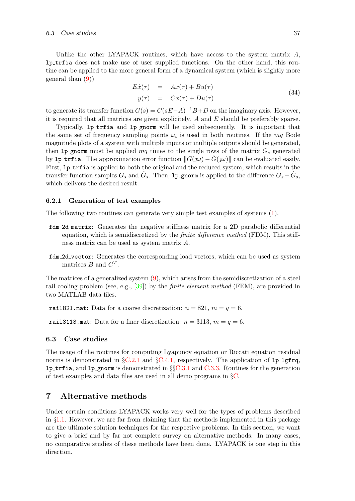Unlike the other LYAPACK routines, which have access to the system matrix  $A$ , lp trfia does not make use of user supplied functions. On the other hand, this routine can be applied to the more general form of a dynamical system (which is slightly more general than [\(9\)](#page-8-1))

$$
E\dot{x}(\tau) = Ax(\tau) + Bu(\tau)
$$
  
\n
$$
y(\tau) = Cx(\tau) + Du(\tau)
$$
\n(34)

to generate its transfer function  $G(s) = C(sE-A)^{-1}B+D$  on the imaginary axis. However, it is required that all matrices are given explicitely.  $A$  and  $E$  should be preferably sparse.

Typically, lp trfia and lp gnorm will be used subsequently. It is important that the same set of frequency sampling points  $\omega_i$  is used in both routines. If the mq Bode magnitude plots of a system with multiple inputs or multiple outputs should be generated, then 1p gnorm must be applied  $mq$  times to the single rows of the matrix  $G_s$  generated by lp\_trfia. The approximation error function  $||G(j\omega) - \hat{G}(j\omega)||$  can be evaluated easily. First, 1p\_trfia is applied to both the original and the reduced system, which results in the transfer function samples  $G_s$  and  $\hat{G}_s$ . Then, 1p\_gnorm is applied to the difference  $G_s - \hat{G}_s$ , which delivers the desired result.

#### 6.2.1 Generation of test examples

The following two routines can generate very simple test examples of systems [\(1](#page-7-2)).

- fdm 2d matrix: Generates the negative stiffness matrix for a 2D parabolic differential equation, which is semidiscretized by the finite difference method (FDM). This stiffness matrix can be used as system matrix A.
- fdm 2d vector: Generates the corresponding load vectors, which can be used as system matrices  $B$  and  $C^T$ .

The matrices of a generalized system([9\)](#page-8-1), which arises from the semidiscretization of a steel rail cooling problem (see, e.g.,  $[39]$ ) by the *finite element method* (FEM), are provided in two MATLAB data files.

rail821.mat: Data for a coarse discretization:  $n = 821$ ,  $m = q = 6$ .

rail3113.mat: Data for a finer discretization:  $n = 3113$ ,  $m = q = 6$ .

#### 6.3 Case studies

The usage of the routines for computing Lyapunov equation or Riccati equation residual norms is demonstrated in  $\S$ [C.2.1](#page-57-0) and  $\S$ [C.4.1,](#page-70-0) respectively. The application of 1p lgfrq, **lp\_trfia, and lp\_gnorm** is demonstrated in  $\S \S C.3.1$  $\S \S C.3.1$  and  $C.3.3$ . Routines for the generation of test examples and data files are used in all demo programs in §[C](#page-48-0).

## 7 Alternative methods

Under certain conditions LYAPACK works very well for the types of problems described in §[1.1](#page-7-3). However, we are far from claiming that the methods implemented in this package are the ultimate solution techniques for the respective problems. In this section, we want to give a brief and by far not complete survey on alternative methods. In many cases, no comparative studies of these methods have been done. LYAPACK is one step in this direction.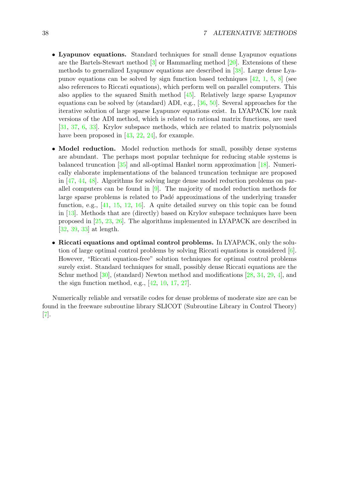- Lyapunov equations. Standard techniques for small dense Lyapunov equations arethe Bartels-Stewart method  $[3]$  $[3]$  $[3]$  or Hammarling method  $[20]$  $[20]$  $[20]$ . Extensions of these methods to generalized Lyapunov equations are described in[[38\]](#page-79-1). Large dense Lyapunov equations can be solved by sign function based techniques  $[42, 1, 5, 8]$  $[42, 1, 5, 8]$  $[42, 1, 5, 8]$  $[42, 1, 5, 8]$  $[42, 1, 5, 8]$  $[42, 1, 5, 8]$  (see also references to Riccati equations), which perform well on parallel computers. This also applies to the squared Smith method [\[45](#page-79-3)]. Relatively large sparse Lyapunov equations can be solved by (standard) ADI, e.g., [\[36](#page-79-4), [50](#page-79-5)]. Several approaches for the iterative solution of large sparse Lyapunov equations exist. In LYAPACK low rank versions of the ADI method, which is related to rational matrix functions, are used [\[31](#page-78-1), [37](#page-79-6), [6,](#page-77-0) [33\]](#page-78-2). Krylov subspace methods, which are related to matrix polynomials have been proposed in [\[43](#page-79-7), [22,](#page-78-3) [24](#page-78-4)], for example.
- Model reduction. Model reduction methods for small, possibly dense systems are abundant. The perhaps most popular technique for reducing stable systems is balanced truncation [\[35](#page-79-8)] and all-optimal Hankel norm approximation [\[18](#page-78-5)]. Numerically elaborate implementations of the balanced truncation technique are proposed in[[47,](#page-79-9) [44](#page-79-10), [48](#page-79-11)]. Algorithms for solving large dense model reduction problems on parallelcomputers can be found in  $[9]$  $[9]$  $[9]$ . The majority of model reduction methods for large sparse problems is related to Padé approximations of the underlying transfer function, e.g.,[[41,](#page-79-12) [15,](#page-77-6) [12](#page-77-7), [16\]](#page-78-6). A quite detailed survey on this topic can be found in[[13\]](#page-77-8). Methods that are (directly) based on Krylov subspace techniques have been proposed in[[25](#page-78-7), [23,](#page-78-8) [26\]](#page-78-9). The algorithms implemented in LYAPACK are described in [\[32](#page-78-10), [39,](#page-79-0) [33](#page-78-2)] at length.
- Riccati equations and optimal control problems. In LYAPACK, only the solution of large optimal control problems by solving Riccati equations is considered [\[6](#page-77-0)]. However, "Riccati equation-free" solution techniques for optimal control problems surely exist. Standard techniques for small, possibly dense Riccati equations are the Schurmethod  $[30]$ , (standard) Newton method and modifications  $[28, 34, 29, 4]$  $[28, 34, 29, 4]$  $[28, 34, 29, 4]$  $[28, 34, 29, 4]$  $[28, 34, 29, 4]$  $[28, 34, 29, 4]$  $[28, 34, 29, 4]$  $[28, 34, 29, 4]$ , and the sign function method, e.g.,[[42,](#page-79-2) [10](#page-77-10), [17,](#page-78-14) [27\]](#page-78-15).

Numerically reliable and versatile codes for dense problems of moderate size are can be found in the freeware subroutine library SLICOT (Subroutine Library in Control Theory) [[7](#page-77-11)].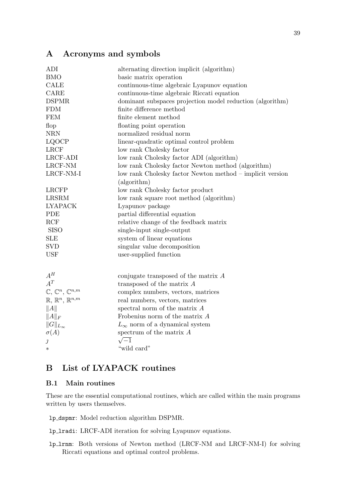# A Acronyms and symbols

| ADI                                          | alternating direction implicit (algorithm)                |
|----------------------------------------------|-----------------------------------------------------------|
| <b>BMO</b>                                   | basic matrix operation                                    |
| <b>CALE</b>                                  | continuous-time algebraic Lyapunov equation               |
| CARE                                         | continuous-time algebraic Riccati equation                |
| <b>DSPMR</b>                                 | dominant subspaces projection model reduction (algorithm) |
| <b>FDM</b>                                   | finite difference method                                  |
| <b>FEM</b>                                   | finite element method                                     |
| flop                                         | floating point operation                                  |
| $\operatorname{NRN}$                         | normalized residual norm                                  |
| <b>LQOCP</b>                                 | linear-quadratic optimal control problem                  |
| <b>LRCF</b>                                  | low rank Cholesky factor                                  |
| LRCF-ADI                                     | low rank Cholesky factor ADI (algorithm)                  |
| LRCF-NM                                      | low rank Cholesky factor Newton method (algorithm)        |
| LRCF-NM-I                                    | low rank Cholesky factor Newton method – implicit version |
|                                              | (algorithm)                                               |
| <b>LRCFP</b>                                 | low rank Cholesky factor product                          |
| <b>LRSRM</b>                                 | low rank square root method (algorithm)                   |
| <b>LYAPACK</b>                               | Lyapunov package                                          |
| PDE                                          | partial differential equation                             |
| RCF                                          | relative change of the feedback matrix                    |
| <b>SISO</b>                                  | single-input single-output                                |
| <b>SLE</b>                                   | system of linear equations                                |
| <b>SVD</b>                                   | singular value decomposition                              |
| <b>USF</b>                                   | user-supplied function                                    |
|                                              |                                                           |
|                                              |                                                           |
| $A^H$<br>$A^T$                               | conjugate transposed of the matrix $A$                    |
|                                              | transposed of the matrix $A$                              |
| $\mathbb{C}, \mathbb{C}^n, \mathbb{C}^{n,m}$ | complex numbers, vectors, matrices                        |
| $\mathbb{R}, \mathbb{R}^n, \mathbb{R}^{n,m}$ | real numbers, vectors, matrices                           |
| A                                            | spectral norm of the matrix $A$                           |
| $  A  _F$                                    | Frobenius norm of the matrix $A$                          |
| $  G  _{L_{\infty}}$                         | $L_{\infty}$ norm of a dynamical system                   |
| $\sigma(A)$                                  | spectrum of the matrix $A$                                |
| $\jmath$                                     | $\sqrt{-1}$                                               |
| $\ast$                                       | "wild card"                                               |

# B List of LYAPACK routines

## B.1 Main routines

These are the essential computational routines, which are called within the main programs written by users themselves.

lp dspmr: Model reduction algorithm DSPMR.

lp lradi: LRCF-ADI iteration for solving Lyapunov equations.

lp lrnm: Both versions of Newton method (LRCF-NM and LRCF-NM-I) for solving Riccati equations and optimal control problems.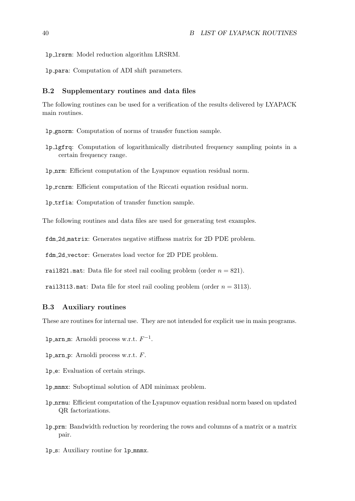lp lrsrm: Model reduction algorithm LRSRM.

lp para: Computation of ADI shift parameters.

### B.2 Supplementary routines and data files

The following routines can be used for a verification of the results delivered by LYAPACK main routines.

lp gnorm: Computation of norms of transfer function sample.

lp lgfrq: Computation of logarithmically distributed frequency sampling points in a certain frequency range.

lp nrm: Efficient computation of the Lyapunov equation residual norm.

lp rcnrm: Efficient computation of the Riccati equation residual norm.

lp trfia: Computation of transfer function sample.

The following routines and data files are used for generating test examples.

fdm 2d matrix: Generates negative stiffness matrix for 2D PDE problem.

fdm 2d vector: Generates load vector for 2D PDE problem.

rail821.mat: Data file for steel rail cooling problem (order  $n = 821$ ).

rail3113.mat: Data file for steel rail cooling problem (order  $n = 3113$ ).

#### B.3 Auxiliary routines

These are routines for internal use. They are not intended for explicit use in main programs.

lp\_arn\_m: Arnoldi process w.r.t.  $F^{-1}$ .

 $lp_arn_p$ : Arnoldi process w.r.t.  $F$ .

- lp e: Evaluation of certain strings.
- lp mnmx: Suboptimal solution of ADI minimax problem.
- lp nrmu: Efficient computation of the Lyapunov equation residual norm based on updated QR factorizations.
- lp prm: Bandwidth reduction by reordering the rows and columns of a matrix or a matrix pair.
- lp s: Auxiliary routine for lp mnmx.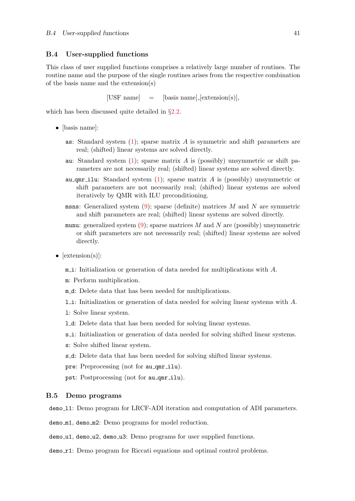#### B.4 User-supplied functions

This class of user supplied functions comprises a relatively large number of routines. The routine name and the purpose of the single routines arises from the respective combination of the basis name and the extension(s)

[USF name]  $=$  [basis name] [extension(s)],

which has been discussed quite detailed in  $\S 2.2$  $\S 2.2$ .

- [basis name]:
	- as: Standard system  $(1)$ ; sparse matrix A is symmetric and shift parameters are real; (shifted) linear systems are solved directly.
	- au:Standard system  $(1)$  $(1)$  $(1)$ ; sparse matrix A is (possibly) unsymmetric or shift parameters are not necessarily real; (shifted) linear systems are solved directly.
	- au qmr ilu: Standard system  $(1)$ ; sparse matrix A is (possibly) unsymmetric or shift parameters are not necessarily real; (shifted) linear systems are solved iteratively by QMR with ILU preconditioning.
	- msns:Generalized system  $(9)$  $(9)$  $(9)$ ; sparse (definite) matrices M and N are symmetric and shift parameters are real; (shifted) linear systems are solved directly.
	- munu:generalized system  $(9)$  $(9)$ ; sparse matrices M and N are (possibly) unsymmetric or shift parameters are not necessarily real; (shifted) linear systems are solved directly.
- $[extension(s)]$ :

 $m$  i: Initialization or generation of data needed for multiplications with A.

m: Perform multiplication.

- m d: Delete data that has been needed for multiplications.
- l i: Initialization or generation of data needed for solving linear systems with A.
- l: Solve linear system.
- l d: Delete data that has been needed for solving linear systems.
- s. i: Initialization or generation of data needed for solving shifted linear systems.
- s: Solve shifted linear system.
- s d: Delete data that has been needed for solving shifted linear systems.
- pre: Preprocessing (not for au qmr ilu).
- pst: Postprocessing (not for au qmr ilu).

#### B.5 Demo programs

demo<sub>-11:</sub> Demo program for LRCF-ADI iteration and computation of ADI parameters.

demo m1, demo m2: Demo programs for model reduction.

demo\_u1, demo\_u2, demo\_u3: Demo programs for user supplied functions.

demo<sub>r1</sub>: Demo program for Riccati equations and optimal control problems.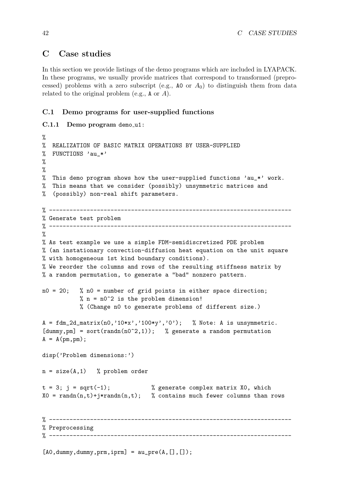## <span id="page-48-0"></span>C Case studies

In this section we provide listings of the demo programs which are included in LYAPACK. In these programs, we usually provide matrices that correspond to transformed (preprocessed) problems with a zero subscript (e.g.,  $\Delta$ 0 or  $A_0$ ) to distinguish them from data related to the original problem (e.g.,  $A$  or  $A$ ).

### C.1 Demo programs for user-supplied functions

```
C.1.1 Demo program demo_u1:
%
% REALIZATION OF BASIC MATRIX OPERATIONS BY USER-SUPPLIED
% FUNCTIONS 'au_*'
%
%
% This demo program shows how the user-supplied functions 'au_*' work.
% This means that we consider (possibly) unsymmetric matrices and
% (possibly) non-real shift parameters.
% -----------------------------------------------------------------------
% Generate test problem
% -----------------------------------------------------------------------
%
% As test example we use a simple FDM-semidiscretized PDE problem
% (an instationary convection-diffusion heat equation on the unit square
% with homogeneous 1st kind boundary conditions).
% We reorder the columns and rows of the resulting stiffness matrix by
% a random permutation, to generate a "bad" nonzero pattern.
n0 = 20; % n0 = number of grid points in either space direction;
           % n = n0^2 is the problem dimension!
           % (Change n0 to generate problems of different size.)
A = fdm_2d_matrix(n0, '10*x', '100*y', '0'); % Note: A is unsymmetric.
[dummy,pm] = sort(randn(n0^2,1)); % generate a random permutation
A = A(pm, pm);disp('Problem dimensions:')
n = size(A, 1) % problem order
t = 3; j = sqrt(-1); % generate complex matrix XO, which
X0 = \text{randn}(n,t)+j*\text{randn}(n,t); % contains much fewer columns than rows
% -----------------------------------------------------------------------
% Preprocessing
% -----------------------------------------------------------------------
```
 $[AO, dummy, dummy, prm,iprm] = au_pre(A, [], []);$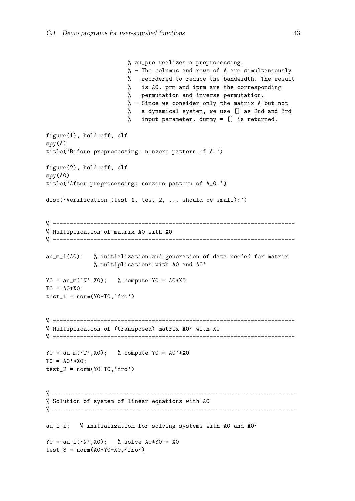```
% au_pre realizes a preprocessing:
                        % - The columns and rows of A are simultaneously
                        % reordered to reduce the bandwidth. The result
                        % is A0. prm and iprm are the corresponding
                        % permutation and inverse permutation.
                        % - Since we consider only the matrix A but not
                        % a dynamical system, we use [] as 2nd and 3rd
                        % input parameter. dummy = [] is returned.
figure(1), hold off, clf
spy(A)title('Before preprocessing: nonzero pattern of A.')
figure(2), hold off, clf
spy(A0)
title('After preprocessing: nonzero pattern of A_0.')
disp('Verification (test_1, test_2, ... should be small):')
% -----------------------------------------------------------------------
% Multiplication of matrix A0 with X0
% -----------------------------------------------------------------------
au_m_i(A0); % initialization and generation of data needed for matrix
              % multiplications with A0 and A0'
YO = au_m('N',X0); % compute YO = AO*X0TO = A0*X0;test_1 = norm(Y0-T0, 'fro')% -----------------------------------------------------------------------
% Multiplication of (transposed) matrix A0' with X0
% -----------------------------------------------------------------------
YO = au_m('T', X0); % compute YO = AO' *XOTO = AO' *XO;test_2 = norm(Y0-T0, 'fro')% -----------------------------------------------------------------------
% Solution of system of linear equations with A0
% -----------------------------------------------------------------------
au_l_i; % initialization for solving systems with A0 and A0'
YO = au_1('N',X0); % solve A0*YO = X0test_3 = norm(A0*Y0-X0, 'fro')
```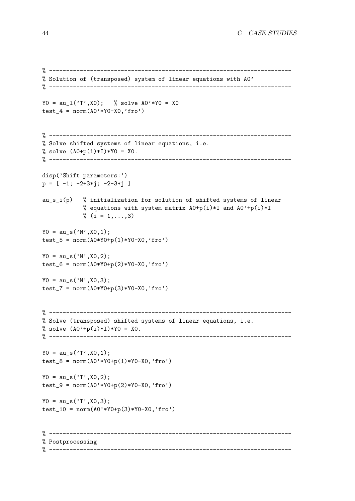```
% -----------------------------------------------------------------------
% Solution of (transposed) system of linear equations with A0'
% -----------------------------------------------------------------------
YO = au_1('T', X0); % solve AO'*YO = X0test_4 = norm(A0'*Y0-X0,'fro')% -----------------------------------------------------------------------
% Solve shifted systems of linear equations, i.e.
% solve (A0+p(i)*I)*Y0 = X0.
% -----------------------------------------------------------------------
disp('Shift parameters:')
p = [-1; -2+3*j; -2-3*j]au_s_i(p) % initialization for solution of shifted systems of linear
            % equations with system matrix A0+p(i)*I and A0'+p(i)*I\frac{9}{6} (i = 1,...,3)
YO = au_s('N', X0, 1);test_5 = norm(A0*Y0+p(1)*Y0-X0, 'fro')YO = au_s('N',X0,2);test_6 = norm(A0*Y0+p(2)*Y0-X0, 'fro')YO = au_s('N', X0, 3);test_7 = norm(A0*Y0+p(3)*Y0-X0, 'fro')% -----------------------------------------------------------------------
% Solve (transposed) shifted systems of linear equations, i.e.
% solve (A0'+p(i)*I)*Y0 = X0.
% -----------------------------------------------------------------------
YO = au_s('T', X0, 1);test_8 = norm(A0'*Y0+p(1)*Y0-X0,'fro')YO = au_s('T', X0, 2);test_9 = norm(A0'*Y0+p(2)*Y0-X0,'fro')
YO = au_s('T', X0, 3);test_10 = norm(A0'*Y0+p(3)*Y0-X0,'fro')% -----------------------------------------------------------------------
% Postprocessing
% -----------------------------------------------------------------------
```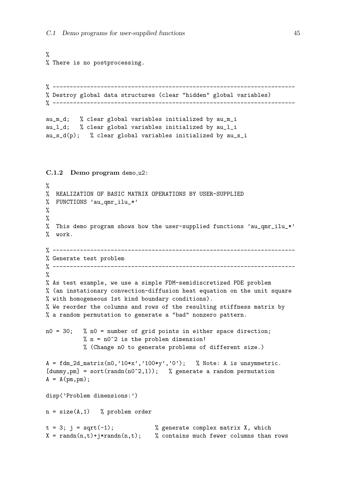```
%
% There is no postprocessing.
% -----------------------------------------------------------------------
% Destroy global data structures (clear "hidden" global variables)
% -----------------------------------------------------------------------
au_m_d; % clear global variables initialized by au_m_i
au_l_d; % clear global variables initialized by au_l_i
au_s_d(p); % clear global variables initialized by au_s_iC.1.2 Demo program demo u2:
%
% REALIZATION OF BASIC MATRIX OPERATIONS BY USER-SUPPLIED
% FUNCTIONS 'au_qmr_ilu_*'
\frac{9}{6}\frac{9}{6}% This demo program shows how the user-supplied functions 'au_qmr_ilu_*'
% work.
% -----------------------------------------------------------------------
% Generate test problem
% -----------------------------------------------------------------------
%
% As test example, we use a simple FDM-semidiscretized PDE problem
% (an instationary convection-diffusion heat equation on the unit square
% with homogeneous 1st kind boundary conditions).
% We reorder the columns and rows of the resulting stiffness matrix by
% a random permutation to generate a "bad" nonzero pattern.
n0 = 30; % n0 = number of grid points in either space direction;
           % n = n0^2 is the problem dimension!
           % (Change n0 to generate problems of different size.)
A = fdm_2d_matrix(n0,'10*x', '100*y', '0'); % Note: A is unsymmetric.
[dummy,pm] = sort(randn(n0^2,1)); % generate a random permutation
A = A(pm, pm);disp('Problem dimensions:')
n = size(A, 1) % problem order
t = 3; j = sqrt(-1); \% generate complex matrix X, which
X = \text{randn}(n, t) + j*\text{randn}(n, t); % contains much fewer columns than rows
```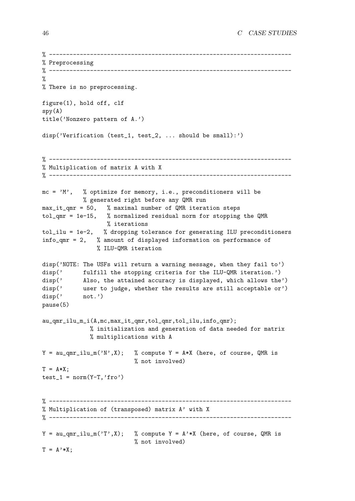```
% -----------------------------------------------------------------------
% Preprocessing
% -----------------------------------------------------------------------
%
% There is no preprocessing.
figure(1), hold off, clf
spy(A)title('Nonzero pattern of A.')
disp('Verification (test_1, test_2, ... should be small):')
% -----------------------------------------------------------------------
% Multiplication of matrix A with X
% -----------------------------------------------------------------------
mc = 'M', % optimize for memory, i.e., preconditioners will be
           % generated right before any QMR run
max_i = 50, % maximal number of QMR iteration steps
tol_qmr = 1e-15, % normalized residual norm for stopping the QMR
                  % iterations
tol_ilu = 1e-2, % dropping tolerance for generating ILU preconditioners
info_qmr = 2, % amount of displayed information on performance of
               % ILU-QMR iteration
disp('NOTE: The USFs will return a warning message, when they fail to')
disp(' fulfill the stopping criteria for the ILU-QMR iteration.')
disp(' Also, the attained accuracy is displayed, which allows the')
disp(' user to judge, whether the results are still acceptable or')
disp(' not.')
pause(5)
au_qmr_ilu_m_i(A,mc,max_it_qmr,tol_qmr,tol_ilu,info_qmr);
              % initialization and generation of data needed for matrix
              % multiplications with A
Y = au_qmr_ilu_m('N', X); % compute Y = A*X (here, of course, QMR is
                          % not involved)
T = A*X:
test_1 = norm(Y-T, 'fro')% -----------------------------------------------------------------------
% Multiplication of (transposed) matrix A' with X
% -----------------------------------------------------------------------
Y = au_qmr_ilu_m('T',X); % compute Y = A'*X (here, of course, QMR is
                          % not involved)
T = A' * X;
```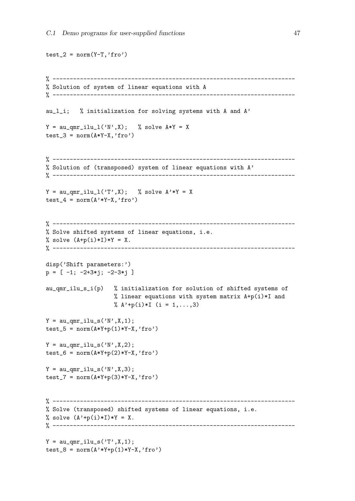```
test_2 = norm(Y-T, 'fro')% -----------------------------------------------------------------------
% Solution of system of linear equations with A
% -----------------------------------------------------------------------
au_l_i; % initialization for solving systems with A and A'
Y = \text{au\_qmr\_illu\_l('N', X)}; % solve A*Y = Xtest_3 = norm(A*Y-X, 'fro')% -----------------------------------------------------------------------
% Solution of (transposed) system of linear equations with A'
% -----------------------------------------------------------------------
Y = au_{\text{unr\_illu\_l}}('T', X); % solve A' * Y = Xtest_4 = norm(A'*Y-X, 'fro')% -----------------------------------------------------------------------
% Solve shifted systems of linear equations, i.e.
% solve (A+p(i)*I)*Y = X.
% -----------------------------------------------------------------------
disp('Shift parameters:')
p = [-1; -2+3*j; -2-3*j]au_qmr_ilu_s_i(p) % initialization for solution of shifted systems of
                     % linear equations with system matrix A+p(i)*I and
                     % A' + p(i) * I (i = 1, ..., 3)
Y = \text{au\_qmr\_illu\_s} ('N', X, 1);test_5 = norm(A*Y+p(1)*Y-X, 'fro')Y = \text{au\_qmr\_illu\_s} ('N', X, 2);test_6 = norm(A*Y+p(2)*Y-X, 'fro')Y = \text{au\_qmr\_illu\_s} ('N', X, 3);test_7 = norm(A*Y+p(3)*Y-X, 'fro')% -----------------------------------------------------------------------
% Solve (transposed) shifted systems of linear equations, i.e.
% solve (A'+p(i)*I)*Y = X.
% -----------------------------------------------------------------------
Y = \text{au\_qmr\_illu\_s('T', X, 1)};test_8 = norm(A'*Y+p(1)*Y-X, 'fro')
```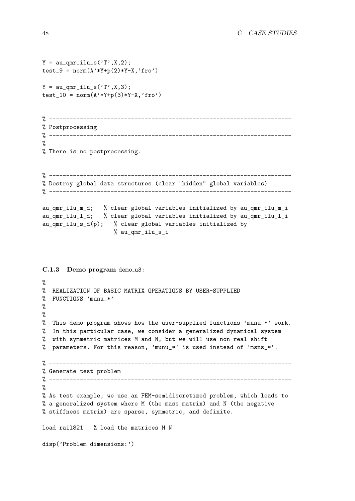```
Y = \text{au\_qmr\_illu\_s('T', X, 2)};test_9 = norm(A'*Y+p(2)*Y-X, 'fro')Y = \text{au\_qmr\_illu\_s} ('T', X, 3);test_10 = norm(A'*Y+p(3)*Y-X,'fro')% -----------------------------------------------------------------------
% Postprocessing
% -----------------------------------------------------------------------
%
% There is no postprocessing.
% -----------------------------------------------------------------------
% Destroy global data structures (clear "hidden" global variables)
% -----------------------------------------------------------------------
au_qmr_ilu_m_d; % clear global variables initialized by au_qmr_ilu_m_i
au_qmr_ilu_l_d; % clear global variables initialized by au_qmr_ilu_l_i
au_qmr_ilu_s_d(p); % clear global variables initialized by
                     % au_qmr_ilu_s_i
C.1.3 Demo program demo_u3:
%
% REALIZATION OF BASIC MATRIX OPERATIONS BY USER-SUPPLIED
% FUNCTIONS 'munu_*'
%
%
% This demo program shows how the user-supplied functions 'munu_*' work.
% In this particular case, we consider a generalized dynamical system
% with symmetric matrices M and N, but we will use non-real shift
% parameters. For this reason, 'munu_*' is used instead of 'msns_*'.
% -----------------------------------------------------------------------
% Generate test problem
% -----------------------------------------------------------------------
%
% As test example, we use an FEM-semidiscretized problem, which leads to
% a generalized system where M (the mass matrix) and N (the negative
% stiffness matrix) are sparse, symmetric, and definite.
load rail821 % load the matrices M N
disp('Problem dimensions:')
```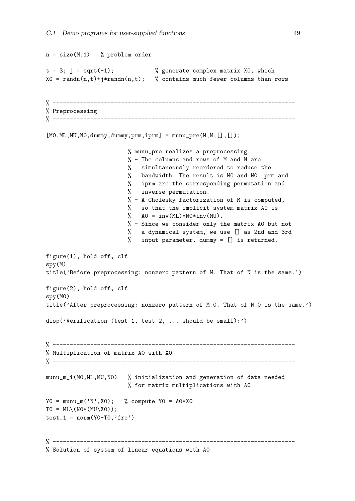```
n = size(M, 1) % problem order
t = 3; j = sqrt(-1); % generate complex matrix XO, which
X0 = \text{randn}(n,t) + j*\text{randn}(n,t); % contains much fewer columns than rows
% -----------------------------------------------------------------------
% Preprocessing
% -----------------------------------------------------------------------
[M0,ML,MU,N0,dummy,dummy,prm,iprm] = munu_pre(M,N,[],[]);% munu_pre realizes a preprocessing:
                        % - The columns and rows of M and N are
                        % simultaneously reordered to reduce the
                        % bandwidth. The result is M0 and N0. prm and
                        % iprm are the corresponding permutation and
                        % inverse permutation.
                        % - A Cholesky factorization of M is computed,
                        % so that the implicit system matrix A0 is
                        \% AO = inv(ML)*NO*inv(MU).
                        % - Since we consider only the matrix A0 but not
                        % a dynamical system, we use [] as 2nd and 3rd
                        % input parameter. dummy = [] is returned.
figure(1), hold off, clf
spy(M)
title('Before preprocessing: nonzero pattern of M. That of N is the same.')
figure(2), hold off, clf
spy(M0)
title('After preprocessing: nonzero pattern of M_0. That of N_0 is the same.')
disp('Verification (test_1, test_2, ... should be small):')
% -----------------------------------------------------------------------
% Multiplication of matrix A0 with X0
% -----------------------------------------------------------------------
munu_m_i(M0,ML,MU,N0) % initialization and generation of data needed
                        % for matrix multiplications with A0
YO = \text{munu\_m}('N', X0); % compute YO = AO*X0TO = ML\(NO*(MU\X0));test_1 = norm(Y0-T0, 'fro')% -----------------------------------------------------------------------
% Solution of system of linear equations with A0
```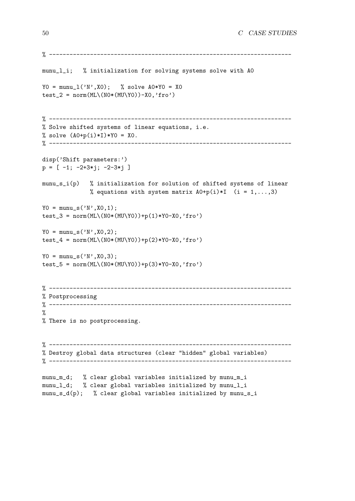```
% -----------------------------------------------------------------------
munu_l_i; % initialization for solving systems solve with A0
YO = \text{munu}_1('N',X0); % solve AO*YO = X0test_2 = norm(ML\(GW)(MU\Y0))-X0,'fro')
% -----------------------------------------------------------------------
% Solve shifted systems of linear equations, i.e.
% solve (A0+p(i)*I)*Y0 = X0.
% -----------------------------------------------------------------------
disp('Shift parameters:')
p = [-1; -2+3*1; -2-3*1]munu_s_i(p) % initialization for solution of shifted systems of linear
              % equations with system matrix A0+p(i)*I (i = 1,...,3)
YO = \text{munu}_s('N', X0, 1);test_3 = norm(ML\(GWUVY0))+p(1)*Y0-X0,'fro')YO = \text{munu}_s('N', X0, 2);test_4 = norm(ML\(N0*(MU\Y0))+p(2)*Y0-X0,'fro')
YO = \text{munu}_s('N', X0, 3);test_5 = norm(ML\(GWU\Y0)) + p(3)*Y0-X0, 'fro')% -----------------------------------------------------------------------
% Postprocessing
% -----------------------------------------------------------------------
\gamma% There is no postprocessing.
% -----------------------------------------------------------------------
% Destroy global data structures (clear "hidden" global variables)
% -----------------------------------------------------------------------
munu_m_d; % clear global variables initialized by munu_m_i
munu_l_d; % clear global variables initialized by munu_l_i
munu_s_d(p); % clear global variables initialized by munu_s_i
```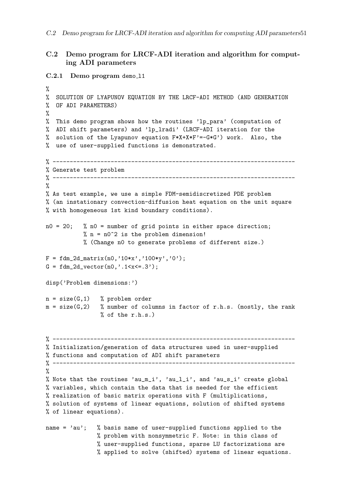## C.2 Demo program for LRCF-ADI iteration and algorithm for computing ADI parameters

```
C.2.1 Demo program demo_11
\frac{9}{6}% SOLUTION OF LYAPUNOV EQUATION BY THE LRCF-ADI METHOD (AND GENERATION
% OF ADI PARAMETERS)
%
% This demo program shows how the routines 'lp_para' (computation of
% ADI shift parameters) and 'lp_lradi' (LRCF-ADI iteration for the
% solution of the Lyapunov equation F*X+X*F'=-G*G') work. Also, the
% use of user-supplied functions is demonstrated.
% -----------------------------------------------------------------------
% Generate test problem<br>% ----------------------
                       % -----------------------------------------------------------------------
%
% As test example, we use a simple FDM-semidiscretized PDE problem
% (an instationary convection-diffusion heat equation on the unit square
% with homogeneous 1st kind boundary conditions).
n0 = 20; % n0 = number of grid points in either space direction;
           % n = n0^2 is the problem dimension!
           % (Change n0 to generate problems of different size.)
F = f dm_2d_matrix(n0,'10*x', '100*y', '0');
G = fdm_2d\_vector(n0,'.1 < x < = .3');
disp('Problem dimensions:')
n = size(G, 1) % problem order
m = size(G, 2) % number of columns in factor of r.h.s. (mostly, the rank
                % of the r.h.s.)
% -----------------------------------------------------------------------
% Initialization/generation of data structures used in user-supplied
% functions and computation of ADI shift parameters
% -----------------------------------------------------------------------
%
% Note that the routines 'au_m_i', 'au_l_i', and 'au_s_i' create global
% variables, which contain the data that is needed for the efficient
% realization of basic matrix operations with F (multiplications,
% solution of systems of linear equations, solution of shifted systems
% of linear equations).
name = 'au'; % basis name of user-supplied functions applied to the
               % problem with nonsymmetric F. Note: in this class of
               % user-supplied functions, sparse LU factorizations are
               % applied to solve (shifted) systems of linear equations.
```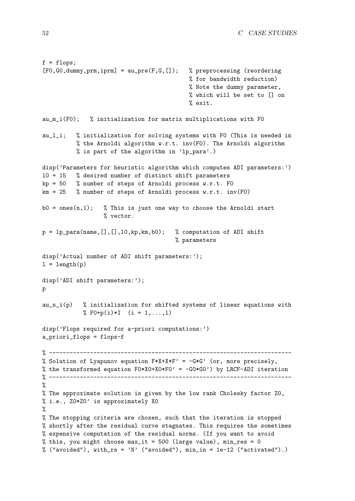```
f = flops;[F0,G0,dummy,prm,iprm] = au_pre(F,G,[]); % preprocessing (reordering
                                           % for bandwidth reduction)
                                           % Note the dummy parameter,
                                           % which will be set to [] on
                                           % exit.
au_m_i(F0); % initialization for matrix multiplications with F0
au_l_i; % initialization for solving systems with F0 (This is needed in
          % the Arnoldi algorithm w.r.t. inv(F0). The Arnoldi algorithm
          % is part of the algorithm in 'lp_para'.)
disp('Parameters for heuristic algorithm which computes ADI parameters:')
l0 = 15 % desired number of distinct shift parameters
kp = 50 % number of steps of Arnoldi process w.r.t. FO
km = 25 % number of steps of Arnoldi process w.r.t. inv(F0)
b0 = \text{ones}(n,1); % This is just one way to choose the Arnoldi start
                  % vector.
p = 1p-para(name, [], [], 10, kp, km, b0); % computation of ADI shift
                                       % parameters
disp('Actual number of ADI shift parameters:');
l = length(p)disp('ADI shift parameters:');
p
au_s_i(p) % initialization for shifted systems of linear equations with
            % F0+p(i)*I (i = 1,..., 1)
disp('Flops required for a-priori computations:')
a_priori_flops = flops-f
% -----------------------------------------------------------------------
% Solution of Lyapunov equation F*X+X+F' = -G*G' (or, more precisely,
% the transformed equation F0*X0+X0*F0' = -G0*G0') by LRCF-ADI iteration
% -----------------------------------------------------------------------
%
% The approximate solution is given by the low rank Cholesky factor Z0,
% i.e., Z0*Z0' is approximately X0
%
% The stopping criteria are chosen, such that the iteration is stopped
% shortly after the residual curve stagnates. This requires the sometimes
% expensive computation of the residual norms. (If you want to avoid
% this, you might choose max_it = 500 (large value), min_res = 0
% ("avoided"), with_rs = 'N' ("avoided"), min_in = 1e-12 ("activated").)
```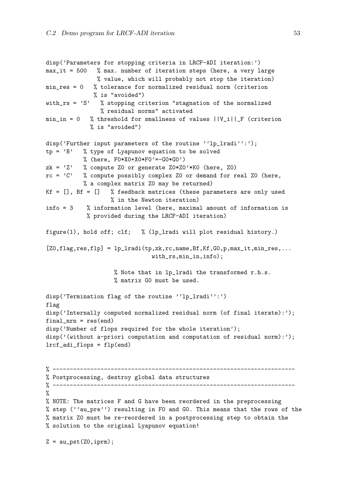```
disp('Parameters for stopping criteria in LRCF-ADI iteration:')
max_it = 500 % max. number of iteration steps (here, a very large
               % value, which will probably not stop the iteration)
min_res = 0 % tolerance for normalized residual norm (criterion
              % is "avoided")
with_rs = 'S' % stopping criterion "stagnation of the normalized
                % residual norms" activated
min_in = 0 % threshold for smallness of values ||V_i||_F (criterion
             % is "avoided")
disp('Further input parameters of the routine ''lp_lradi'':');
tp = 'B' % type of Lyapunov equation to be solved
           % (here, F0*X0+X0*F0'=-G0*G0')
zk = 2' % compute Z0 or generate Z0*Z0'*K0 (here, Z0)
rc = 'C' % compute possibly complex ZO or demand for real ZO (here,
           % a complex matrix Z0 may be returned)
Kf = [], Bf = [] % feedback matrices (these parameters are only used
                   % in the Newton iteration)
info = 3 % information level (here, maximal amount of information is
            % provided during the LRCF-ADI iteration)
figure(1), hold off; clf; % (lp_lradi will plot residual history.)
[20,flag,res,flp] = lp_lradi(tp,zk,rc,name,Bf,Kf,G0,p,max_it,min_res,...with_rs,min_in,info);
                    % Note that in lp_lradi the transformed r.h.s.
                    % matrix G0 must be used.
disp('Termination flag of the routine ''lp_lradi'':')
flag
disp('Internally computed normalized residual norm (of final iterate):');
final_nrn = res(end)disp('Number of flops required for the whole iteration');
disp('(without a-priori computation and computation of residual norm):');
lrcf_adi_flops = flp(end)
% -----------------------------------------------------------------------
% Postprocessing, destroy global data structures
% -----------------------------------------------------------------------
\frac{9}{2}% NOTE: The matrices F and G have been reordered in the preprocessing
% step (''au_pre'') resulting in F0 and G0. This means that the rows of the
% matrix Z0 must be re-reordered in a postprocessing step to obtain the
% solution to the original Lyapunov equation!
Z = \text{au}_pst(Z0, \text{iprm});
```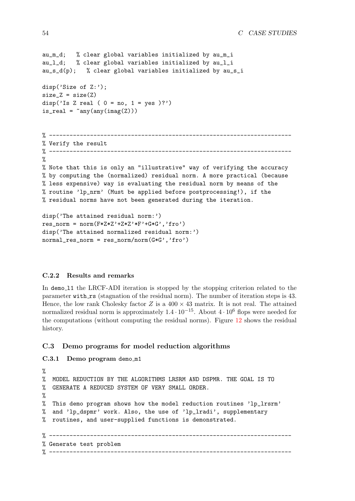```
au_m_d; % clear global variables initialized by au_m_i
au_l_d; % clear global variables initialized by au_l_i
au_s_d(p); % clear global variables initialized by au_s_i
disp('Size of Z:');
size_Z = size(Z)disp('Is Z real ( 0 = no, 1 = ves )?')
is\_real = \text{~}'\text{any}(\text{any}(\text{imag}(Z)))% -----------------------------------------------------------------------
% Verify the result
% -----------------------------------------------------------------------
%
% Note that this is only an "illustrative" way of verifying the accuracy
% by computing the (normalized) residual norm. A more practical (because
% less expensive) way is evaluating the residual norm by means of the
% routine 'lp_nrm' (Must be applied before postprocessing!), if the
% residual norms have not been generated during the iteration.
disp('The attained residual norm:')
```

```
res_norm = norm(F*Z*Z'*Z*Z'*F'*G*G', 'fro')disp('The attained normalized residual norm:')
normal\_res\_norm = res\_norm/norm(G*G', 'fro')
```
#### C.2.2 Results and remarks

In demo<sub>11</sub> the LRCF-ADI iteration is stopped by the stopping criterion related to the parameter with rs (stagnation of the residual norm). The number of iteration steps is 43. Hence, the low rank Cholesky factor Z is a  $400 \times 43$  matrix. It is not real. The attained normalized residual norm is approximately  $1.4 \cdot 10^{-15}$ . About  $4 \cdot 10^6$  flops were needed for the computations (without computing the residual norms). Figure [12](#page-61-0) shows the residual history.

#### C.3 Demo programs for model reduction algorithms

#### <span id="page-60-0"></span>C.3.1 Demo program demo m1

```
%
% MODEL REDUCTION BY THE ALGORITHMS LRSRM AND DSPMR. THE GOAL IS TO
% GENERATE A REDUCED SYSTEM OF VERY SMALL ORDER.
%
% This demo program shows how the model reduction routines 'lp_lrsrm'
% and 'lp_dspmr' work. Also, the use of 'lp_lradi', supplementary
% routines, and user-supplied functions is demonstrated.
% -----------------------------------------------------------------------
% Generate test problem
% -----------------------------------------------------------------------
```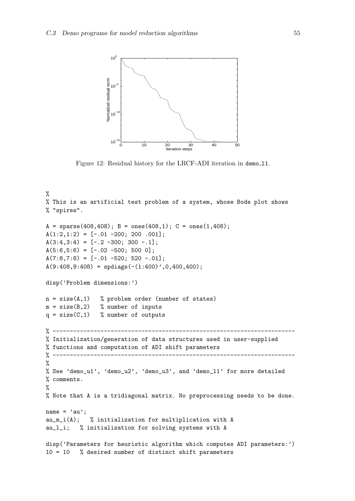

<span id="page-61-0"></span>Figure 12: Residual history for the LRCF-ADI iteration in demo 11.

```
\frac{9}{6}% This is an artificial test problem of a system, whose Bode plot shows
% "spires".
A = sparse(408, 408); B = ones(408, 1); C = ones(1, 408);A(1:2,1:2) = [-.01 -200; 200.001];A(3:4,3:4) = [-.2 -300; 300 -.1];A(5:6, 5:6) = [-.02 -500; 500 0];A(7:8,7:8) = [-.01 -520; 520 -.01];A(9:408, 9:408) = spdiags(-(1:400)',0,400,400);
disp('Problem dimensions:')
n = size(A, 1) % problem order (number of states)
m = size(B, 2) % number of inputs
q = size(C, 1) % number of outputs
\frac{9}{6} ---------
% Initialization/generation of data structures used in user-supplied
% functions and computation of ADI shift parameters
% -----------------------------------------------------------------------
\frac{9}{2}% See 'demo_u1', 'demo_u2', 'demo_u3', and 'demo_l1' for more detailed
% comments.
%
% Note that A is a tridiagonal matrix. No preprocessing needs to be done.
name = 'au';
au_m_i(A); % initialization for multiplication with A
au_l_i; % initialization for solving systems with A
disp('Parameters for heuristic algorithm which computes ADI parameters:')
l0 = 10 % desired number of distinct shift parameters
```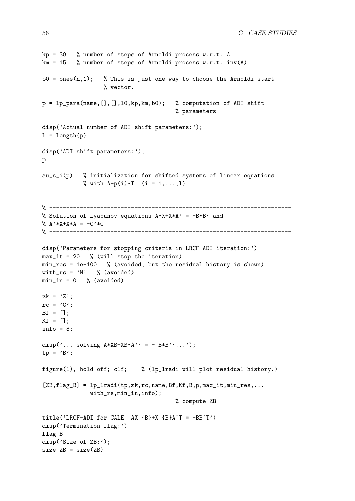```
kp = 30 % number of steps of Arnoldi process w.r.t. A
km = 15 % number of steps of Arnoldi process w.r.t. inv(A)b0 = ones(n,1); % This is just one way to choose the Arnoldi start
                  % vector.
p = lp\_para(name, [], [], l0, kp, km, b0); % computation of ADI shift
                                       % parameters
disp('Actual number of ADI shift parameters:');
l = length(p)disp('ADI shift parameters:');
p
au_s_i(p) % initialization for shifted systems of linear equations
            % with A + p(i)*I (i = 1,..., 1)
% -----------------------------------------------------------------------
% Solution of Lyapunov equations A*X+X*A' = -B*B' and
% A' * X + X * A = -C' * C% -----------------------------------------------------------------------
disp('Parameters for stopping criteria in LRCF-ADI iteration:')
max_it = 20 % (will stop the iteration)
min_res = 1e-100 % (avoided, but the residual history is shown)
with_rs = 'N' \% (avoided)
min_in = 0 % (avoided)
zk = 'Z';rc = 'C';Bf = [];
Kf = [];
info = 3;disp('\ldots solving A*XB+XB*A' = - B*B''...');
tp = 'B';
figure(1), hold off; clf; % (lp_lradi will plot residual history.)
[ZB, flag_B] = lp_1\text{radi(tp,zk,rc,name,Bf,Kf,B,p,max_it,min_res,...with_rs,min_in,info);
                                        % compute ZB
title('LRCF-ADI for CALE AX_{B}+X_{B}+X_{B}<sup>+</sup>T = -BB^T')
disp('Termination flag:')
flag_B
disp('Size of ZB:');
size_ZB = size(ZB)
```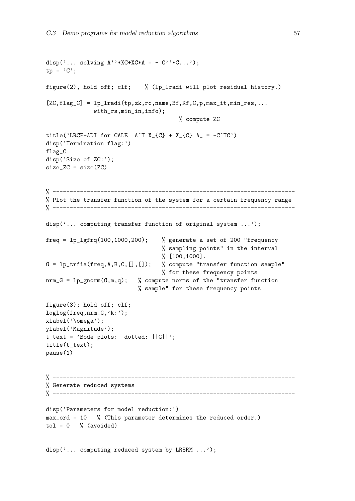```
disp('... solving A''*XC+XC*A = - C''*C...');
tp = 'C';figure(2), hold off; clf; % (lp_lradi will plot residual history.)
[ZC, flag_C] = lp_1radi(tp, zk, rc, name, Bf, Kf, C, p, max_i, min_res, ...with_rs,min_in,info);
                                        % compute ZC
title('LRCF-ADI for CALE A^T X_{-} C} + X_{-} C} A_{-} = -C^T C')
disp('Termination flag:')
flag_C
disp('Size of ZC:');
size_ZC = size(ZC)
% -----------------------------------------------------------------------
% Plot the transfer function of the system for a certain frequency range
% -----------------------------------------------------------------------
disp('... computing transfer function of original system ...');
freq = lp_lgfrq(100,1000,200); % generate a set of 200 "frequency
                                  % sampling points" in the interval
                                  % [100,1000].
G = lp\_trfia(freq, A, B, C, [], ]); % compute "transfer function sample"
                                  % for these frequency points
nrm_G = 1p_{gnorm}(G, m, q); % compute norms of the "transfer function"
                           % sample" for these frequency points
figure(3); hold off; clf;
loglog(freq,nrm_G,'k:');
xlabel('\omega');
ylabel('Magnitude');
t_text = 'Bode plots: dotted: ||G||';
title(t_text);
pause(1)
% -----------------------------------------------------------------------
% Generate reduced systems
% -----------------------------------------------------------------------
disp('Parameters for model reduction:')
max_ord = 10 % (This parameter determines the reduced order.)
tol = 0 % (avoided)
```
disp('... computing reduced system by LRSRM ...');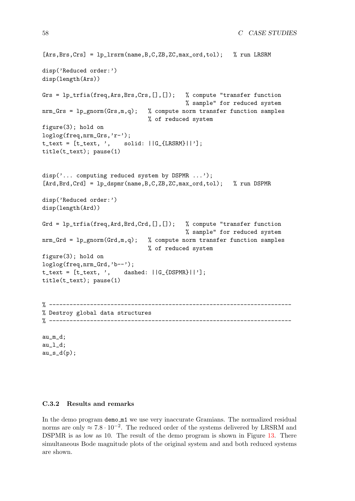```
[Ans, Brs, Crs] = 1p_1rsrm(name, B, C, ZB, ZC, max_ord, tol); % run LRSRM
disp('Reduced order:')
disp(length(Ars))
Grs = lp_trfia(freq, Ars,Brs,Crs, [], ]); % compute "transfer function"
                                           % sample" for reduced system
nmm_GGrs = lp_{gnorm}(Grs,m,q); % compute norm transfer function samples
                                % of reduced system
figure(3); hold on
loglog(freq,nrm_Grs,'r-');
t_{text} = [t_{text}, ', solid: ||G_{text{RSRM}}||'];title(t_text); pause(1)
disp('... computing reduced system by DSPMR ...');
[Ard, Brd, Crd] = 1p_d spmr(name, B, C, ZB, ZC, max_crd, tol); % run DSPMR
disp('Reduced order:')
disp(length(Ard))
Grd = lp_trfia(freq,Ard,Brd,Crd,[],[]); % compute "transfer function
                                           % sample" for reduced system
nrm_Grd = lp_gnorm(Grd,m,q); % compute norm transfer function samples
                                % of reduced system
figure(3); hold on
loglog(freq,nrm_Grd,'b--');
t_{text} = [t_{text}, ', dashed: ||G_{text{DSPMR}}||'];title(t_text); pause(1)
% -----------------------------------------------------------------------
% Destroy global data structures
% -----------------------------------------------------------------------
au_m_d;
au_l_d;
```
 $au_s_d(p)$ ;

#### C.3.2 Results and remarks

In the demo program demo m1 we use very inaccurate Gramians. The normalized residual norms are only  $\approx 7.8 \cdot 10^{-2}$ . The reduced order of the systems delivered by LRSRM and DSPMR is as low as 10. The result of the demo program is shown in Figure [13](#page-65-1). There simultaneous Bode magnitude plots of the original system and and both reduced systems are shown.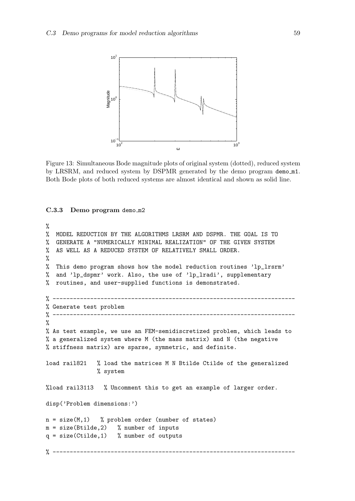

<span id="page-65-1"></span>Figure 13: Simultaneous Bode magnitude plots of original system (dotted), reduced system by LRSRM, and reduced system by DSPMR generated by the demo program demo m1. Both Bode plots of both reduced systems are almost identical and shown as solid line.

#### <span id="page-65-0"></span>C.3.3 Demo program demo\_m2

```
%
% MODEL REDUCTION BY THE ALGORITHMS LRSRM AND DSPMR. THE GOAL IS TO
% GENERATE A "NUMERICALLY MINIMAL REALIZATION" OF THE GIVEN SYSTEM
% AS WELL AS A REDUCED SYSTEM OF RELATIVELY SMALL ORDER.
%
% This demo program shows how the model reduction routines 'lp_lrsrm'
% and 'lp_dspmr' work. Also, the use of 'lp_lradi', supplementary
% routines, and user-supplied functions is demonstrated.
% -----------------------------------------------------------------------
% Generate test problem
\% -------------------
\frac{9}{6}% As test example, we use an FEM-semidiscretized problem, which leads to
% a generalized system where M (the mass matrix) and N (the negative
% stiffness matrix) are sparse, symmetric, and definite.
load rail821 % load the matrices M N Btilde Ctilde of the generalized
               % system
%load rail3113 % Uncomment this to get an example of larger order.
disp('Problem dimensions:')
n = size(M, 1) % problem order (number of states)
m = size(Btilde, 2) % number of inputs
q = size(Child, 1) % number of outputs
% -----------------------------------------------------------------------
```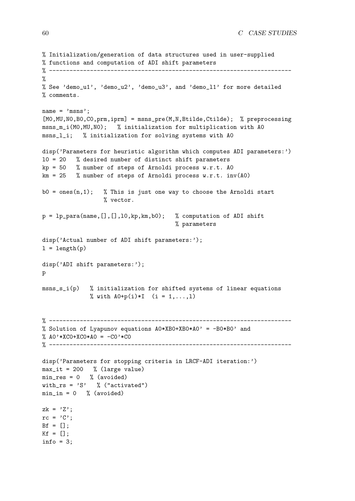```
% Initialization/generation of data structures used in user-supplied
% functions and computation of ADI shift parameters
% -----------------------------------------------------------------------
\frac{9}{6}% See 'demo_u1', 'demo_u2', 'demo_u3', and 'demo_l1' for more detailed
% comments.
name = 'msns';
[MO, MU, NO, BO, CO, prm, iprm] = msns_pre(M, N, Btilde, Ctilde); % preprocessing
msns_m_i(M0,MU,N0); % initialization for multiplication with A0
msns_l_i; % initialization for solving systems with A0
disp('Parameters for heuristic algorithm which computes ADI parameters:')
l0 = 20 % desired number of distinct shift parameters
kp = 50 % number of steps of Arnoldi process w.r.t. AO
km = 25 % number of steps of Arnoldi process w.r.t. inv(A0)b0 = ones(n,1); % This is just one way to choose the Arnoldi start
                  % vector.
p = 1p-para(name, [], [], 10, kp, km, b0); % computation of ADI shift
                                       % parameters
disp('Actual number of ADI shift parameters:');
l = length(p)disp('ADI shift parameters:');
p
msns_s_i(p) % initialization for shifted systems of linear equations
              % with A0+p(i)*I (i = 1,...,1)
% -----------------------------------------------------------------------
% Solution of Lyapunov equations A0*XB0+XB0*A0' = -B0*B0' and
% AO' * XCO + XCO * AO = -CO' * CO% -----------------------------------------------------------------------
disp('Parameters for stopping criteria in LRCF-ADI iteration:')
max_it = 200 % (large value)
min\_res = 0 % (avoided)
with_rs = 'S' % ("activated")
min_in = 0 % (avoided)
zk = 'Z':rc = 'C':Bf = [];
Kf = \lceil \cdot \rceil:
info = 3;
```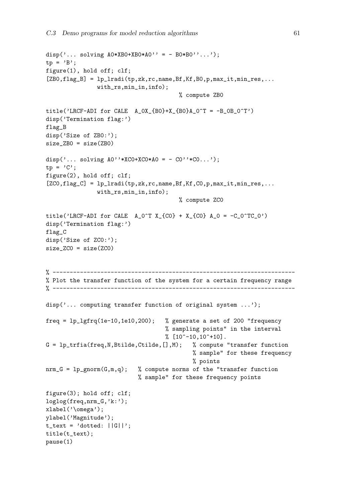```
disp('... solving A0*XBO+XBO*AO' = - BO*BO''...');
tp = 'B';
figure(1), hold off; clf;
[ZBO, flag_B] = lp_lradi(tp, zk, rc, name, Bf, Kf, BO, p, max_it, min_res, ...with_rs,min_in,info);
                                         % compute ZB0
title('LRCF-ADI for CALE A_0X_{B0}+X_{B0}A_0^T = -B_0B_0^T'')
disp('Termination flag:')
flag_B
disp('Size of ZB0:');
size_ZB0 = size(ZB0)
disp('... solving A0''*XCO+XCO*A0 = -CO''*CO...');
tp = 'C';
figure(2), hold off; clf;
[ZCO, flag_C] = lp_1radi(tp, zk, rc, name, Bf, Kf, CO, p, max_i.t, min_res, ...with_rs,min_in,info);
                                         % compute ZC0
title('LRCF-ADI for CALE A_0^T X_{100} + X_{200} + A_0 = -C_0^T C_0'')
disp('Termination flag:')
flag_C
disp('Size of ZCO:');
size_ZCO = size(ZCO)% -----------------------------------------------------------------------
% Plot the transfer function of the system for a certain frequency range
% -----------------------------------------------------------------------
disp('\ldots computing transfer function of original system \ldots);
freq = lp_lgfrq(1e-10,1e10,200); % generate a set of 200 "frequency
                                    % sampling points" in the interval
                                    % [10<sup>-10,10<sup>+10</sup>].</sup>
G = lp\_trfia(freq, N, Bitilde, Ctilde,[], M); % compute "transfer function
                                             % sample" for these frequency
                                             % points
nrm_G = lp\_gnorm(G, m, q); % compute norms of the "transfer function
                            % sample" for these frequency points
figure(3); hold off; clf;
loglog(freq,nrm_G,'k:');
xlabel('\omega');
ylabel('Magnitude');
t_{text} = 'dotted: ||G||';title(t_text);
pause(1)
```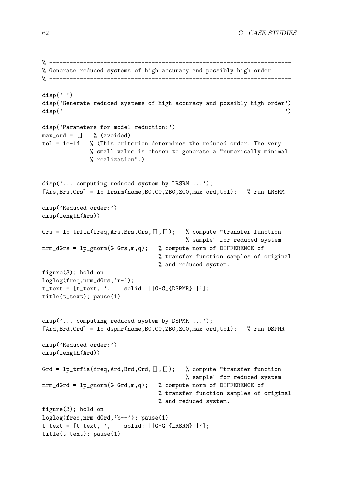```
% -----------------------------------------------------------------------
% Generate reduced systems of high accuracy and possibly high order
% -----------------------------------------------------------------------
disp('')disp('Generate reduced systems of high accuracy and possibly high order')
disp('-----------------------------------------------------------------')
disp('Parameters for model reduction:')
max_{\text{ord}} = [] % (avoided)
tol = 1e-14 % (This criterion determines the reduced order. The very
              % small value is chosen to generate a "numerically minimal
              % realization".)
disp('... computing reduced system by LRSRM ...');
[Ans, Brs, Crs] = lp_1rsrm(name, B0, C0, ZB0, ZC0, max_ord, tol); % run LRSRM
disp('Reduced order:')
disp(length(Ars))
Grs = lp_trfia(freq,Ars,Brs,Crs,[],[]); % compute "transfer function
                                           % sample" for reduced system
nrm_dGrs = lp_{\text{gnorm}}(G-Grs,m,q); % compute norm of DIFFERENCE of
                                  % transfer function samples of original
                                  % and reduced system.
figure(3); hold on
loglog(freq,nrm_dGrs,'r-');
t_{text} = [t_{text}, ', \text{solid}: ||G-G_{text{DSPMR}}||'];
title(t_text); pause(1)
disp('... computing reduced system by DSPMR ...');
[Ard, Brd, Crd] = 1p_dspmr(name, B0, C0, ZB0, ZCO, max_crd, tol); % run DSPMR
disp('Reduced order:')
disp(length(Ard))
Grd = lp_{tr}fia(freq, Ard, Brd, Crd, [], []); % compute "transfer function
                                            % sample" for reduced system
nrm_dGrd = lp_{\text{gnorm}}(G-Grd,m,q); % compute norm of DIFFERENCE of
                                   % transfer function samples of original
                                   % and reduced system.
figure(3); hold on
loglog(freq,nrm_dGrd,'b--'); pause(1)
t_{text} = [t_{text}, ', solid: ||G-G_{text{LRSRM}}||');
title(t_text); pause(1)
```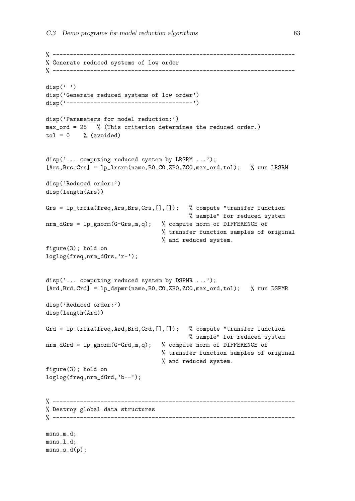```
% -----------------------------------------------------------------------
% Generate reduced systems of low order
% -----------------------------------------------------------------------
disp('')disp('Generate reduced systems of low order')
disp('-------------------------------------')
disp('Parameters for model reduction:')
max_ord = 25 % (This criterion determines the reduced order.)
tol = 0 % (avoided)
disp('... computing reduced system by LRSRM ...');
[Ans, Brs, Crs] = 1p_1rsrm(name, B0, CO, ZBO, ZCO, max_ord, tol); % run LRSRM
disp('Reduced order:')
disp(length(Ars))
Grs = lp_{tr}fria(freq, Ars, Brs, Crs, [], []); % compute "transfer function"
                                           % sample" for reduced system
nrm_dGrs = lp_gnorm(G-Grs,m,q); % compute norm of DIFFERENCE of
                                  % transfer function samples of original
                                  % and reduced system.
figure(3); hold on
loglog(freq,nrm_dGrs,'r-');
disp('... computing reduced system by DSPMR ...');
[Ard, Brd, Crd] = lp_dspmr(name, B0, C0, ZB0, ZC0, max_ord, tol); % run DSPMR
disp('Reduced order:')
disp(length(Ard))
Grd = lp_{tr}fia(freq, Ard, Brd, Crd, [], []); % compute "transfer function"
                                           % sample" for reduced system
nrm_dGrd = lp_gnorm(G-Grd,m,q); % compute norm of DIFFERENCE of
                                  % transfer function samples of original
                                  % and reduced system.
figure(3); hold on
loglog(freq,nrm_dGrd,'b--');
% -----------------------------------------------------------------------
% Destroy global data structures
% -----------------------------------------------------------------------
msns_m_d;
msns_l_d;
msns_d(p);
```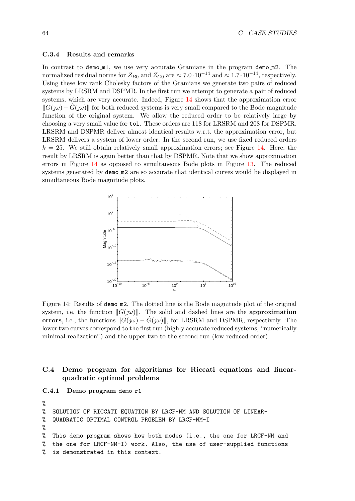#### C.3.4 Results and remarks

In contrast to demo\_m1, we use very accurate Gramians in the program demo\_m2. The normalized residual norms for  $Z_{B0}$  and  $Z_{C0}$  are  $\approx 7.0 \cdot 10^{-14}$  and  $\approx 1.7 \cdot 10^{-14}$ , respectively. Using these low rank Cholesky factors of the Gramians we generate two pairs of reduced systems by LRSRM and DSPMR. In the first run we attempt to generate a pair of reduced systems, which are very accurate. Indeed, Figure [14](#page-70-1) shows that the approximation error  $||G(\omega) - \hat{G}(\omega)||$  for both reduced systems is very small compared to the Bode magnitude function of the original system. We allow the reduced order to be relatively large by choosing a very small value for tol. These orders are 118 for LRSRM and 208 for DSPMR. LRSRM and DSPMR deliver almost identical results w.r.t. the approximation error, but LRSRM delivers a system of lower order. In the second run, we use fixed reduced orders  $k = 25$ . We still obtain relatively small approximation errors; see Figure [14](#page-70-1). Here, the result by LRSRM is again better than that by DSPMR. Note that we show approximation errors in Figure [14](#page-70-1) as opposed to simultaneous Bode plots in Figure [13](#page-65-1). The reduced systems generated by demom<sub>2</sub> are so accurate that identical curves would be displayed in simultaneous Bode magnitude plots.



<span id="page-70-1"></span>Figure 14: Results of demo m2. The dotted line is the Bode magnitude plot of the original system, i.e, the function  $||G(\omega)||$ . The solid and dashed lines are the approximation errors, i.e., the functions  $||G(\omega) - \hat{G}(\omega)||$ , for LRSRM and DSPMR, respectively. The lower two curves correspond to the first run (highly accurate reduced systems, "numerically minimal realization") and the upper two to the second run (low reduced order).

## C.4 Demo program for algorithms for Riccati equations and linearquadratic optimal problems

<span id="page-70-0"></span>C.4.1 Demo program demo\_r1

```
%
% SOLUTION OF RICCATI EQUATION BY LRCF-NM AND SOLUTION OF LINEAR-
% QUADRATIC OPTIMAL CONTROL PROBLEM BY LRCF-NM-I
%
% This demo program shows how both modes (i.e., the one for LRCF-NM and
% the one for LRCF-NM-I) work. Also, the use of user-supplied functions
% is demonstrated in this context.
```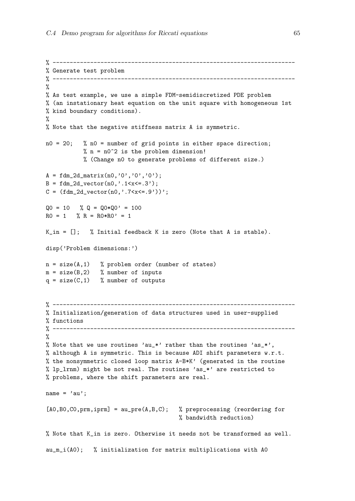```
% -----------------------------------------------------------------------
% Generate test problem
% -----------------------------------------------------------------------
\frac{9}{2}% As test example, we use a simple FDM-semidiscretized PDE problem
% (an instationary heat equation on the unit square with homogeneous 1st
% kind boundary conditions).
%
% Note that the negative stiffness matrix A is symmetric.
n0 = 20; % n0 = number of grid points in either space direction;
           % n = n0^2 is the problem dimension!
           % (Change n0 to generate problems of different size.)
A = fdm_2d_matrix(n0,'0', '0', '0');
B = fdm_2d_vector(n0,'.1 < x < = .3');
C = (fdm_2d_vector(n0,'.7 < x < = .9'))';Q0 = 10 % Q = Q0*Q0' = 100RO = 1 % R = RO*RO' = 1
K_in = []; % Initial feedback K is zero (Note that A is stable).
disp('Problem dimensions:')
n = size(A, 1) % problem order (number of states)
m = size(B, 2) % number of inputs
q = size(C, 1) % number of outputs
% -----------------------------------------------------------------------
% Initialization/generation of data structures used in user-supplied
% functions
% -----------------------------------------------------------------------
%
% Note that we use routines 'au_*' rather than the routines 'as_*',
% although A is symmetric. This is because ADI shift parameters w.r.t.
% the nonsymmetric closed loop matrix A-B*K' (generated in the routine
% lp_lrnm) might be not real. The routines 'as_*' are restricted to
% problems, where the shift parameters are real.
name = 'au';
[A0, B0, C0, prm, iprm] = au_pre(A, B, C); % preprocessing (reordering for
                                       % bandwidth reduction)
% Note that K_in is zero. Otherwise it needs not be transformed as well.
au_m_i(A0); % initialization for matrix multiplications with A0
```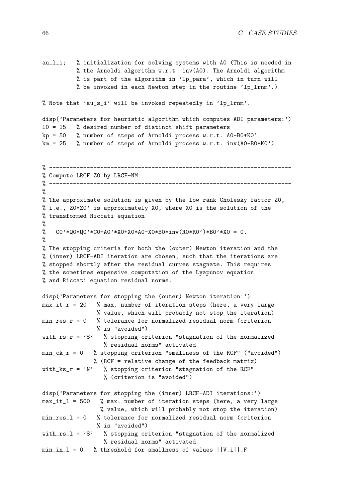au\_l\_i; % initialization for solving systems with A0 (This is needed in % the Arnoldi algorithm  $w.r.t. inv(A0)$ . The Arnoldi algorithm % is part of the algorithm in 'lp\_para', which in turn will % be invoked in each Newton step in the routine 'lp\_lrnm'.)

% Note that 'au\_s\_i' will be invoked repeatedly in 'lp\_lrnm'.

```
disp('Parameters for heuristic algorithm which computes ADI parameters:')
l0 = 15 % desired number of distinct shift parameters
kp = 50 % number of steps of Arnoldi process w.r.t. A0-B0*K0'
km = 25 % number of steps of Arnoldi process w.r.t. inv(A0-B0*K0')
```

```
% -----------------------------------------------------------------------
% Compute LRCF Z0 by LRCF-NM
% -----------------------------------------------------------------------
\frac{9}{6}% The approximate solution is given by the low rank Cholesky factor Z0,
% i.e., Z0*Z0' is approximately X0, where X0 is the solution of the
% transformed Riccati equation
%
% CO'*QO*QO'*CO+AO'*XO+XO*AO-XO*BO*inv(RO*RO')*BO'*XO = 0.
%
% The stopping criteria for both the (outer) Newton iteration and the
% (inner) LRCF-ADI iteration are chosen, such that the iterations are
% stopped shortly after the residual curves stagnate. This requires
% the sometimes expensive computation of the Lyapunov equation
% and Riccati equation residual norms.
disp('Parameters for stopping the (outer) Newton iteration:')
max_i i r = 20 % max. number of iteration steps (here, a very large
                % value, which will probably not stop the iteration)
min_res_r = 0 % tolerance for normalized residual norm (criterion
                % is "avoided")
with_rs_r = 'S' % stopping criterion "stagnation of the normalized
                  % residual norms" activated
min_c k_r = 0 % stopping criterion "smallness of the RCF" ("avoided")
               % (RCF = relative change of the feedback matrix)
with_ks_r = 'N' % stopping criterion "stagnation of the RCF"
                  % (criterion is "avoided")
disp('Parameters for stopping the (inner) LRCF-ADI iterations:')
max_it_l = 500 % max. number of iteration steps (here, a very large
                 % value, which will probably not stop the iteration)
min\_res\_l = 0 % tolerance for normalized residual norm (criterion
               % is "avoided")
with_rs_l = 'S' % stopping criterion "stagnation of the normalized
                  % residual norms" activated
min_in_1 = 0 % threshold for smallness of values ||V_i||_F
```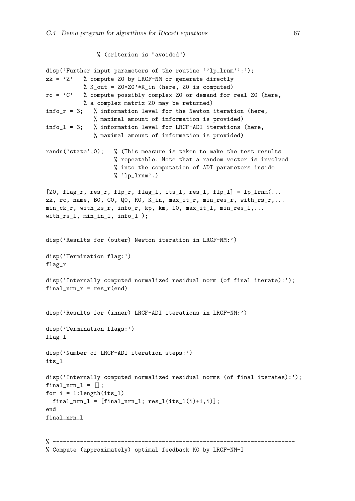```
% (criterion is "avoided")
```

```
disp('Further input parameters of the routine ''lp_lrnm'':');
zk = 'Z' % compute Z0 by LRCF-NM or generate directly
           % K_out = Z0*Z0'*K_in (here, Z0 is computed)
rc = 'C' % compute possibly complex Z0 or demand for real Z0 (here,
           % a complex matrix Z0 may be returned)
info_r = 3; % information level for the Newton iteration (here,
              % maximal amount of information is provided)
info_l = 3; % information level for LRCF-ADI iterations (here,
              % maximal amount of information is provided)
randn('state',0); % (This measure is taken to make the test results
                    % repeatable. Note that a random vector is involved
                    % into the computation of ADI parameters inside
                    % 'lp_lrmm'.)[20, flag_r, res_r, flp_r, flag_l, its_l, res_l, flp_l] = lp_l r m(…zk, rc, name, BO, CO, QO, RO, K_in, max_it_r, min_res_r, with_rs_r,...
min_ck_r, with_ks_r, info_r, kp, km, l0, max_it_l, min_res_l,...
with_rs_l, min_in_l, info_l );
disp('Results for (outer) Newton iteration in LRCF-NM:')
disp('Termination flag:')
flag_r
disp('Internally computed normalized residual norm (of final iterate):');
final_nrr = res_r(end)disp('Results for (inner) LRCF-ADI iterations in LRCF-NM:')
disp('Termination flags:')
flag_l
disp('Number of LRCF-ADI iteration steps:')
its_l
disp('Internally computed normalized residual norms (of final iterates):');
final_nrn_1 = [];
for i = 1: length(its_1)
  final\_nrn_1 = [final\_nrn_1; res_1(its_1(i)+1,i)];end
final nrn 1
% -----------------------------------------------------------------------
% Compute (approximately) optimal feedback K0 by LRCF-NM-I
```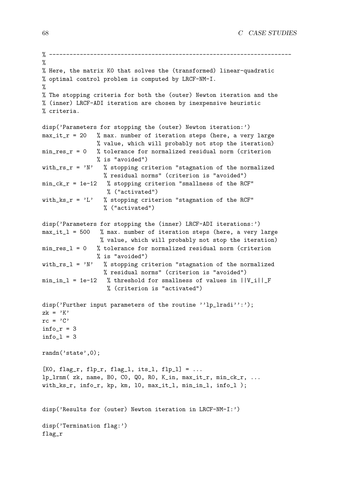```
% -----------------------------------------------------------------------
%
% Here, the matrix K0 that solves the (transformed) linear-quadratic
% optimal control problem is computed by LRCF-NM-I.
%
% The stopping criteria for both the (outer) Newton iteration and the
% (inner) LRCF-ADI iteration are chosen by inexpensive heuristic
% criteria.
disp('Parameters for stopping the (outer) Newton iteration:')
max_it_r = 20 % max. number of iteration steps (here, a very large
               % value, which will probably not stop the iteration)
min\_res\_r = 0 % tolerance for normalized residual norm (criterion
               % is "avoided")
with_rs_r = 'N' % stopping criterion "stagnation of the normalized
                 % residual norms" (criterion is "avoided")
min_ck_r = 1e-12 % stopping criterion "smallness of the RCF"
                 % ("activated")
with_ks_r = 'L' % stopping criterion "stagnation of the RCF"
                 % ("activated")
disp('Parameters for stopping the (inner) LRCF-ADI iterations:')
max_it_l = 500 % max. number of iteration steps (here, a very large
                % value, which will probably not stop the iteration)
min_res_l = 0 % tolerance for normalized residual norm (criterion
                % is "avoided")
with_rs_1 = 'N' % stopping criterion "stagnation of the normalized
                 % residual norms" (criterion is "avoided")
min_in_1 = 1e-12 % threshold for smallness of values in ||V_i||_F% (criterion is "activated")
disp('Further input parameters of the routine ''lp_lradi'':');
zk = 'K'rc = 'C'info_r = 3info_l = 3randn('state',0);
[K0, flag_r, flp_r, flag_l, its_l, flp_l] = ...lp_lrnm( zk, name, B0, C0, Q0, R0, K_in, max_it_r, min_ck_r, ...
with_ks_r, info_r, kp, km, l0, max_it_l, min_in_l, info_l );
disp('Results for (outer) Newton iteration in LRCF-NM-I:')
disp('Termination flag:')
flag_r
```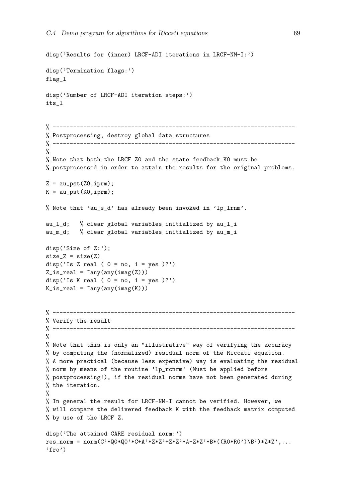```
disp('Results for (inner) LRCF-ADI iterations in LRCF-NM-I:')
disp('Termination flags:')
flag_l
disp('Number of LRCF-ADI iteration steps:')
its_l
% -----------------------------------------------------------------------
% Postprocessing, destroy global data structures
% -----------------------------------------------------------------------
%
% Note that both the LRCF Z0 and the state feedback K0 must be
% postprocessed in order to attain the results for the original problems.
Z = \text{au}_pst(Z0, \text{iprm});
K = au_pst(K0,iprm);% Note that 'au_s_d' has already been invoked in 'lp_lrnm'.
au_l_d; % clear global variables initialized by au_l_i
au_m_d; % clear global variables initialized by au_m_i
disp('Size of Z:');
size_Z = size(Z)disp('Is Z real ( 0 = no, 1 = yes )?')
Z_is_{real} = \text{rany}(any(imag(Z)))disp('Is K real ( 0 = no, 1 = yes )?')
K_is_real = \text{any}(\text{any}(\text{imag}(K)))% -----------------------------------------------------------------------
% Verify the result
% -----------------------------------------------------------------------
%
% Note that this is only an "illustrative" way of verifying the accuracy
% by computing the (normalized) residual norm of the Riccati equation.
% A more practical (because less expensive) way is evaluating the residual
% norm by means of the routine 'lp_rcnrm' (Must be applied before
% postprocessing!), if the residual norms have not been generated during
% the iteration.
\frac{9}{2}% In general the result for LRCF-NM-I cannot be verified. However, we
% will compare the delivered feedback K with the feedback matrix computed
% by use of the LRCF Z.
disp('The attained CARE residual norm:')
res_norm = norm(C' * Q0 * Q0 * C + A' * Z * Z' + Z * Z' * A - Z * Z' * B * ((R0 * R0') \B')*Z * Z', ...'fro')
```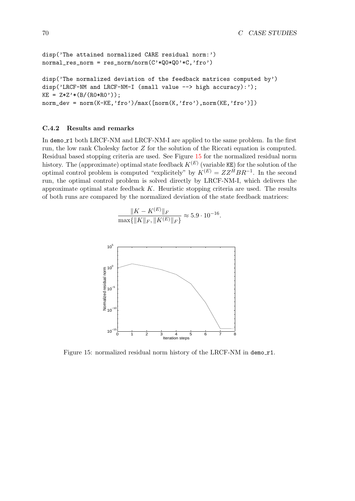```
disp('The attained normalized CARE residual norm:')
normal\_res\_norm = res\_norm/norm(C'*Q0*QQ'*C,'fro')disp('The normalized deviation of the feedback matrices computed by')
disp('LRCF-NM and LRCF-NM-I (small value --> high accuracy):');
KE = Z*Z'*(B/(RO*RO'));
norm\_dev = norm(K-KE,'fro')/max([norm(K,'fro'),norm(KE,'fro')])
```
## C.4.2 Results and remarks

In demo\_r1 both LRCF-NM and LRCF-NM-I are applied to the same problem. In the first run, the low rank Cholesky factor Z for the solution of the Riccati equation is computed. Residual based stopping criteria are used. See Figure [15](#page-76-0) for the normalized residual norm history. The (approximate) optimal state feedback  $K^{(E)}$  (variable KE) for the solution of the optimal control problem is computed "explicitely" by  $K^{(E)} = Z Z^H B R^{-1}$ . In the second run, the optimal control problem is solved directly by LRCF-NM-I, which delivers the approximate optimal state feedback  $K$ . Heuristic stopping criteria are used. The results of both runs are compared by the normalized deviation of the state feedback matrices:

$$
\frac{\|K - K^{(E)}\|_F}{\max\{\|K\|_F, \|K^{(E)}\|_F\}} \approx 5.9 \cdot 10^{-16}.
$$



<span id="page-76-0"></span>Figure 15: normalized residual norm history of the LRCF-NM in demo r1.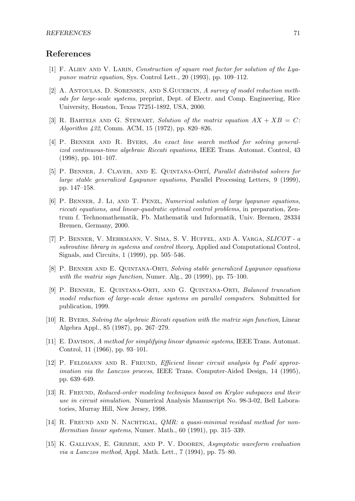## References

- [1] F. Aliev and V. Larin, Construction of square root factor for solution of the Lyapunov matrix equation, Sys. Control Lett., 20 (1993), pp. 109–112.
- [2] A. Antoulas, D. Sorensen, and S.Gucercin, A survey of model reduction methods for large-scale systems, preprint, Dept. of Electr. and Comp. Engineering, Rice University, Houston, Texas 77251-1892, USA, 2000.
- [3] R. BARTELS AND G. STEWART, Solution of the matrix equation  $AX + XB = C$ : Algorithm 432, Comm. ACM, 15 (1972), pp. 820–826.
- [4] P. Benner and R. Byers, An exact line search method for solving generalized continuous-time algebraic Riccati equations, IEEE Trans. Automat. Control, 43 (1998), pp. 101–107.
- [5] P. Benner, J. Claver, and E. Quintana-Ort´ı, Parallel distributed solvers for large stable generalized Lyapunov equations, Parallel Processing Letters, 9 (1999), pp. 147–158.
- [6] P. Benner, J. Li, and T. Penzl, Numerical solution of large lyapunov equations, riccati equations, and linear-quadratic optimal control problems, in preparation, Zentrum f. Technomathematik, Fb. Mathematik und Informatik, Univ. Bremen, 28334 Bremen, Germany, 2000.
- [7] P. Benner, V. Mehrmann, V. Sima, S. V. Huffel, and A. Varga, SLICOT a subroutine library in systems and control theory, Applied and Computational Control, Signals, and Circuits, 1 (1999), pp. 505–546.
- [8] P. Benner and E. Quintana-Orti, Solving stable generalized Lyapunov equations with the matrix sign function, Numer. Alg., 20 (1999), pp. 75–100.
- [9] P. Benner, E. Quintana-Orti, and G. Quintana-Orti, Balanced truncation model reduction of large-scale dense systems on parallel computers. Submitted for publication, 1999.
- [10] R. Byers, Solving the algebraic Riccati equation with the matrix sign function, Linear Algebra Appl., 85 (1987), pp. 267–279.
- [11] E. Davison, A method for simplifying linear dynamic systems, IEEE Trans. Automat. Control, 11 (1966), pp. 93–101.
- [12] P. FELDMANN AND R. FREUND, *Efficient linear circuit analysis by Padé approx*imation via the Lanczos process, IEEE Trans. Computer-Aided Design, 14 (1995), pp. 639–649.
- [13] R. FREUND, Reduced-order modeling techniques based on Krylov subspaces and their use in circuit simulation. Numerical Analysis Manuscript No. 98-3-02, Bell Laboratories, Murray Hill, New Jersey, 1998.
- [14] R. FREUND AND N. NACHTIGAL, *QMR: a quasi-minimal residual method for non-*Hermitian linear systems, Numer. Math., 60 (1991), pp. 315–339.
- [15] K. Gallivan, E. Grimme, and P. V. Dooren, Asymptotic waveform evaluation via a Lanczos method, Appl. Math. Lett., 7 (1994), pp. 75–80.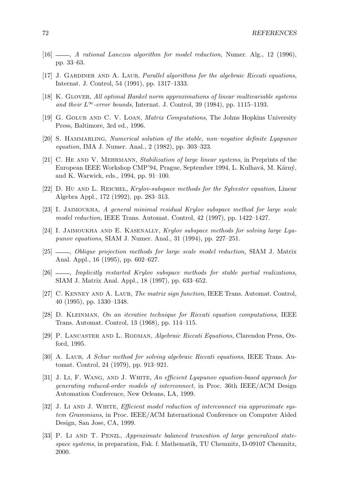- [16] , A rational Lanczos algorithm for model reduction, Numer. Alg., 12 (1996), pp. 33–63.
- [17] J. GARDINER AND A. LAUB, *Parallel algorithms for the algebraic Riccati equations*, Internat. J. Control, 54 (1991), pp. 1317–1333.
- [18] K. Glover, All optimal Hankel norm approximations of linear multivariable systems and their  $L^{\infty}$ -error bounds, Internat. J. Control, 39 (1984), pp. 1115–1193.
- [19] G. Golub and C. V. Loan, Matrix Computations, The Johns Hopkins University Press, Baltimore, 3rd ed., 1996.
- [20] S. HAMMARLING, Numerical solution of the stable, non–negative definite Lyapunov equation, IMA J. Numer. Anal., 2 (1982), pp. 303–323.
- [21] C. He and V. Mehrmann, Stabilization of large linear systems, in Preprints of the European IEEE Workshop CMP'94, Prague, September 1994, L. Kulhavá, M. Kárný, and K. Warwick, eds., 1994, pp. 91–100.
- [22] D. HU AND L. REICHEL, Krylov-subspace methods for the Sylvester equation, Linear Algebra Appl., 172 (1992), pp. 283–313.
- [23] I. Jaimoukha, A general minimal residual Krylov subspace method for large scale model reduction, IEEE Trans. Automat. Control, 42 (1997), pp. 1422–1427.
- [24] I. JAIMOUKHA AND E. KASENALLY, Krylov subspace methods for solving large Lyapunov equations, SIAM J. Numer. Anal., 31 (1994), pp. 227–251.
- [25] —, Oblique projection methods for large scale model reduction, SIAM J. Matrix Anal. Appl., 16 (1995), pp. 602–627.
- [26] , Implicitly restarted Krylov subspace methods for stable partial realizations, SIAM J. Matrix Anal. Appl., 18 (1997), pp. 633–652.
- [27] C. Kenney and A. Laub, The matrix sign function, IEEE Trans. Automat. Control, 40 (1995), pp. 1330–1348.
- [28] D. Kleinman, On an iterative technique for Riccati equation computations, IEEE Trans. Automat. Control, 13 (1968), pp. 114–115.
- [29] P. Lancaster and L. Rodman, Algebraic Riccati Equations, Clarendon Press, Oxford, 1995.
- [30] A. LAUB, A Schur method for solving algebraic Riccati equations, IEEE Trans. Automat. Control, 24 (1979), pp. 913–921.
- [31] J. Li, F. Wang, and J. White, An efficient Lyapunov equation-based approach for generating reduced-order models of interconnect, in Proc. 36th IEEE/ACM Design Automation Conference, New Orleans, LA, 1999.
- [32] J. Li AND J. WHITE, *Efficient model reduction of interconnect via approximate sys*tem Grammians, in Proc. IEEE/ACM International Conference on Computer Aided Design, San Jose, CA, 1999.
- [33] P. Li AND T. PENZL, Approximate balanced truncation of large generalized statespace systems, in preparation, Fak. f. Mathematik, TU Chemnitz, D-09107 Chemnitz, 2000.